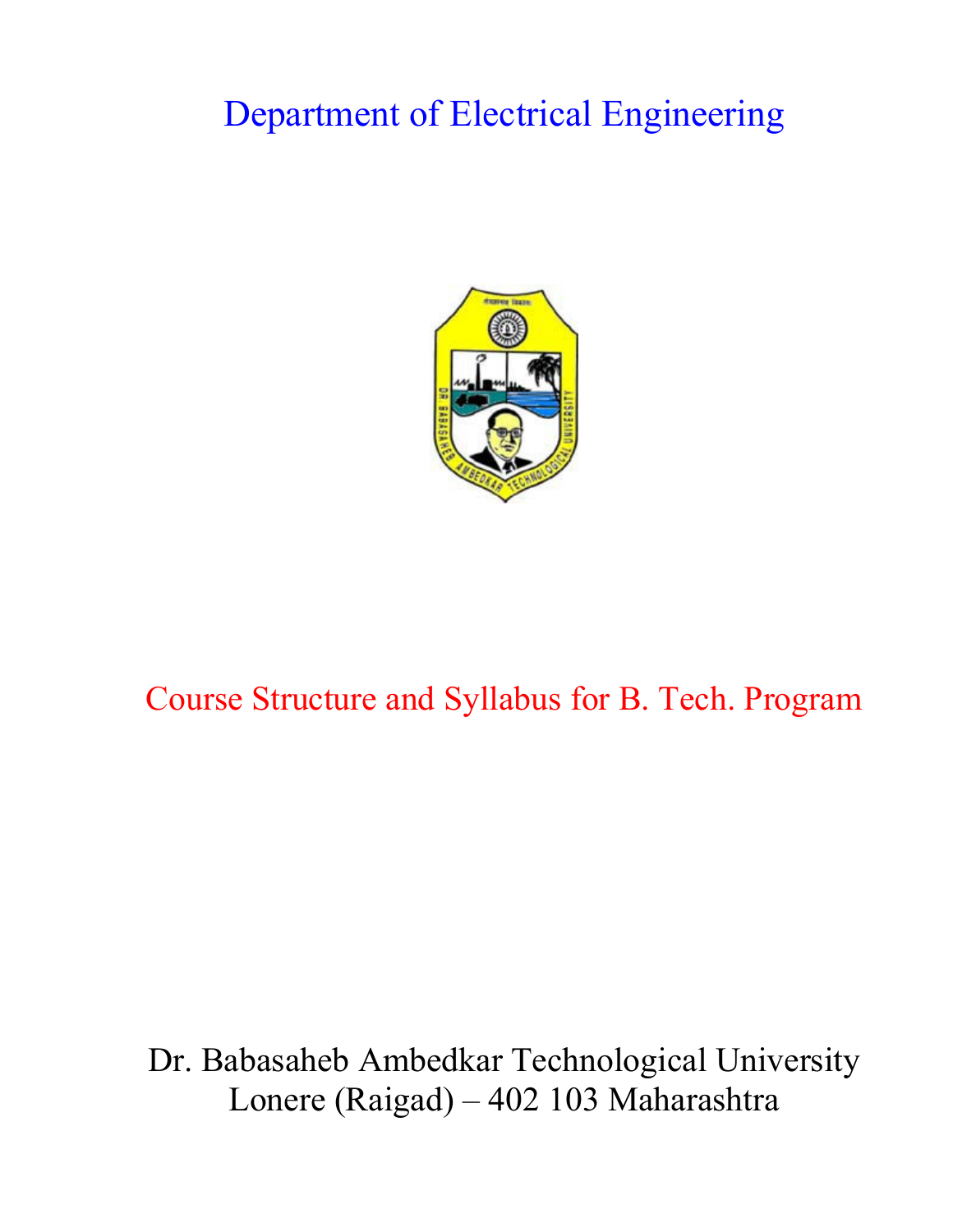# Department of Electrical Engineering



# Course Structure and Syllabus for B. Tech. Program

# Dr. Babasaheb Ambedkar Technological University Lonere (Raigad) – 402 103 Maharashtra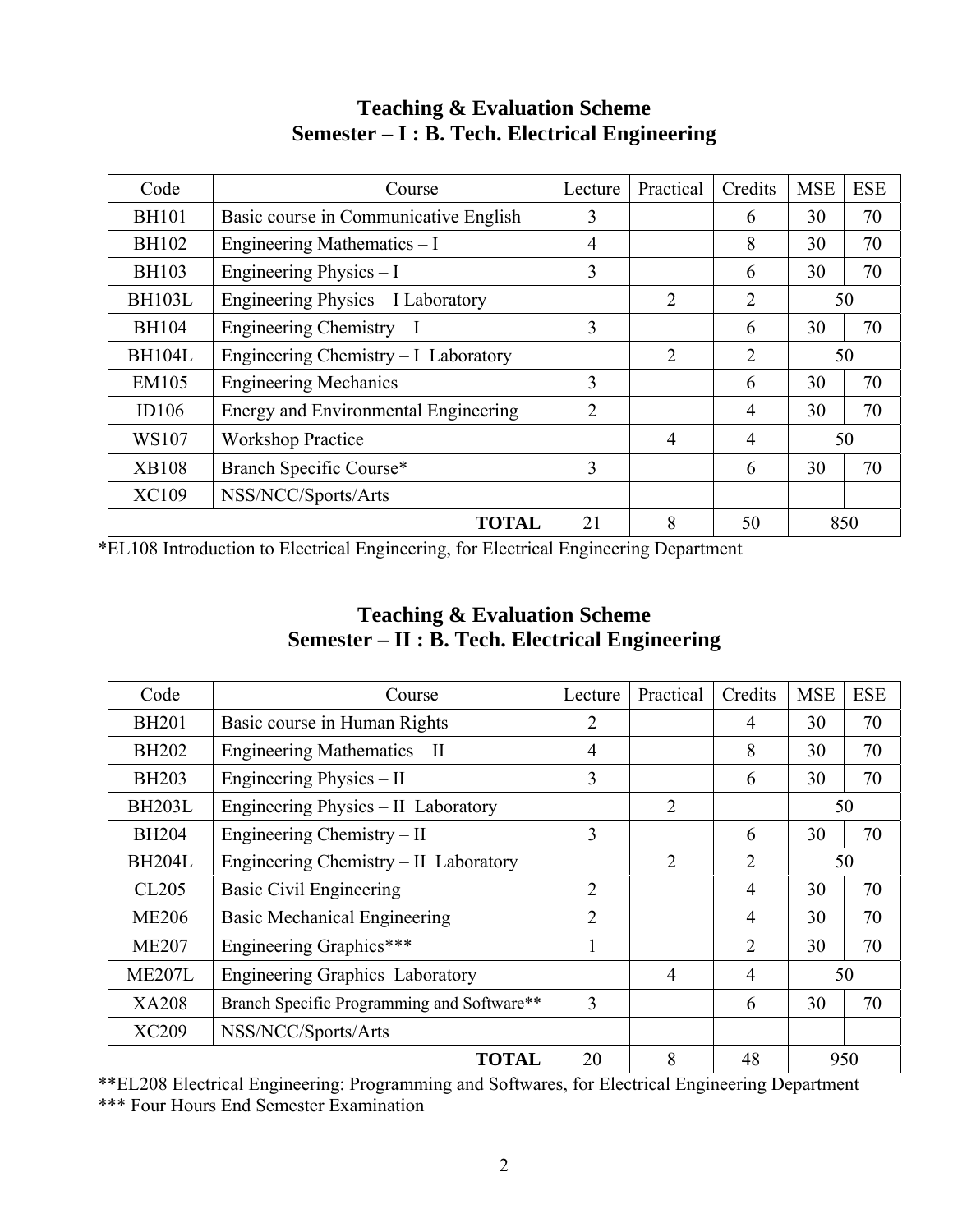| Code          | Course                                | Lecture        | Practical      | Credits        | <b>MSE</b> | <b>ESE</b> |
|---------------|---------------------------------------|----------------|----------------|----------------|------------|------------|
| <b>BH101</b>  | Basic course in Communicative English | 3              |                | 6              | 30         | 70         |
| <b>BH102</b>  | Engineering Mathematics – I           | $\overline{4}$ |                | 8              | 30         | 70         |
| <b>BH103</b>  | Engineering Physics $-I$              | 3              |                | 6              | 30         | 70         |
| <b>BH103L</b> | Engineering Physics - I Laboratory    |                | 2              | $\overline{2}$ |            | 50         |
| <b>BH104</b>  | Engineering Chemistry $-I$            | 3              |                | 6              | 30         | 70         |
| <b>BH104L</b> | Engineering Chemistry - I Laboratory  |                | 2              | $\overline{2}$ |            | 50         |
| EM105         | <b>Engineering Mechanics</b>          | 3              |                | 6              | 30         | 70         |
| ID106         | Energy and Environmental Engineering  | $\overline{2}$ |                | 4              | 30         | 70         |
| WS107         | <b>Workshop Practice</b>              |                | $\overline{4}$ | 4              |            | 50         |
| <b>XB108</b>  | Branch Specific Course*               | 3              |                | 6              | 30         | 70         |
| <b>XC109</b>  | NSS/NCC/Sports/Arts                   |                |                |                |            |            |
|               | <b>TOTAL</b>                          | 21             | 8              | 50             |            | 850        |

# **Teaching & Evaluation Scheme Semester – I : B. Tech. Electrical Engineering**

\*EL108 Introduction to Electrical Engineering, for Electrical Engineering Department

| <b>Teaching &amp; Evaluation Scheme</b>         |
|-------------------------------------------------|
| Semester – II : B. Tech. Electrical Engineering |

| Code              | Course                                     | Lecture        | Practical      | Credits        | <b>MSE</b> | <b>ESE</b> |  |  |
|-------------------|--------------------------------------------|----------------|----------------|----------------|------------|------------|--|--|
| <b>BH201</b>      | Basic course in Human Rights               | 2              |                | 4              | 30         | 70         |  |  |
| <b>BH202</b>      | Engineering Mathematics - II               | 4              |                | 8              | 30         | 70         |  |  |
| <b>BH203</b>      | Engineering Physics – II                   | 3              |                | 6              | 30         | 70         |  |  |
| <b>BH203L</b>     | Engineering Physics - II Laboratory        |                | $\overline{2}$ |                | 50         |            |  |  |
| <b>BH204</b>      | Engineering Chemistry – II                 | 3              |                | 6              | 30         |            |  |  |
| <b>BH204L</b>     | Engineering Chemistry – II Laboratory      |                | $\mathfrak{D}$ | $\overline{2}$ |            | 50         |  |  |
| CL <sub>205</sub> | <b>Basic Civil Engineering</b>             | $\overline{2}$ |                | $\overline{4}$ | 30         | 70         |  |  |
| <b>ME206</b>      | <b>Basic Mechanical Engineering</b>        | $\overline{2}$ |                | $\overline{4}$ | 30         | 70         |  |  |
| <b>ME207</b>      | Engineering Graphics***                    |                |                | $\overline{2}$ | 30         | 70         |  |  |
| <b>ME207L</b>     | Engineering Graphics Laboratory            |                | 4              | $\overline{4}$ |            | 50         |  |  |
| <b>XA208</b>      | Branch Specific Programming and Software** | 3              |                | 6              | 30         | 70         |  |  |
| XC209             | NSS/NCC/Sports/Arts                        |                |                |                |            |            |  |  |
|                   | <b>TOTAL</b>                               | 20             | 8              | 48             |            | 950        |  |  |

\*\*EL208 Electrical Engineering: Programming and Softwares, for Electrical Engineering Department \*\*\* Four Hours End Semester Examination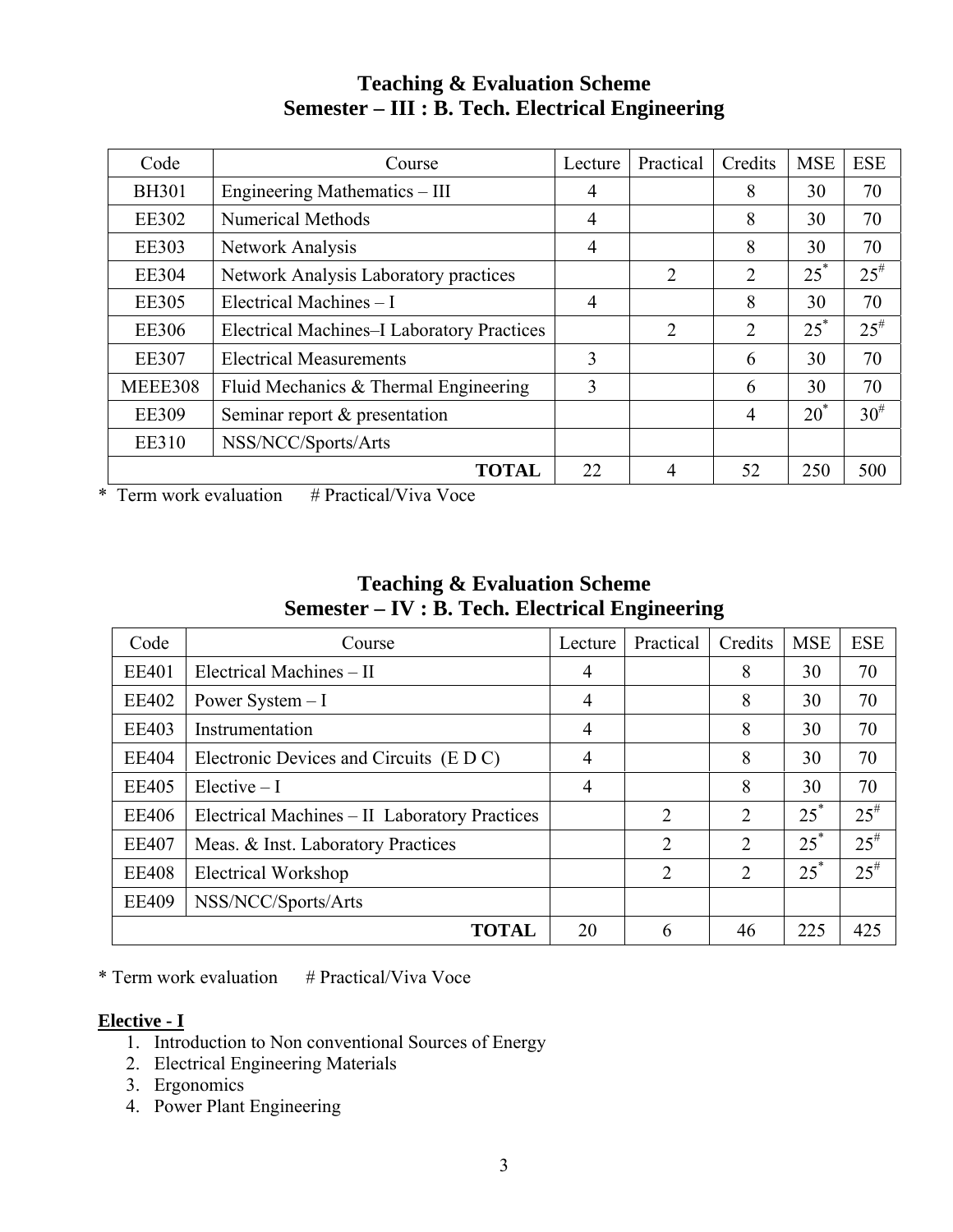# **Teaching & Evaluation Scheme Semester – III : B. Tech. Electrical Engineering**

| Code           | Course                                     | Lecture        | Practical      | Credits        | <b>MSE</b> | <b>ESE</b> |
|----------------|--------------------------------------------|----------------|----------------|----------------|------------|------------|
| <b>BH301</b>   | Engineering Mathematics – III              | 4              |                | 8              | 30         | 70         |
| <b>EE302</b>   | <b>Numerical Methods</b>                   | $\overline{4}$ |                | 8              | 30         | 70         |
| <b>EE303</b>   | Network Analysis                           | $\overline{4}$ |                | 8              | 30         | 70         |
| <b>EE304</b>   | Network Analysis Laboratory practices      |                | $\overline{2}$ | $\overline{2}$ | $25^*$     | $25^{#}$   |
| <b>EE305</b>   | Electrical Machines - I                    | 4              |                | 8              | 30         | 70         |
| <b>EE306</b>   | Electrical Machines-I Laboratory Practices |                | 2              | $\overline{2}$ | $25^*$     | $25^{#}$   |
| <b>EE307</b>   | <b>Electrical Measurements</b>             | 3              |                | 6              | 30         | 70         |
| <b>MEEE308</b> | Fluid Mechanics & Thermal Engineering      | 3              |                | 6              | 30         | 70         |
| <b>EE309</b>   | Seminar report & presentation              |                |                | $\overline{4}$ | $20^*$     | $30^{#}$   |
| <b>EE310</b>   | NSS/NCC/Sports/Arts                        |                |                |                |            |            |
|                | <b>TOTAL</b>                               | 22             |                | 52             | 250        | 500        |

\* Term work evaluation  $# \text{ Practical/Viva Voce}$ 

| <b>Teaching &amp; Evaluation Scheme</b>         |
|-------------------------------------------------|
| Semester – IV : B. Tech. Electrical Engineering |

| Code         | Course                                        | Lecture | Practical      | Credits        | <b>MSE</b> | <b>ESE</b> |
|--------------|-----------------------------------------------|---------|----------------|----------------|------------|------------|
| <b>EE401</b> | Electrical Machines - II                      | 4       |                | 8              | 30         | 70         |
| <b>EE402</b> | Power System $-I$                             | 4       |                | 8              | 30         | 70         |
| <b>EE403</b> | Instrumentation                               | 4       |                | 8              | 30         | 70         |
| <b>EE404</b> | Electronic Devices and Circuits (E D C)       | 4       |                | 8              | 30         | 70         |
| <b>EE405</b> | $Electric - I$                                | 4       |                | 8              | 30         | 70         |
| <b>EE406</b> | Electrical Machines - II Laboratory Practices |         | $\overline{2}$ | $\overline{2}$ | $25^*$     | $25^{#}$   |
| <b>EE407</b> | Meas. & Inst. Laboratory Practices            |         | 2              | $\overline{2}$ | $25^*$     | $25^{#}$   |
| <b>EE408</b> | <b>Electrical Workshop</b>                    |         | $\overline{2}$ | $\overline{2}$ | $25^*$     | $25^{#}$   |
| <b>EE409</b> | NSS/NCC/Sports/Arts                           |         |                |                |            |            |
|              | <b>TOTAL</b>                                  | 20      | 6              | 46             | 225        | 425        |

 $*$  Term work evaluation  $*$  Practical/Viva Voce

# **Elective - I**

- 1. Introduction to Non conventional Sources of Energy
- 2. Electrical Engineering Materials
- 3. Ergonomics
- 4. Power Plant Engineering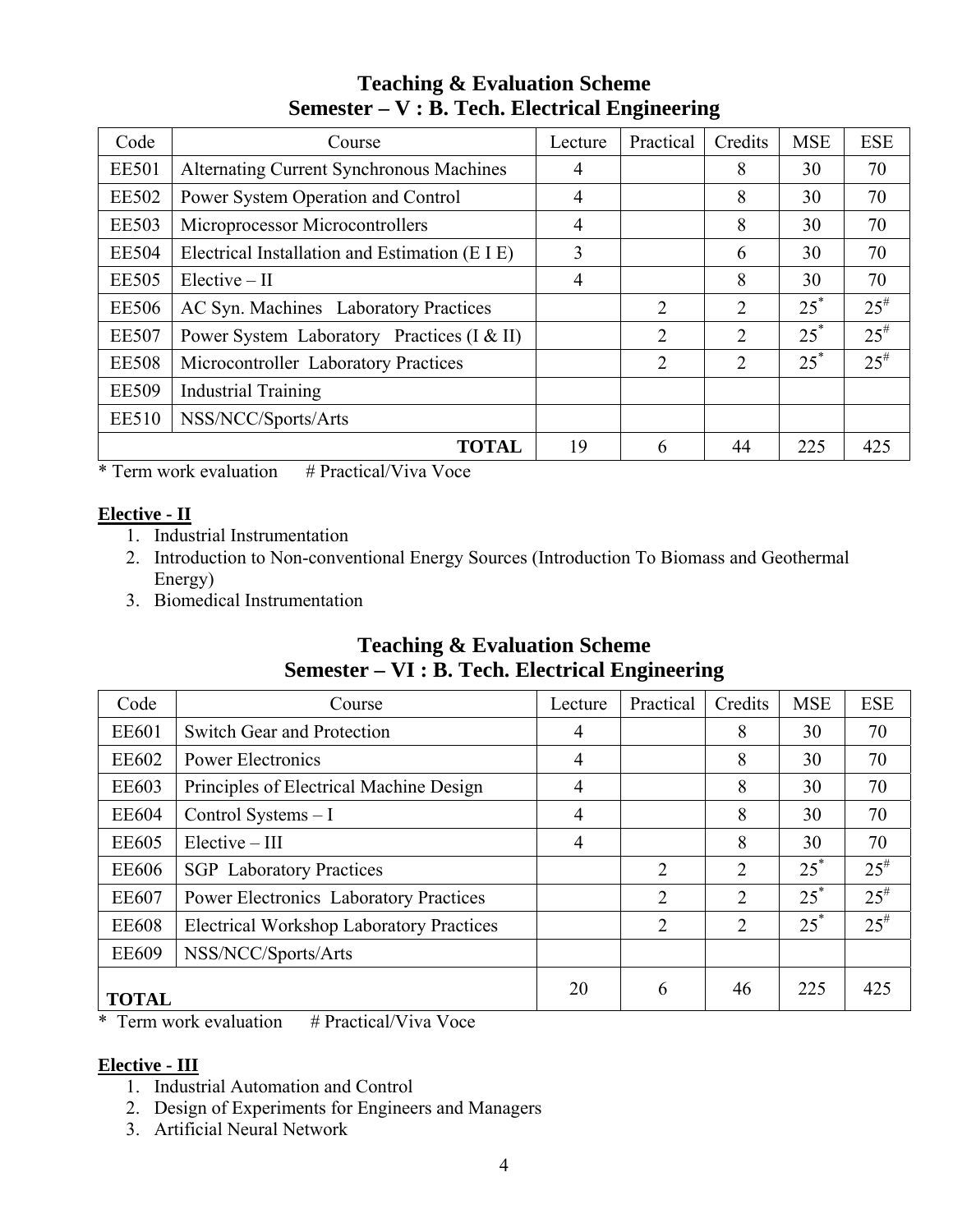# **Teaching & Evaluation Scheme Semester – V : B. Tech. Electrical Engineering**

| Code         | Course                                          | Lecture        | Practical      | Credits        | <b>MSE</b> | <b>ESE</b> |
|--------------|-------------------------------------------------|----------------|----------------|----------------|------------|------------|
| <b>EE501</b> | <b>Alternating Current Synchronous Machines</b> | 4              |                | 8              | 30         | 70         |
| <b>EE502</b> | Power System Operation and Control              | 4              |                | 8              | 30         | 70         |
| <b>EE503</b> | Microprocessor Microcontrollers                 | $\overline{4}$ |                | 8              | 30         | 70         |
| <b>EE504</b> | Electrical Installation and Estimation (E I E)  | 3              |                | 6              | 30         | 70         |
| <b>EE505</b> | $Elective - II$                                 | 4              |                | 8              | 30         | 70         |
| <b>EE506</b> | AC Syn. Machines Laboratory Practices           |                | $\overline{2}$ | 2              | $25^*$     | $25^{#}$   |
| <b>EE507</b> | Power System Laboratory Practices (I & II)      |                | $\overline{2}$ | $\overline{2}$ | $25^*$     | $25^{#}$   |
| <b>EE508</b> | Microcontroller Laboratory Practices            |                | $\overline{2}$ | $\mathfrak{D}$ | $25^*$     | $25^{#}$   |
| <b>EE509</b> | <b>Industrial Training</b>                      |                |                |                |            |            |
| <b>EE510</b> | NSS/NCC/Sports/Arts                             |                |                |                |            |            |
|              | <b>TOTAL</b>                                    | 19             | 6              | 44             | 225        | 425        |

 $*$  Term work evaluation  $*$  Practical/Viva Voce

# **Elective - II**

- 1. Industrial Instrumentation
- 2. Introduction to Non-conventional Energy Sources (Introduction To Biomass and Geothermal Energy)
- 3. Biomedical Instrumentation

# **Teaching & Evaluation Scheme Semester – VI : B. Tech. Electrical Engineering**

| Code         | Course                                          | Lecture | Practical      | Credits        | <b>MSE</b> | <b>ESE</b> |
|--------------|-------------------------------------------------|---------|----------------|----------------|------------|------------|
| <b>EE601</b> | Switch Gear and Protection                      | 4       |                | 8              | 30         | 70         |
| <b>EE602</b> | Power Electronics                               | 4       |                | 8              | 30         | 70         |
| <b>EE603</b> | Principles of Electrical Machine Design         | 4       |                | 8              | 30         | 70         |
| <b>EE604</b> | Control Systems - I                             | 4       |                | 8              | 30         | 70         |
| <b>EE605</b> | $Electric - III$                                | 4       |                | 8              | 30         | 70         |
| <b>EE606</b> | <b>SGP</b> Laboratory Practices                 |         | $\overline{2}$ | $\overline{2}$ | $25^*$     | $25^{\#}$  |
| <b>EE607</b> | <b>Power Electronics Laboratory Practices</b>   |         | $\overline{2}$ | $\overline{2}$ | $25^*$     | $25^{\#}$  |
| <b>EE608</b> | <b>Electrical Workshop Laboratory Practices</b> |         | 2              | 2              | $25^*$     | $25^{\#}$  |
| <b>EE609</b> | NSS/NCC/Sports/Arts                             |         |                |                |            |            |
| <b>TOTAL</b> |                                                 | 20      | 6              | 46             | 225        | 425        |

\* Term work evaluation  $# \text{ Practical/Viva Voce}$ 

# **Elective - III**

- 1. Industrial Automation and Control
- 2. Design of Experiments for Engineers and Managers
- 3. Artificial Neural Network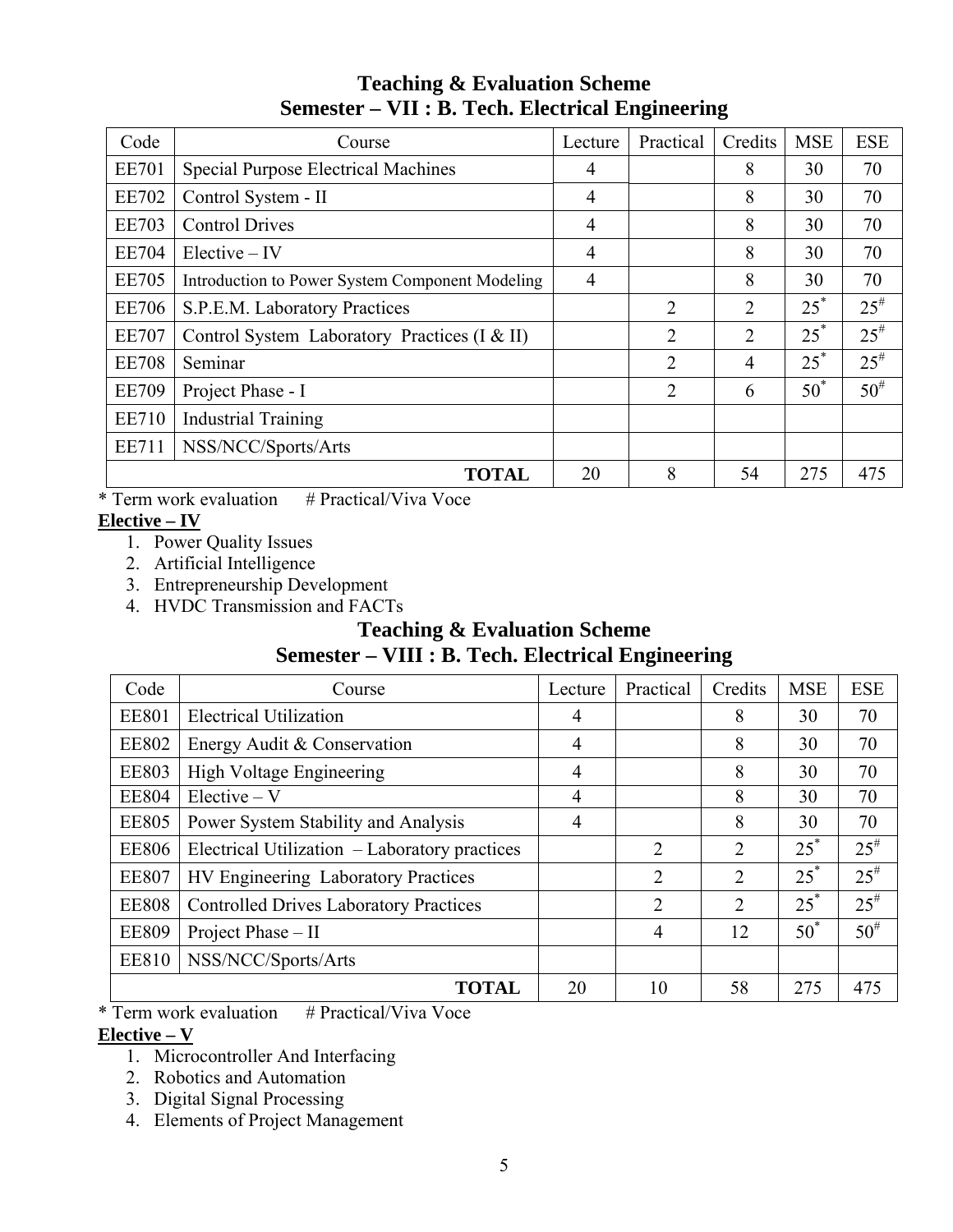# **Teaching & Evaluation Scheme Semester – VII : B. Tech. Electrical Engineering**

| Code         | Course                                          | Lecture        | Practical      | Credits | <b>MSE</b> | <b>ESE</b> |
|--------------|-------------------------------------------------|----------------|----------------|---------|------------|------------|
| <b>EE701</b> | <b>Special Purpose Electrical Machines</b>      | 4              |                | 8       | 30         | 70         |
| <b>EE702</b> | Control System - II                             | $\overline{4}$ |                | 8       | 30         | 70         |
| <b>EE703</b> | <b>Control Drives</b>                           | 4              |                | 8       | 30         | 70         |
| <b>EE704</b> | $Electric - IV$                                 | 4              |                | 8       | 30         | 70         |
| <b>EE705</b> | Introduction to Power System Component Modeling | 4              |                | 8       | 30         | 70         |
| <b>EE706</b> | S.P.E.M. Laboratory Practices                   |                | $\overline{2}$ | 2       | $25^*$     | $25^{#}$   |
| <b>EE707</b> | Control System Laboratory Practices (I & II)    |                | $\overline{2}$ | 2       | $25^*$     | $25^{#}$   |
| <b>EE708</b> | Seminar                                         |                | 2              | 4       | $25^*$     | $25^{\#}$  |
| <b>EE709</b> | Project Phase - I                               |                | 2              | 6       | $50^*$     | $50^{#}$   |
| <b>EE710</b> | <b>Industrial Training</b>                      |                |                |         |            |            |
| EE711        | NSS/NCC/Sports/Arts                             |                |                |         |            |            |
|              | <b>TOTAL</b>                                    | 20             | 8              | 54      | 275        | 475        |

 $*$  Term work evaluation  $*$  Practical/Viva Voce

# **Elective – IV**

- 1. Power Quality Issues
- 2. Artificial Intelligence
- 3. Entrepreneurship Development
- 4. HVDC Transmission and FACTs

# **Teaching & Evaluation Scheme**

# **Semester – VIII : B. Tech. Electrical Engineering**

| Code         | Course                                        | Lecture | Practical      | Credits        | <b>MSE</b> | <b>ESE</b> |
|--------------|-----------------------------------------------|---------|----------------|----------------|------------|------------|
| <b>EE801</b> | <b>Electrical Utilization</b>                 | 4       |                | 8              | 30         | 70         |
| <b>EE802</b> | Energy Audit & Conservation                   | 4       |                | 8              | 30         | 70         |
| <b>EE803</b> | <b>High Voltage Engineering</b>               | 4       |                | 8              | 30         | 70         |
| <b>EE804</b> | $Elective - V$                                | 4       |                | 8              | 30         | 70         |
| <b>EE805</b> | Power System Stability and Analysis           | 4       |                | 8              | 30         | 70         |
| <b>EE806</b> | Electrical Utilization - Laboratory practices |         | $\overline{2}$ | 2              | $25^*$     | $25^{#}$   |
| <b>EE807</b> | HV Engineering Laboratory Practices           |         | $\overline{2}$ | $\overline{2}$ | $25^*$     | $25^{#}$   |
| <b>EE808</b> | <b>Controlled Drives Laboratory Practices</b> |         | $\overline{2}$ | $\overline{2}$ | $25^*$     | $25^{#}$   |
| <b>EE809</b> | Project Phase - II                            |         | 4              | 12             | $50^*$     | $50^{#}$   |
| <b>EE810</b> | NSS/NCC/Sports/Arts                           |         |                |                |            |            |
|              | <b>TOTAL</b>                                  | 20      | 10             | 58             | 275        | 475        |

 $*$  Term work evaluation  $*$  Practical/Viva Voce **Elective – V**

- 1. Microcontroller And Interfacing
- 2. Robotics and Automation
- 3. Digital Signal Processing
- 4. Elements of Project Management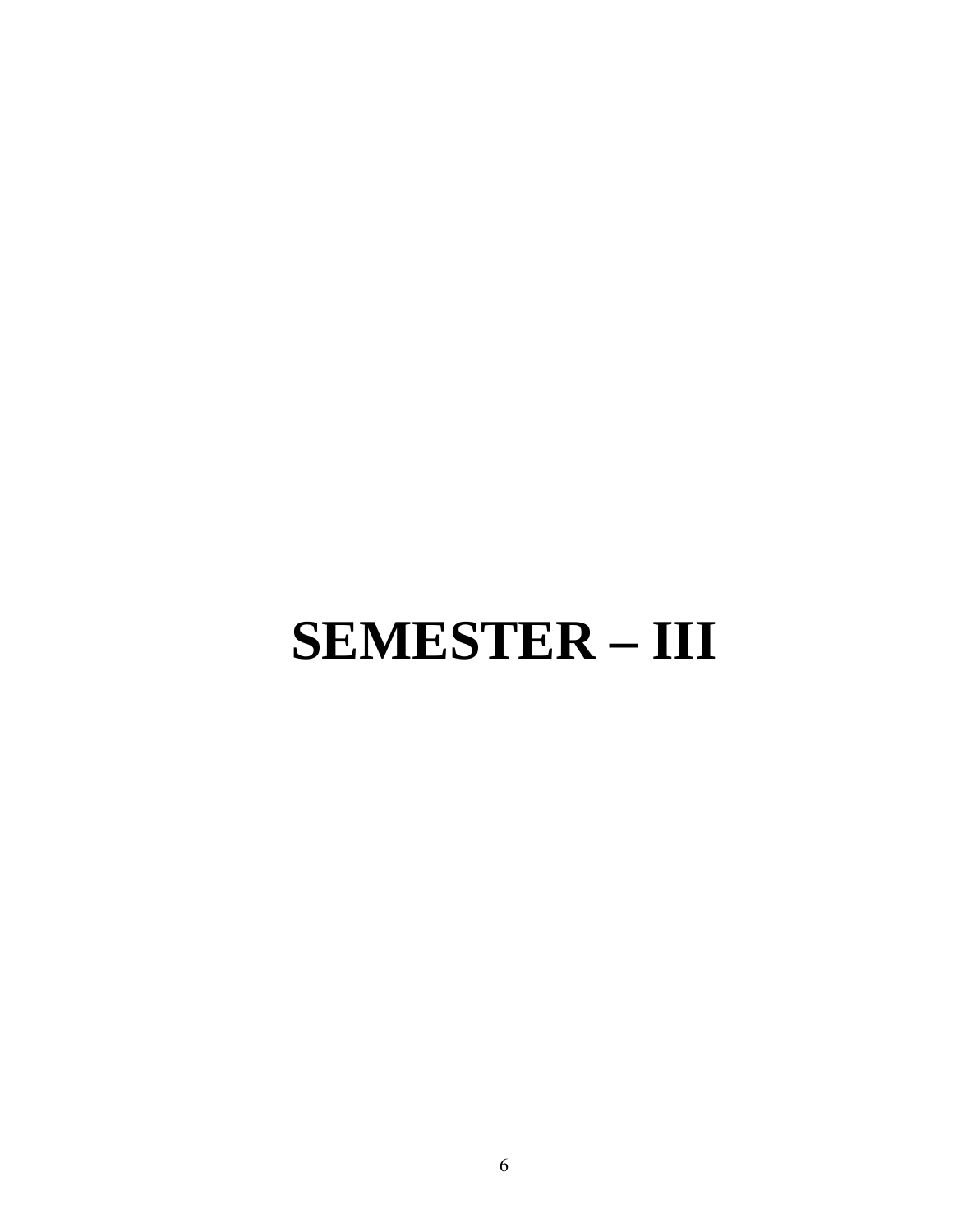# **SEMESTER – III**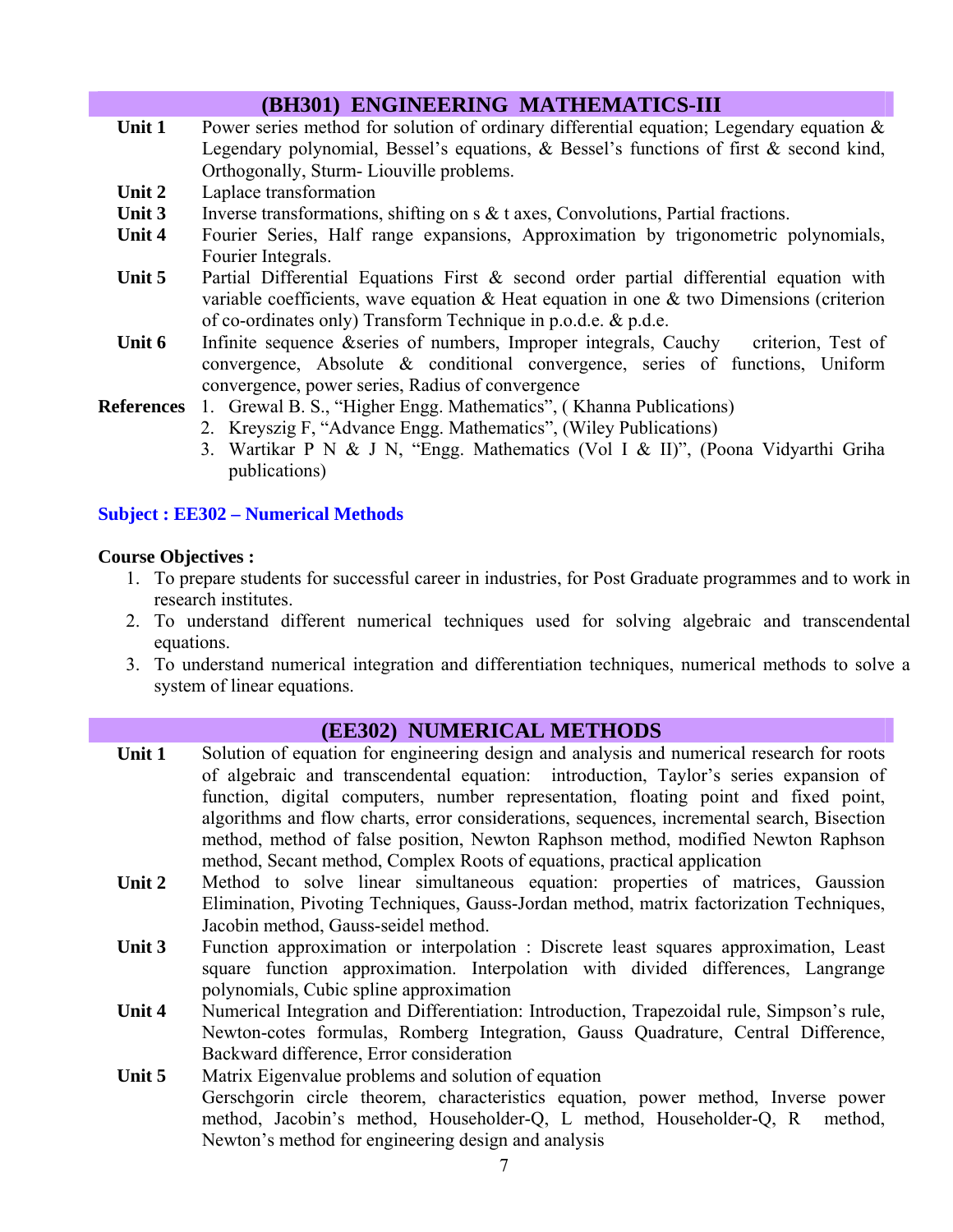# **(BH301) ENGINEERING MATHEMATICS-III**

- Unit 1 Power series method for solution of ordinary differential equation; Legendary equation & Legendary polynomial, Bessel's equations, & Bessel's functions of first & second kind, Orthogonally, Sturm- Liouville problems.
- **Unit 2** Laplace transformation
- Unit 3 Inverse transformations, shifting on s & t axes, Convolutions, Partial fractions.
- **Unit 4** Fourier Series, Half range expansions, Approximation by trigonometric polynomials, Fourier Integrals.
- Unit 5 Partial Differential Equations First & second order partial differential equation with variable coefficients, wave equation  $\&$  Heat equation in one  $\&$  two Dimensions (criterion of co-ordinates only) Transform Technique in p.o.d.e. & p.d.e.
- Unit 6 Infinite sequence &series of numbers, Improper integrals, Cauchy criterion, Test of convergence, Absolute & conditional convergence, series of functions, Uniform convergence, power series, Radius of convergence
- **References** 1. Grewal B. S., "Higher Engg. Mathematics", ( Khanna Publications)
	- 2. Kreyszig F, "Advance Engg. Mathematics", (Wiley Publications)
		- 3. Wartikar P N & J N, "Engg. Mathematics (Vol I & II)", (Poona Vidyarthi Griha publications)

#### **Subject : EE302 – Numerical Methods**

#### **Course Objectives :**

- 1. To prepare students for successful career in industries, for Post Graduate programmes and to work in research institutes.
- 2. To understand different numerical techniques used for solving algebraic and transcendental equations.
- 3. To understand numerical integration and differentiation techniques, numerical methods to solve a system of linear equations.

#### **(EE302) NUMERICAL METHODS**

- Unit 1 Solution of equation for engineering design and analysis and numerical research for roots of algebraic and transcendental equation: introduction, Taylor's series expansion of function, digital computers, number representation, floating point and fixed point, algorithms and flow charts, error considerations, sequences, incremental search, Bisection method, method of false position, Newton Raphson method, modified Newton Raphson method, Secant method, Complex Roots of equations, practical application
- Unit 2 Method to solve linear simultaneous equation: properties of matrices, Gaussion Elimination, Pivoting Techniques, Gauss-Jordan method, matrix factorization Techniques, Jacobin method, Gauss-seidel method.
- Unit 3 Function approximation or interpolation : Discrete least squares approximation, Least square function approximation. Interpolation with divided differences, Langrange polynomials, Cubic spline approximation
- **Unit 4** Numerical Integration and Differentiation: Introduction, Trapezoidal rule, Simpson's rule, Newton-cotes formulas, Romberg Integration, Gauss Quadrature, Central Difference, Backward difference, Error consideration
- **Unit 5** Matrix Eigenvalue problems and solution of equation Gerschgorin circle theorem, characteristics equation, power method, Inverse power method, Jacobin's method, Householder-Q, L method, Householder-Q, R method, Newton's method for engineering design and analysis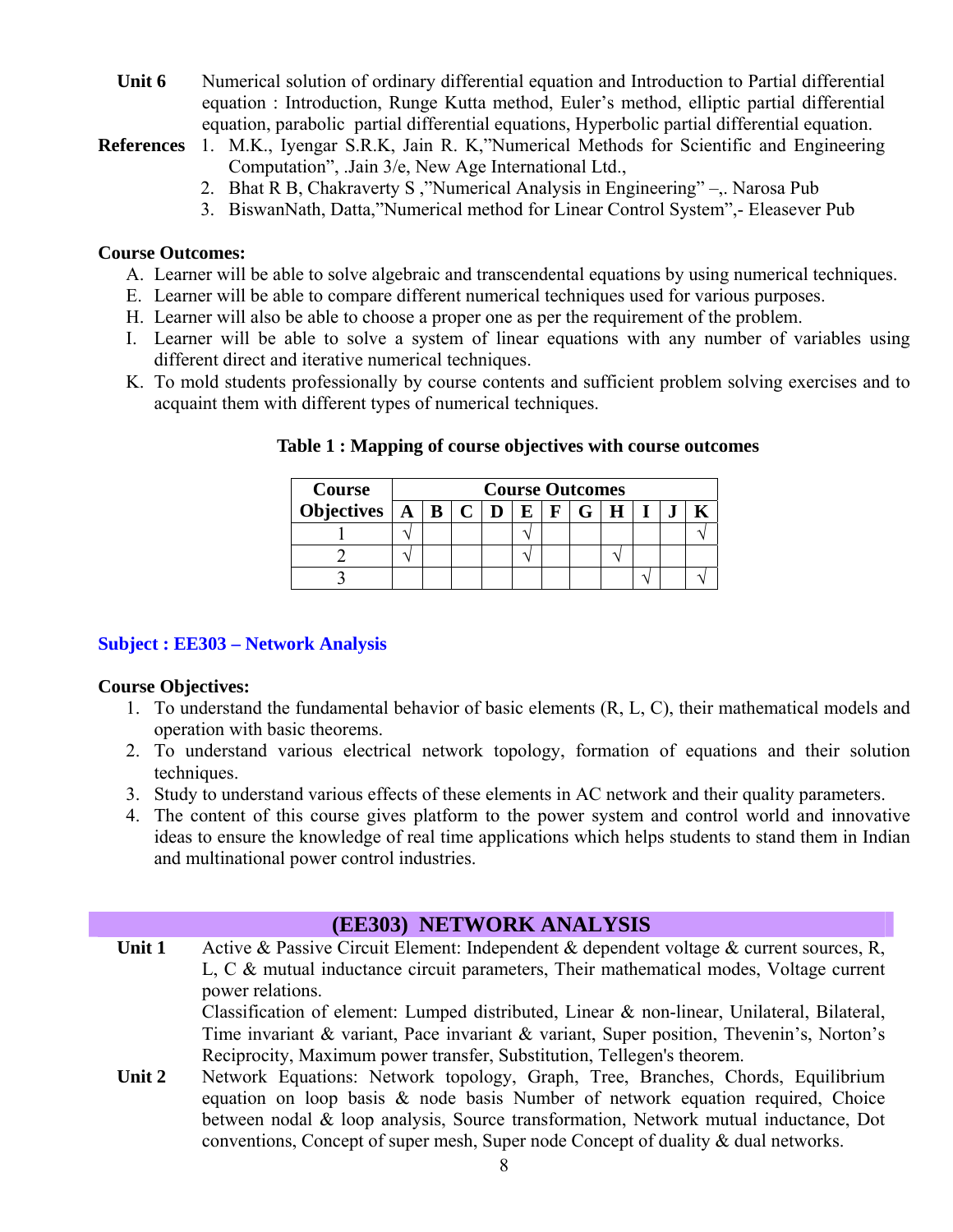Unit 6 • Numerical solution of ordinary differential equation and Introduction to Partial differential equation : Introduction, Runge Kutta method, Euler's method, elliptic partial differential equation, parabolic partial differential equations, Hyperbolic partial differential equation.

**References** 1. M.K., Iyengar S.R.K, Jain R. K,"Numerical Methods for Scientific and Engineering Computation", .Jain 3/e, New Age International Ltd.,

- 2. Bhat R B, Chakraverty S ,"Numerical Analysis in Engineering" –,. Narosa Pub
- 3. BiswanNath, Datta,"Numerical method for Linear Control System",- Eleasever Pub

#### **Course Outcomes:**

- A. Learner will be able to solve algebraic and transcendental equations by using numerical techniques.
- E. Learner will be able to compare different numerical techniques used for various purposes.
- H. Learner will also be able to choose a proper one as per the requirement of the problem.
- I. Learner will be able to solve a system of linear equations with any number of variables using different direct and iterative numerical techniques.
- K. To mold students professionally by course contents and sufficient problem solving exercises and to acquaint them with different types of numerical techniques.

| <b>Course</b>                |  | <b>Course Outcomes</b> |  |  |  |  |     |  |  |  |  |  |  |  |  |  |  |
|------------------------------|--|------------------------|--|--|--|--|-----|--|--|--|--|--|--|--|--|--|--|
| Objectives $A \mid B \mid C$ |  |                        |  |  |  |  | F G |  |  |  |  |  |  |  |  |  |  |
|                              |  |                        |  |  |  |  |     |  |  |  |  |  |  |  |  |  |  |
|                              |  |                        |  |  |  |  |     |  |  |  |  |  |  |  |  |  |  |
|                              |  |                        |  |  |  |  |     |  |  |  |  |  |  |  |  |  |  |

**Table 1 : Mapping of course objectives with course outcomes** 

#### **Subject : EE303 – Network Analysis**

#### **Course Objectives:**

- 1. To understand the fundamental behavior of basic elements (R, L, C), their mathematical models and operation with basic theorems.
- 2. To understand various electrical network topology, formation of equations and their solution techniques.
- 3. Study to understand various effects of these elements in AC network and their quality parameters.
- 4. The content of this course gives platform to the power system and control world and innovative ideas to ensure the knowledge of real time applications which helps students to stand them in Indian and multinational power control industries.

# **(EE303) NETWORK ANALYSIS**

**Unit 1** Active & Passive Circuit Element: Independent & dependent voltage & current sources, R, L, C & mutual inductance circuit parameters, Their mathematical modes, Voltage current power relations.

> Classification of element: Lumped distributed, Linear & non-linear, Unilateral, Bilateral, Time invariant & variant, Pace invariant & variant, Super position, Thevenin's, Norton's Reciprocity, Maximum power transfer, Substitution, Tellegen's theorem.

**Unit 2** Network Equations: Network topology, Graph, Tree, Branches, Chords, Equilibrium equation on loop basis & node basis Number of network equation required, Choice between nodal & loop analysis, Source transformation, Network mutual inductance, Dot conventions, Concept of super mesh, Super node Concept of duality & dual networks.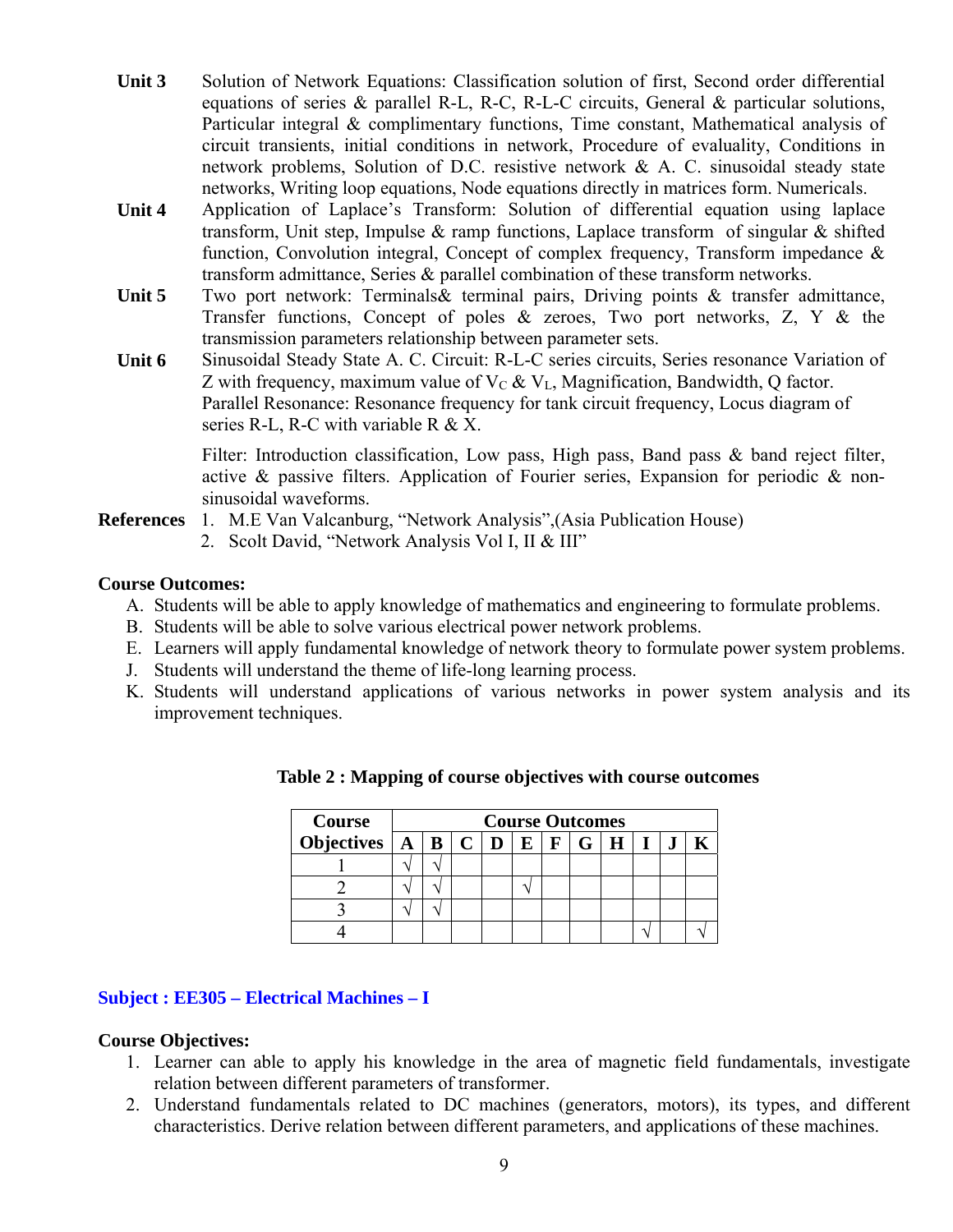- **Unit 3** Solution of Network Equations: Classification solution of first, Second order differential equations of series & parallel R-L, R-C, R-L-C circuits, General & particular solutions, Particular integral & complimentary functions, Time constant, Mathematical analysis of circuit transients, initial conditions in network, Procedure of evaluality, Conditions in network problems, Solution of D.C. resistive network & A. C. sinusoidal steady state networks, Writing loop equations, Node equations directly in matrices form. Numericals.
- **Unit 4** Application of Laplace's Transform: Solution of differential equation using laplace transform, Unit step, Impulse  $\&$  ramp functions, Laplace transform of singular  $\&$  shifted function, Convolution integral, Concept of complex frequency, Transform impedance & transform admittance, Series & parallel combination of these transform networks.
- Unit 5 Two port network: Terminals & terminal pairs, Driving points & transfer admittance, Transfer functions, Concept of poles  $\&$  zeroes, Two port networks, Z, Y  $\&$  the transmission parameters relationship between parameter sets.
- **Unit 6** Sinusoidal Steady State A. C. Circuit: R-L-C series circuits, Series resonance Variation of Z with frequency, maximum value of  $V_C \& V_L$ , Magnification, Bandwidth, Q factor. Parallel Resonance: Resonance frequency for tank circuit frequency, Locus diagram of series R-L, R-C with variable R  $& X$ .

Filter: Introduction classification, Low pass, High pass, Band pass & band reject filter, active & passive filters. Application of Fourier series, Expansion for periodic & nonsinusoidal waveforms.

- **References** 1. M.E Van Valcanburg, "Network Analysis",(Asia Publication House)
	- 2. Scolt David, "Network Analysis Vol I, II & III"

#### **Course Outcomes:**

- A. Students will be able to apply knowledge of mathematics and engineering to formulate problems.
- B. Students will be able to solve various electrical power network problems.
- E. Learners will apply fundamental knowledge of network theory to formulate power system problems.
- J. Students will understand the theme of life-long learning process.
- K. Students will understand applications of various networks in power system analysis and its improvement techniques.

| Course                              | <b>Course Outcomes</b> |  |  |  |  |             |   |  |  |  |
|-------------------------------------|------------------------|--|--|--|--|-------------|---|--|--|--|
| Objectives $A \mid B \mid C \mid D$ |                        |  |  |  |  | $E$ $F$ $G$ | H |  |  |  |
|                                     |                        |  |  |  |  |             |   |  |  |  |
|                                     |                        |  |  |  |  |             |   |  |  |  |
|                                     |                        |  |  |  |  |             |   |  |  |  |
|                                     |                        |  |  |  |  |             |   |  |  |  |

|  |  |  |  |  | Table 2 : Mapping of course objectives with course outcomes |  |  |  |
|--|--|--|--|--|-------------------------------------------------------------|--|--|--|
|--|--|--|--|--|-------------------------------------------------------------|--|--|--|

#### **Subject : EE305 – Electrical Machines – I**

#### **Course Objectives:**

- 1. Learner can able to apply his knowledge in the area of magnetic field fundamentals, investigate relation between different parameters of transformer.
- 2. Understand fundamentals related to DC machines (generators, motors), its types, and different characteristics. Derive relation between different parameters, and applications of these machines.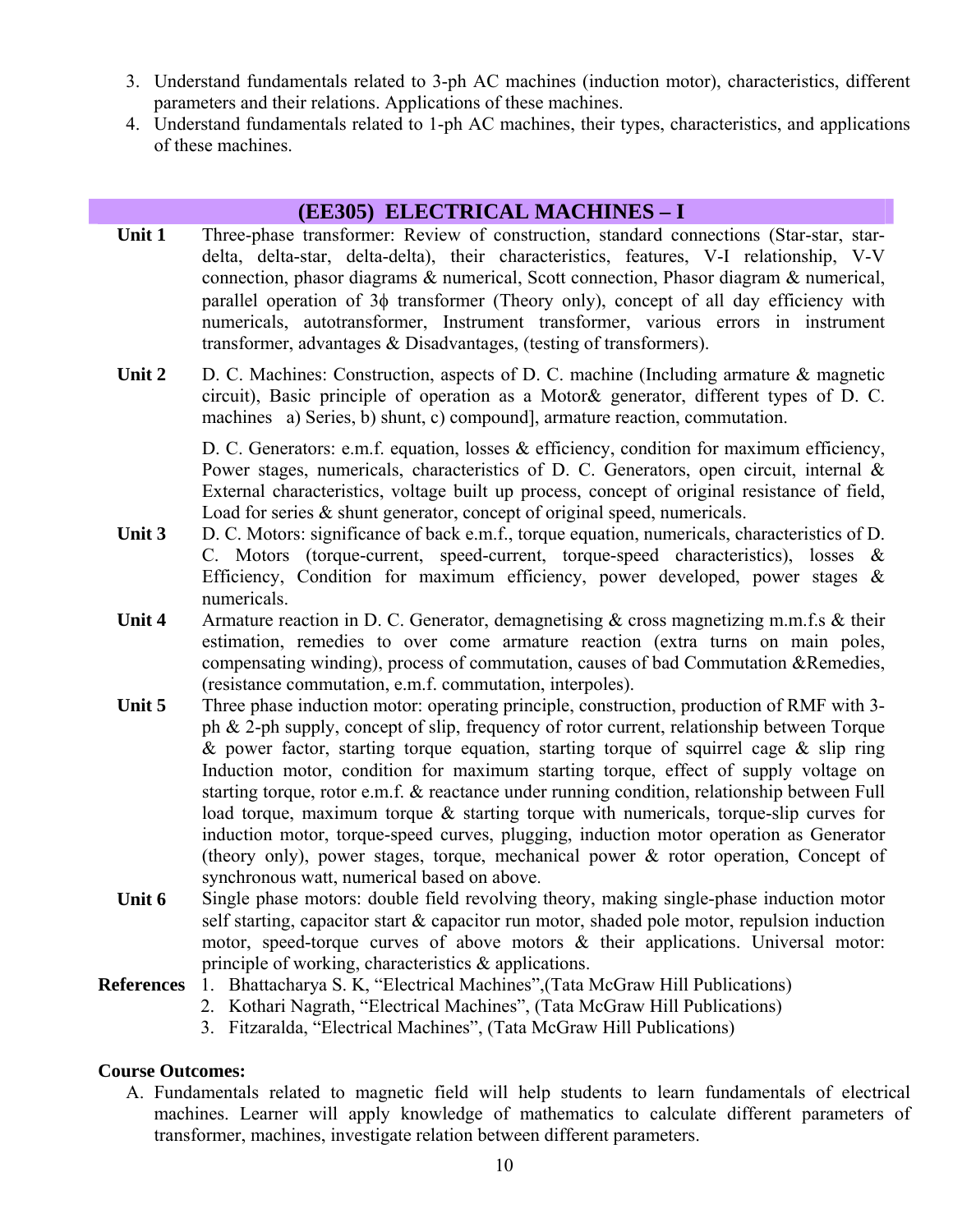- 3. Understand fundamentals related to 3-ph AC machines (induction motor), characteristics, different parameters and their relations. Applications of these machines.
- 4. Understand fundamentals related to 1-ph AC machines, their types, characteristics, and applications of these machines.

# **(EE305) ELECTRICAL MACHINES – I**

- Unit 1 Three-phase transformer: Review of construction, standard connections (Star-star, stardelta, delta-star, delta-delta), their characteristics, features, V-I relationship, V-V connection, phasor diagrams & numerical, Scott connection, Phasor diagram & numerical, parallel operation of 3φ transformer (Theory only), concept of all day efficiency with numericals, autotransformer, Instrument transformer, various errors in instrument transformer, advantages & Disadvantages, (testing of transformers).
- Unit 2 D. C. Machines: Construction, aspects of D. C. machine (Including armature & magnetic circuit), Basic principle of operation as a Motor& generator, different types of D. C. machines a) Series, b) shunt, c) compound], armature reaction, commutation.

D. C. Generators: e.m.f. equation, losses & efficiency, condition for maximum efficiency, Power stages, numericals, characteristics of D. C. Generators, open circuit, internal & External characteristics, voltage built up process, concept of original resistance of field, Load for series  $&$  shunt generator, concept of original speed, numericals.

- **Unit 3** D. C. Motors: significance of back e.m.f., torque equation, numericals, characteristics of D. C. Motors (torque-current, speed-current, torque-speed characteristics), losses & Efficiency, Condition for maximum efficiency, power developed, power stages  $\&$ numericals.
- Unit 4 Armature reaction in D. C. Generator, demagnetising & cross magnetizing m.m.f.s & their estimation, remedies to over come armature reaction (extra turns on main poles, compensating winding), process of commutation, causes of bad Commutation &Remedies, (resistance commutation, e.m.f. commutation, interpoles).
- **Unit 5** Three phase induction motor: operating principle, construction, production of RMF with 3 ph & 2-ph supply, concept of slip, frequency of rotor current, relationship between Torque & power factor, starting torque equation, starting torque of squirrel cage  $\&$  slip ring Induction motor, condition for maximum starting torque, effect of supply voltage on starting torque, rotor e.m.f. & reactance under running condition, relationship between Full load torque, maximum torque & starting torque with numericals, torque-slip curves for induction motor, torque-speed curves, plugging, induction motor operation as Generator (theory only), power stages, torque, mechanical power & rotor operation, Concept of synchronous watt, numerical based on above.
- Unit 6 Single phase motors: double field revolving theory, making single-phase induction motor self starting, capacitor start & capacitor run motor, shaded pole motor, repulsion induction motor, speed-torque curves of above motors & their applications. Universal motor: principle of working, characteristics & applications.
- **References** 1. Bhattacharya S. K, "Electrical Machines",(Tata McGraw Hill Publications)
	- 2. Kothari Nagrath, "Electrical Machines", (Tata McGraw Hill Publications)
	- 3. Fitzaralda, "Electrical Machines", (Tata McGraw Hill Publications)

#### **Course Outcomes:**

A. Fundamentals related to magnetic field will help students to learn fundamentals of electrical machines. Learner will apply knowledge of mathematics to calculate different parameters of transformer, machines, investigate relation between different parameters.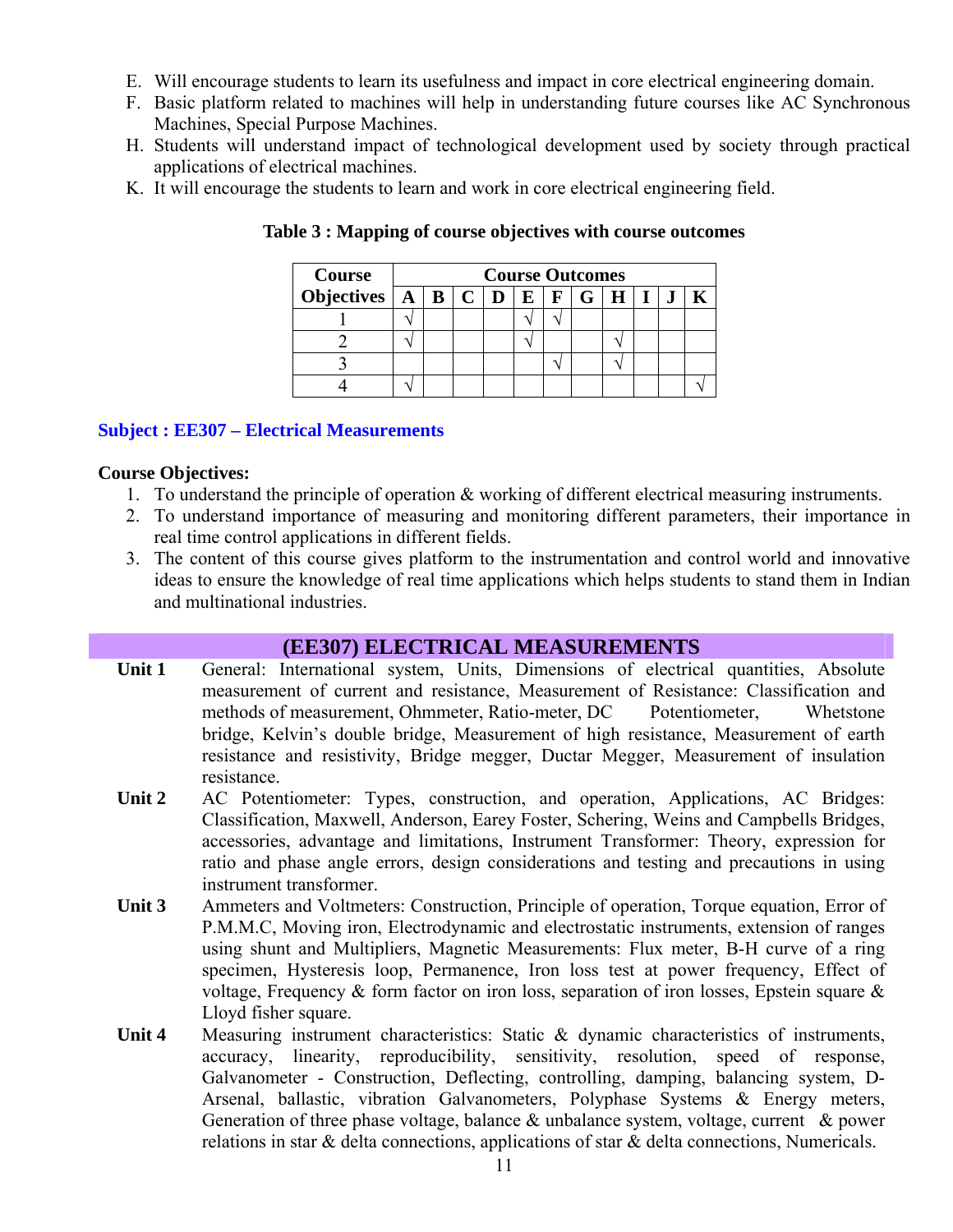- E. Will encourage students to learn its usefulness and impact in core electrical engineering domain.
- F. Basic platform related to machines will help in understanding future courses like AC Synchronous Machines, Special Purpose Machines.
- H. Students will understand impact of technological development used by society through practical applications of electrical machines.
- K. It will encourage the students to learn and work in core electrical engineering field.

| Course                                                                            | <b>Course Outcomes</b> |  |  |  |  |  |  |  |  |  |  |
|-----------------------------------------------------------------------------------|------------------------|--|--|--|--|--|--|--|--|--|--|
| Objectives $A \mid B \mid C \mid D \mid E \mid F \mid \overline{G \mid H \mid I}$ |                        |  |  |  |  |  |  |  |  |  |  |
|                                                                                   |                        |  |  |  |  |  |  |  |  |  |  |
|                                                                                   |                        |  |  |  |  |  |  |  |  |  |  |
|                                                                                   |                        |  |  |  |  |  |  |  |  |  |  |
|                                                                                   |                        |  |  |  |  |  |  |  |  |  |  |

**Table 3 : Mapping of course objectives with course outcomes** 

#### **Subject : EE307 – Electrical Measurements**

#### **Course Objectives:**

- 1. To understand the principle of operation & working of different electrical measuring instruments.
- 2. To understand importance of measuring and monitoring different parameters, their importance in real time control applications in different fields.
- 3. The content of this course gives platform to the instrumentation and control world and innovative ideas to ensure the knowledge of real time applications which helps students to stand them in Indian and multinational industries.

# **(EE307) ELECTRICAL MEASUREMENTS**

- Unit 1 General: International system, Units, Dimensions of electrical quantities, Absolute measurement of current and resistance, Measurement of Resistance: Classification and methods of measurement, Ohmmeter, Ratio-meter, DC Potentiometer, Whetstone bridge, Kelvin's double bridge, Measurement of high resistance, Measurement of earth resistance and resistivity, Bridge megger, Ductar Megger, Measurement of insulation resistance.
- **Unit 2** AC Potentiometer: Types, construction, and operation, Applications, AC Bridges: Classification, Maxwell, Anderson, Earey Foster, Schering, Weins and Campbells Bridges, accessories, advantage and limitations, Instrument Transformer: Theory, expression for ratio and phase angle errors, design considerations and testing and precautions in using instrument transformer.
- **Unit 3** Ammeters and Voltmeters: Construction, Principle of operation, Torque equation, Error of P.M.M.C, Moving iron, Electrodynamic and electrostatic instruments, extension of ranges using shunt and Multipliers, Magnetic Measurements: Flux meter, B-H curve of a ring specimen, Hysteresis loop, Permanence, Iron loss test at power frequency, Effect of voltage, Frequency  $\&$  form factor on iron loss, separation of iron losses, Epstein square  $\&$ Lloyd fisher square.
- Unit 4 Measuring instrument characteristics: Static & dynamic characteristics of instruments, accuracy, linearity, reproducibility, sensitivity, resolution, speed of response, Galvanometer - Construction, Deflecting, controlling, damping, balancing system, D-Arsenal, ballastic, vibration Galvanometers, Polyphase Systems & Energy meters, Generation of three phase voltage, balance & unbalance system, voltage, current & power relations in star  $\&$  delta connections, applications of star  $\&$  delta connections, Numericals.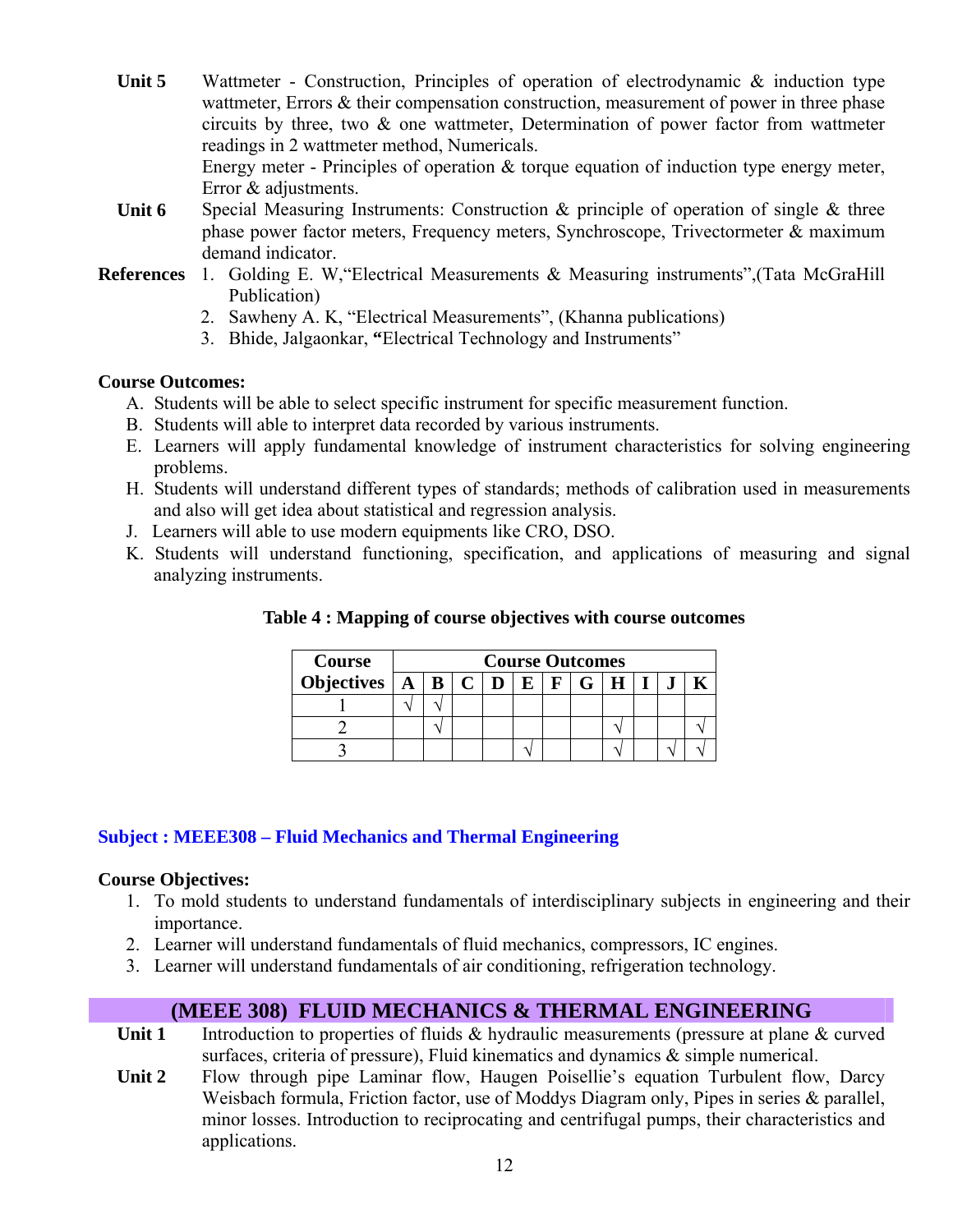- **Unit 5** Wattmeter Construction, Principles of operation of electrodynamic & induction type wattmeter, Errors & their compensation construction, measurement of power in three phase circuits by three, two & one wattmeter, Determination of power factor from wattmeter readings in 2 wattmeter method, Numericals. Energy meter - Principles of operation  $\&$  torque equation of induction type energy meter, Error & adjustments.
- **Unit 6** Special Measuring Instruments: Construction & principle of operation of single & three phase power factor meters, Frequency meters, Synchroscope, Trivectormeter & maximum demand indicator.
- **References** 1. Golding E. W,"Electrical Measurements & Measuring instruments",(Tata McGraHill Publication)
	- 2. Sawheny A. K, "Electrical Measurements", (Khanna publications)
	- 3. Bhide, Jalgaonkar, **"**Electrical Technology and Instruments"

#### **Course Outcomes:**

- A. Students will be able to select specific instrument for specific measurement function.
- B. Students will able to interpret data recorded by various instruments.
- E. Learners will apply fundamental knowledge of instrument characteristics for solving engineering problems.
- H. Students will understand different types of standards; methods of calibration used in measurements and also will get idea about statistical and regression analysis.
- J. Learners will able to use modern equipments like CRO, DSO.
- K. Students will understand functioning, specification, and applications of measuring and signal analyzing instruments.

| Course                | <b>Course Outcomes</b> |  |  |  |   |  |  |  |  |  |  |  |
|-----------------------|------------------------|--|--|--|---|--|--|--|--|--|--|--|
| Objectives $\ A\ B\ $ |                        |  |  |  | г |  |  |  |  |  |  |  |
|                       |                        |  |  |  |   |  |  |  |  |  |  |  |
|                       |                        |  |  |  |   |  |  |  |  |  |  |  |
|                       |                        |  |  |  |   |  |  |  |  |  |  |  |

**Table 4 : Mapping of course objectives with course outcomes** 

#### **Subject : MEEE308 – Fluid Mechanics and Thermal Engineering**

#### **Course Objectives:**

- 1. To mold students to understand fundamentals of interdisciplinary subjects in engineering and their importance.
- 2. Learner will understand fundamentals of fluid mechanics, compressors, IC engines.
- 3. Learner will understand fundamentals of air conditioning, refrigeration technology.

# **(MEEE 308) FLUID MECHANICS & THERMAL ENGINEERING**

- **Unit 1** Introduction to properties of fluids & hydraulic measurements (pressure at plane & curved surfaces, criteria of pressure), Fluid kinematics and dynamics & simple numerical.
- **Unit 2** Flow through pipe Laminar flow, Haugen Poisellie's equation Turbulent flow, Darcy Weisbach formula, Friction factor, use of Moddys Diagram only, Pipes in series & parallel, minor losses. Introduction to reciprocating and centrifugal pumps, their characteristics and applications.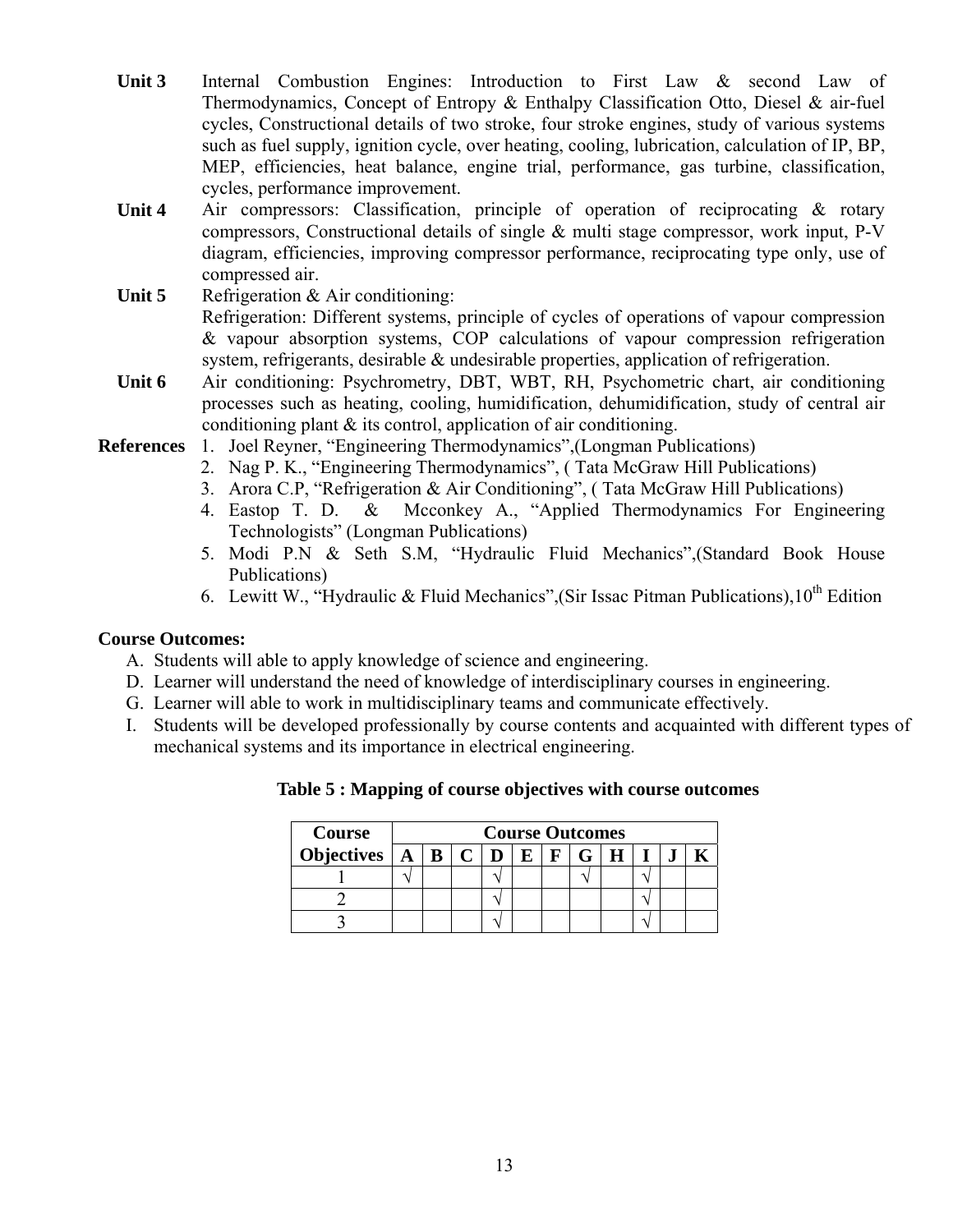- Unit 3 Internal Combustion Engines: Introduction to First Law & second Law of Thermodynamics, Concept of Entropy & Enthalpy Classification Otto, Diesel & air-fuel cycles, Constructional details of two stroke, four stroke engines, study of various systems such as fuel supply, ignition cycle, over heating, cooling, lubrication, calculation of IP, BP, MEP, efficiencies, heat balance, engine trial, performance, gas turbine, classification, cycles, performance improvement.
- **Unit 4** Air compressors: Classification, principle of operation of reciprocating & rotary compressors, Constructional details of single & multi stage compressor, work input, P-V diagram, efficiencies, improving compressor performance, reciprocating type only, use of compressed air.
- Unit 5 Refrigeration & Air conditioning: Refrigeration: Different systems, principle of cycles of operations of vapour compression & vapour absorption systems, COP calculations of vapour compression refrigeration system, refrigerants, desirable & undesirable properties, application of refrigeration.
- **Unit 6** Air conditioning: Psychrometry, DBT, WBT, RH, Psychometric chart, air conditioning processes such as heating, cooling, humidification, dehumidification, study of central air conditioning plant & its control, application of air conditioning.
- **References** 1. Joel Reyner, "Engineering Thermodynamics",(Longman Publications)
	- 2. Nag P. K., "Engineering Thermodynamics", ( Tata McGraw Hill Publications)
	- 3. Arora C.P, "Refrigeration & Air Conditioning", ( Tata McGraw Hill Publications)
	- 4. Eastop T. D. & Mcconkey A., "Applied Thermodynamics For Engineering Technologists" (Longman Publications)
	- 5. Modi P.N & Seth S.M, "Hydraulic Fluid Mechanics",(Standard Book House Publications)
	- 6. Lewitt W., "Hydraulic & Fluid Mechanics" (Sir Issac Pitman Publications),  $10^{th}$  Edition

#### **Course Outcomes:**

- A. Students will able to apply knowledge of science and engineering.
- D. Learner will understand the need of knowledge of interdisciplinary courses in engineering.
- G. Learner will able to work in multidisciplinary teams and communicate effectively.
- I. Students will be developed professionally by course contents and acquainted with different types of mechanical systems and its importance in electrical engineering.

#### **Table 5 : Mapping of course objectives with course outcomes**

| Course                               | <b>Course Outcomes</b> |  |  |  |  |  |  |  |  |  |  |
|--------------------------------------|------------------------|--|--|--|--|--|--|--|--|--|--|
| Objectives $\boxed{A \mid B \mid C}$ |                        |  |  |  |  |  |  |  |  |  |  |
|                                      |                        |  |  |  |  |  |  |  |  |  |  |
|                                      |                        |  |  |  |  |  |  |  |  |  |  |
|                                      |                        |  |  |  |  |  |  |  |  |  |  |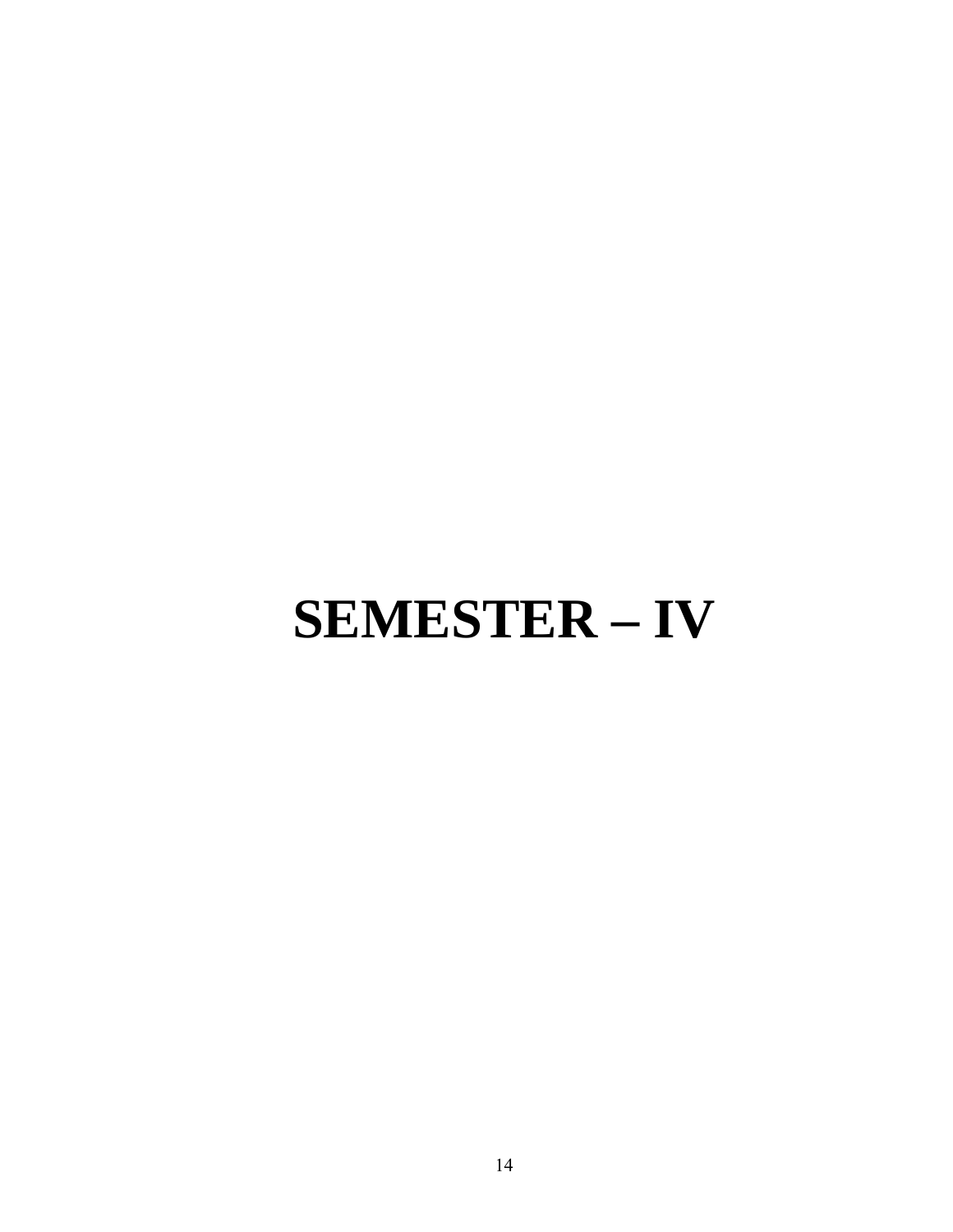# **SEMESTER – IV**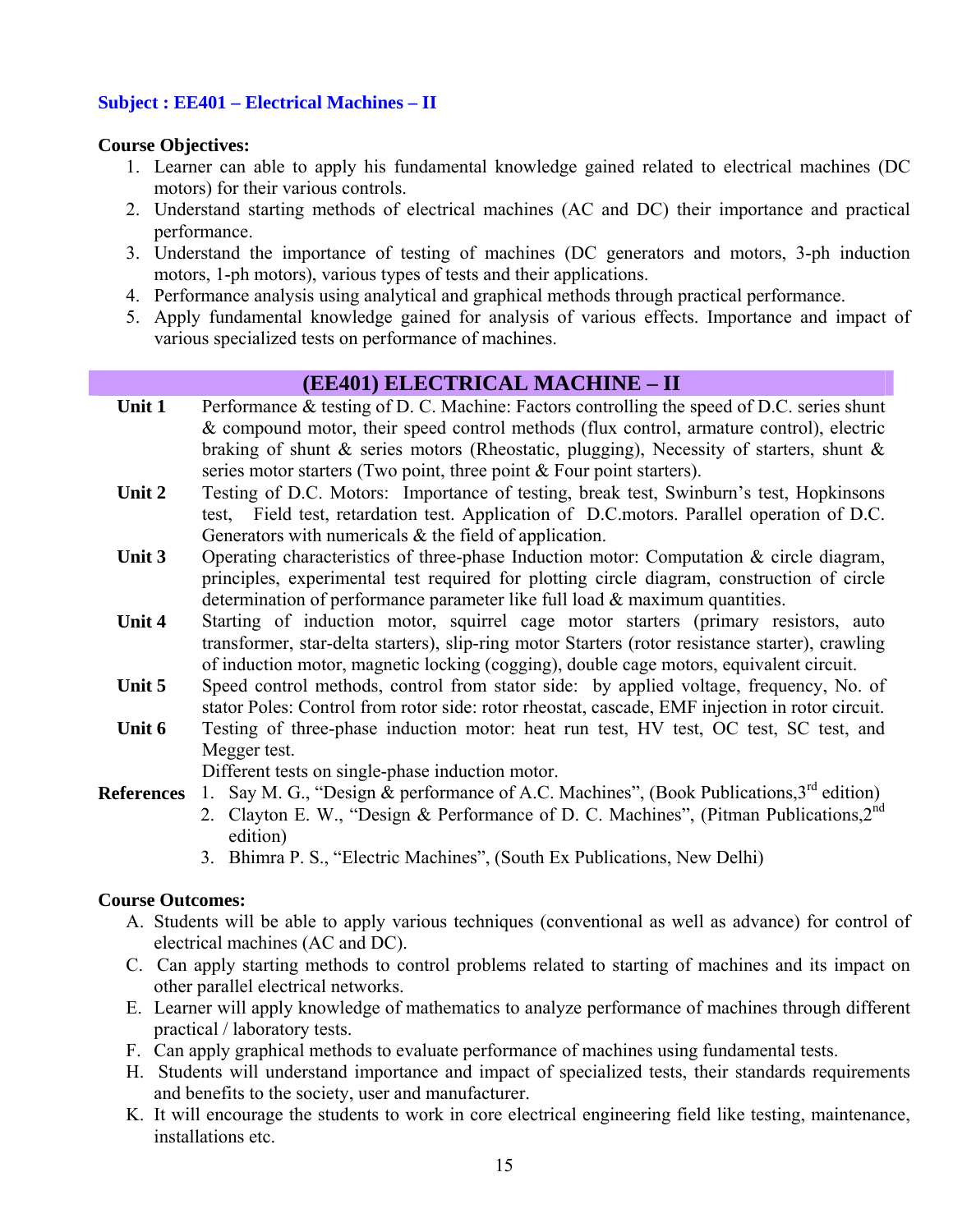#### **Subject : EE401 – Electrical Machines – II**

#### **Course Objectives:**

- 1. Learner can able to apply his fundamental knowledge gained related to electrical machines (DC motors) for their various controls.
- 2. Understand starting methods of electrical machines (AC and DC) their importance and practical performance.
- 3. Understand the importance of testing of machines (DC generators and motors, 3-ph induction motors, 1-ph motors), various types of tests and their applications.
- 4. Performance analysis using analytical and graphical methods through practical performance.
- 5. Apply fundamental knowledge gained for analysis of various effects. Importance and impact of various specialized tests on performance of machines.

### **(EE401) ELECTRICAL MACHINE – II**

- Unit 1 Performance & testing of D. C. Machine: Factors controlling the speed of D.C. series shunt & compound motor, their speed control methods (flux control, armature control), electric braking of shunt & series motors (Rheostatic, plugging), Necessity of starters, shunt & series motor starters (Two point, three point & Four point starters).
- Unit 2 Testing of D.C. Motors: Importance of testing, break test, Swinburn's test, Hopkinsons test, Field test, retardation test. Application of D.C.motors. Parallel operation of D.C. Generators with numericals & the field of application.
- Unit 3 Operating characteristics of three-phase Induction motor: Computation & circle diagram, principles, experimental test required for plotting circle diagram, construction of circle determination of performance parameter like full load & maximum quantities.
- Unit 4 Starting of induction motor, squirrel cage motor starters (primary resistors, auto transformer, star-delta starters), slip-ring motor Starters (rotor resistance starter), crawling of induction motor, magnetic locking (cogging), double cage motors, equivalent circuit.
- Unit 5 Speed control methods, control from stator side: by applied voltage, frequency, No. of stator Poles: Control from rotor side: rotor rheostat, cascade, EMF injection in rotor circuit.
- Unit 6 Testing of three-phase induction motor: heat run test, HV test, OC test, SC test, and Megger test.

Different tests on single-phase induction motor.

- **References** 1. Say M. G., "Design  $\&$  performance of A.C. Machines", (Book Publications,  $3^{rd}$  edition)
	- 2. Clayton E. W., "Design & Performance of D. C. Machines", (Pitman Publications, 2<sup>nd</sup>) edition)
		- 3. Bhimra P. S., "Electric Machines", (South Ex Publications, New Delhi)

#### **Course Outcomes:**

- A. Students will be able to apply various techniques (conventional as well as advance) for control of electrical machines (AC and DC).
- C. Can apply starting methods to control problems related to starting of machines and its impact on other parallel electrical networks.
- E. Learner will apply knowledge of mathematics to analyze performance of machines through different practical / laboratory tests.
- F. Can apply graphical methods to evaluate performance of machines using fundamental tests.
- H. Students will understand importance and impact of specialized tests, their standards requirements and benefits to the society, user and manufacturer.
- K. It will encourage the students to work in core electrical engineering field like testing, maintenance, installations etc.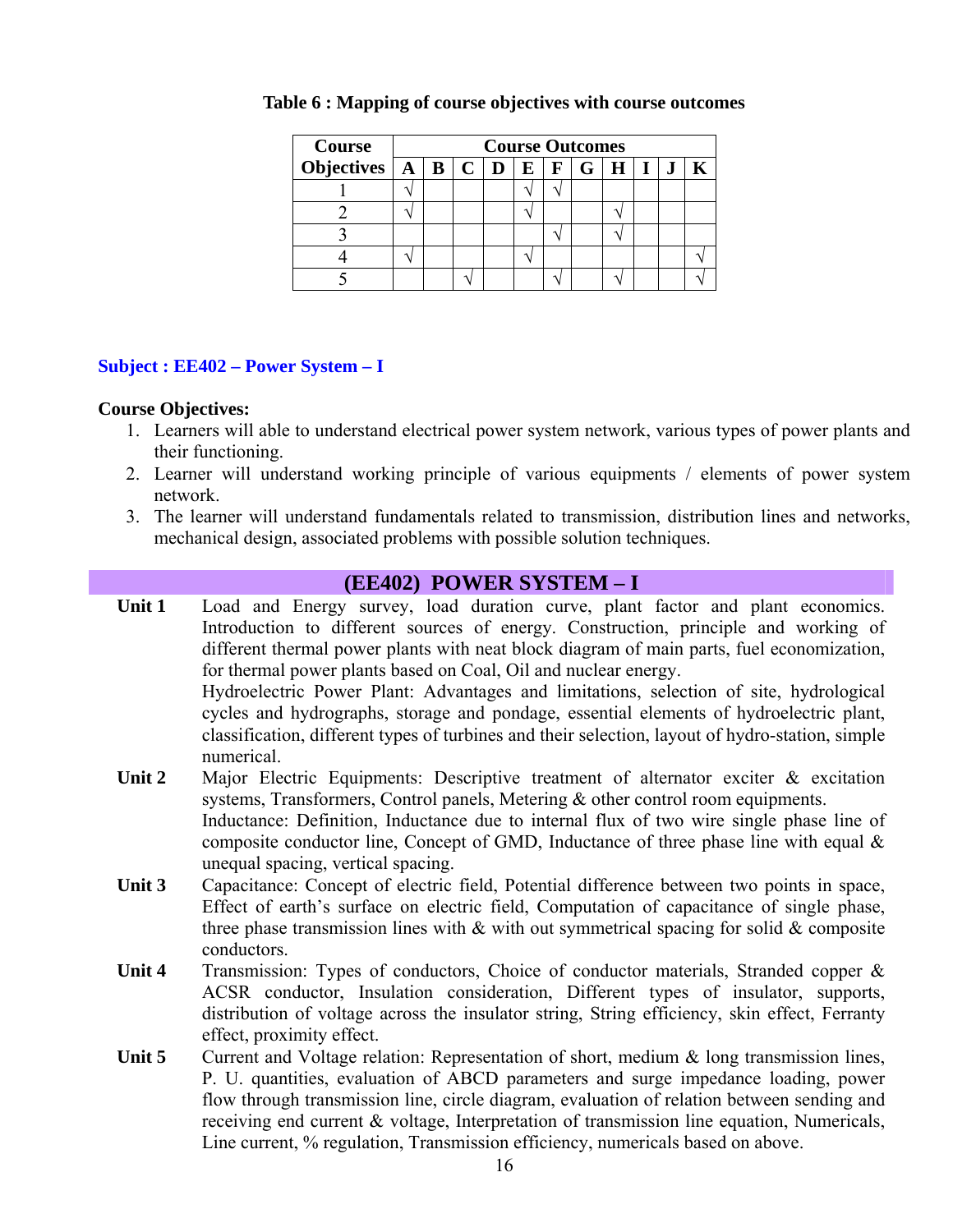| <b>Course</b>                              | <b>Course Outcomes</b> |  |  |  |              |  |                 |  |  |  |  |  |
|--------------------------------------------|------------------------|--|--|--|--------------|--|-----------------|--|--|--|--|--|
| Objectives $A \mid B \mid C \mid D \mid E$ |                        |  |  |  | $\mathbf{F}$ |  | $G$   H   I   J |  |  |  |  |  |
|                                            |                        |  |  |  |              |  |                 |  |  |  |  |  |
|                                            |                        |  |  |  |              |  |                 |  |  |  |  |  |
|                                            |                        |  |  |  |              |  |                 |  |  |  |  |  |
|                                            |                        |  |  |  |              |  |                 |  |  |  |  |  |
|                                            |                        |  |  |  |              |  |                 |  |  |  |  |  |

#### **Table 6 : Mapping of course objectives with course outcomes**

#### **Subject : EE402 – Power System – I**

#### **Course Objectives:**

- 1. Learners will able to understand electrical power system network, various types of power plants and their functioning.
- 2. Learner will understand working principle of various equipments / elements of power system network.
- 3. The learner will understand fundamentals related to transmission, distribution lines and networks, mechanical design, associated problems with possible solution techniques.

#### **(EE402) POWER SYSTEM – I**

- Unit 1 Load and Energy survey, load duration curve, plant factor and plant economics. Introduction to different sources of energy. Construction, principle and working of different thermal power plants with neat block diagram of main parts, fuel economization, for thermal power plants based on Coal, Oil and nuclear energy. Hydroelectric Power Plant: Advantages and limitations, selection of site, hydrological cycles and hydrographs, storage and pondage, essential elements of hydroelectric plant, classification, different types of turbines and their selection, layout of hydro-station, simple numerical.
- Unit 2 Major Electric Equipments: Descriptive treatment of alternator exciter & excitation systems, Transformers, Control panels, Metering & other control room equipments. Inductance: Definition, Inductance due to internal flux of two wire single phase line of composite conductor line, Concept of GMD, Inductance of three phase line with equal  $\&$ unequal spacing, vertical spacing.
- **Unit 3** Capacitance: Concept of electric field, Potential difference between two points in space, Effect of earth's surface on electric field, Computation of capacitance of single phase, three phase transmission lines with  $\&$  with out symmetrical spacing for solid  $\&$  composite conductors.
- Unit 4 Transmission: Types of conductors, Choice of conductor materials, Stranded copper & ACSR conductor, Insulation consideration, Different types of insulator, supports, distribution of voltage across the insulator string, String efficiency, skin effect, Ferranty effect, proximity effect.
- **Unit 5** Current and Voltage relation: Representation of short, medium & long transmission lines, P. U. quantities, evaluation of ABCD parameters and surge impedance loading, power flow through transmission line, circle diagram, evaluation of relation between sending and receiving end current & voltage, Interpretation of transmission line equation, Numericals, Line current, % regulation, Transmission efficiency, numericals based on above.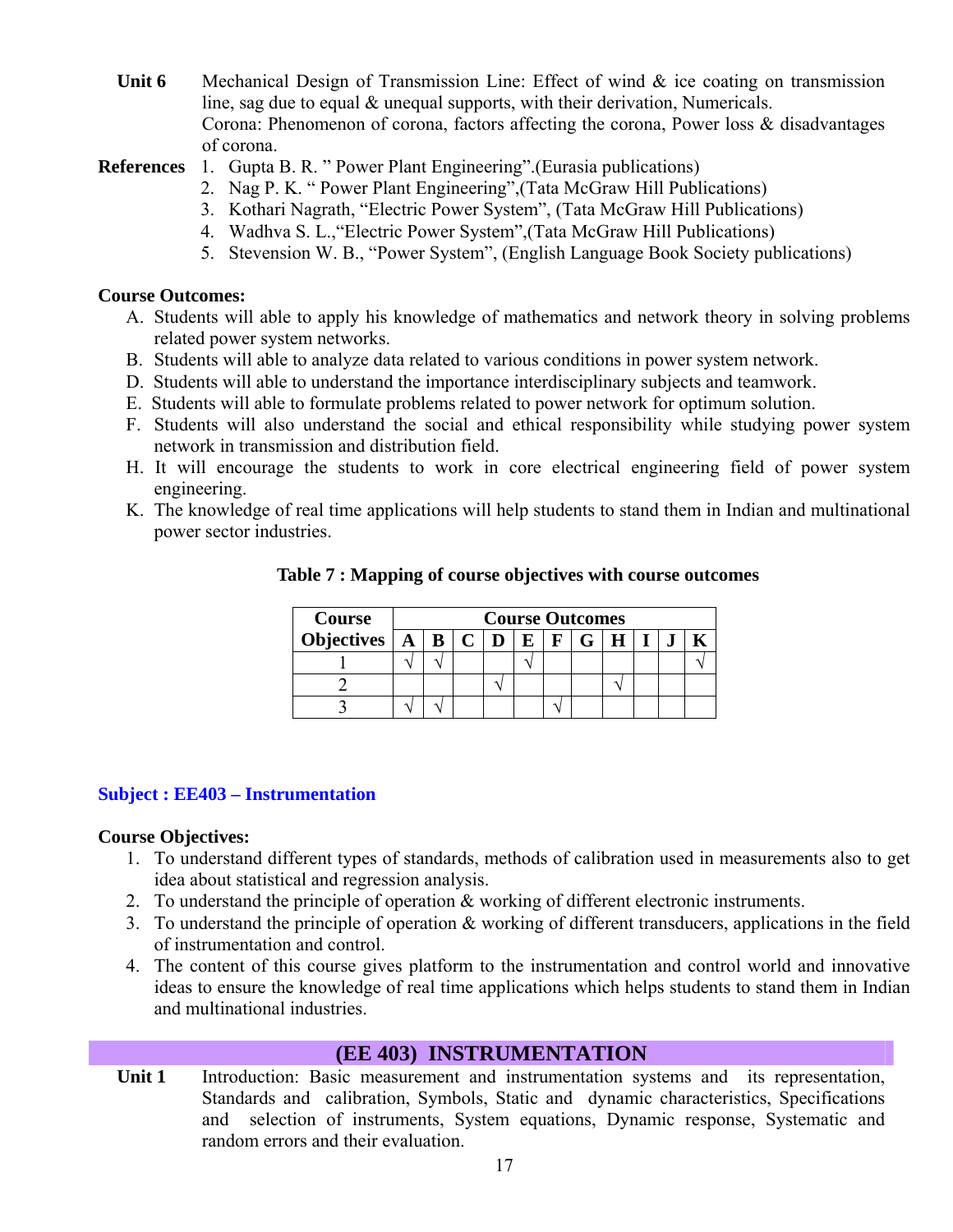**Unit 6** Mechanical Design of Transmission Line: Effect of wind & ice coating on transmission line, sag due to equal & unequal supports, with their derivation, Numericals. Corona: Phenomenon of corona, factors affecting the corona, Power loss & disadvantages of corona.

#### **References** 1. Gupta B. R. " Power Plant Engineering".(Eurasia publications)

- 2. Nag P. K. " Power Plant Engineering",(Tata McGraw Hill Publications)
- 3. Kothari Nagrath, "Electric Power System", (Tata McGraw Hill Publications)
- 4. Wadhva S. L.,"Electric Power System",(Tata McGraw Hill Publications)
- 5. Stevension W. B., "Power System", (English Language Book Society publications)

#### **Course Outcomes:**

- A. Students will able to apply his knowledge of mathematics and network theory in solving problems related power system networks.
- B. Students will able to analyze data related to various conditions in power system network.
- D. Students will able to understand the importance interdisciplinary subjects and teamwork.
- E. Students will able to formulate problems related to power network for optimum solution.
- F. Students will also understand the social and ethical responsibility while studying power system network in transmission and distribution field.
- H. It will encourage the students to work in core electrical engineering field of power system engineering.
- K. The knowledge of real time applications will help students to stand them in Indian and multinational power sector industries.

| <b>Course</b> | <b>Course Outcomes</b> |  |  |  |  |  |  |  |  |  |  |  |  |
|---------------|------------------------|--|--|--|--|--|--|--|--|--|--|--|--|
|               | $\mathbf{F}$           |  |  |  |  |  |  |  |  |  |  |  |  |
|               |                        |  |  |  |  |  |  |  |  |  |  |  |  |
|               |                        |  |  |  |  |  |  |  |  |  |  |  |  |
|               |                        |  |  |  |  |  |  |  |  |  |  |  |  |

#### **Table 7 : Mapping of course objectives with course outcomes**

#### **Subject : EE403 – Instrumentation**

#### **Course Objectives:**

- 1. To understand different types of standards, methods of calibration used in measurements also to get idea about statistical and regression analysis.
- 2. To understand the principle of operation & working of different electronic instruments.
- 3. To understand the principle of operation & working of different transducers, applications in the field of instrumentation and control.
- 4. The content of this course gives platform to the instrumentation and control world and innovative ideas to ensure the knowledge of real time applications which helps students to stand them in Indian and multinational industries.

#### **(EE 403) INSTRUMENTATION**

Unit 1 Introduction: Basic measurement and instrumentation systems and its representation, Standards and calibration, Symbols, Static and dynamic characteristics, Specifications and selection of instruments, System equations, Dynamic response, Systematic and random errors and their evaluation.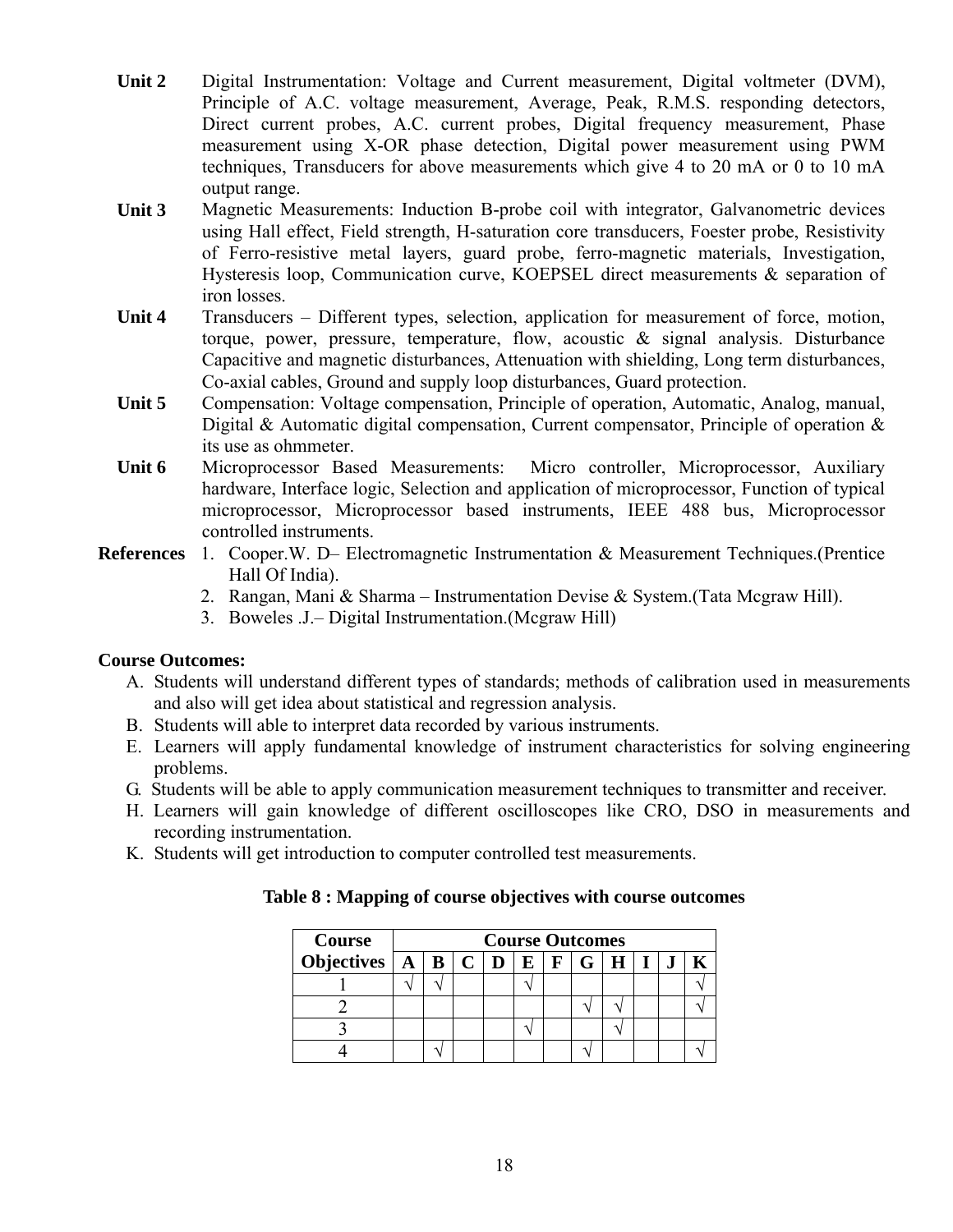- **Unit 2** Digital Instrumentation: Voltage and Current measurement, Digital voltmeter (DVM), Principle of A.C. voltage measurement, Average, Peak, R.M.S. responding detectors, Direct current probes, A.C. current probes, Digital frequency measurement, Phase measurement using X-OR phase detection, Digital power measurement using PWM techniques, Transducers for above measurements which give 4 to 20 mA or 0 to 10 mA output range.
- **Unit 3** Magnetic Measurements: Induction B-probe coil with integrator, Galvanometric devices using Hall effect, Field strength, H-saturation core transducers, Foester probe, Resistivity of Ferro-resistive metal layers, guard probe, ferro-magnetic materials, Investigation, Hysteresis loop, Communication curve, KOEPSEL direct measurements & separation of iron losses.
- Unit 4 Transducers Different types, selection, application for measurement of force, motion, torque, power, pressure, temperature, flow, acoustic & signal analysis. Disturbance Capacitive and magnetic disturbances, Attenuation with shielding, Long term disturbances, Co-axial cables, Ground and supply loop disturbances, Guard protection.
- **Unit 5** Compensation: Voltage compensation, Principle of operation, Automatic, Analog, manual, Digital & Automatic digital compensation, Current compensator, Principle of operation & its use as ohmmeter.
- Unit 6 Microprocessor Based Measurements: Micro controller, Microprocessor, Auxiliary hardware, Interface logic, Selection and application of microprocessor, Function of typical microprocessor, Microprocessor based instruments, IEEE 488 bus, Microprocessor controlled instruments.
- **References** 1. Cooper.W. D– Electromagnetic Instrumentation & Measurement Techniques.(Prentice Hall Of India).
	- 2. Rangan, Mani & Sharma Instrumentation Devise & System.(Tata Mcgraw Hill).
	- 3. Boweles .J.– Digital Instrumentation.(Mcgraw Hill)

#### **Course Outcomes:**

- A. Students will understand different types of standards; methods of calibration used in measurements and also will get idea about statistical and regression analysis.
- B. Students will able to interpret data recorded by various instruments.
- E. Learners will apply fundamental knowledge of instrument characteristics for solving engineering problems.
- G. Students will be able to apply communication measurement techniques to transmitter and receiver.
- H. Learners will gain knowledge of different oscilloscopes like CRO, DSO in measurements and recording instrumentation.
- K. Students will get introduction to computer controlled test measurements.

| <b>Course</b>                                 | <b>Course Outcomes</b> |  |  |  |  |                     |  |  |  |  |  |
|-----------------------------------------------|------------------------|--|--|--|--|---------------------|--|--|--|--|--|
| Objectives $\mid A \mid B \mid C \mid D \mid$ |                        |  |  |  |  | $E$ $F$ $G$ $H$ $I$ |  |  |  |  |  |
|                                               |                        |  |  |  |  |                     |  |  |  |  |  |
|                                               |                        |  |  |  |  |                     |  |  |  |  |  |
|                                               |                        |  |  |  |  |                     |  |  |  |  |  |
|                                               |                        |  |  |  |  |                     |  |  |  |  |  |

#### **Table 8 : Mapping of course objectives with course outcomes**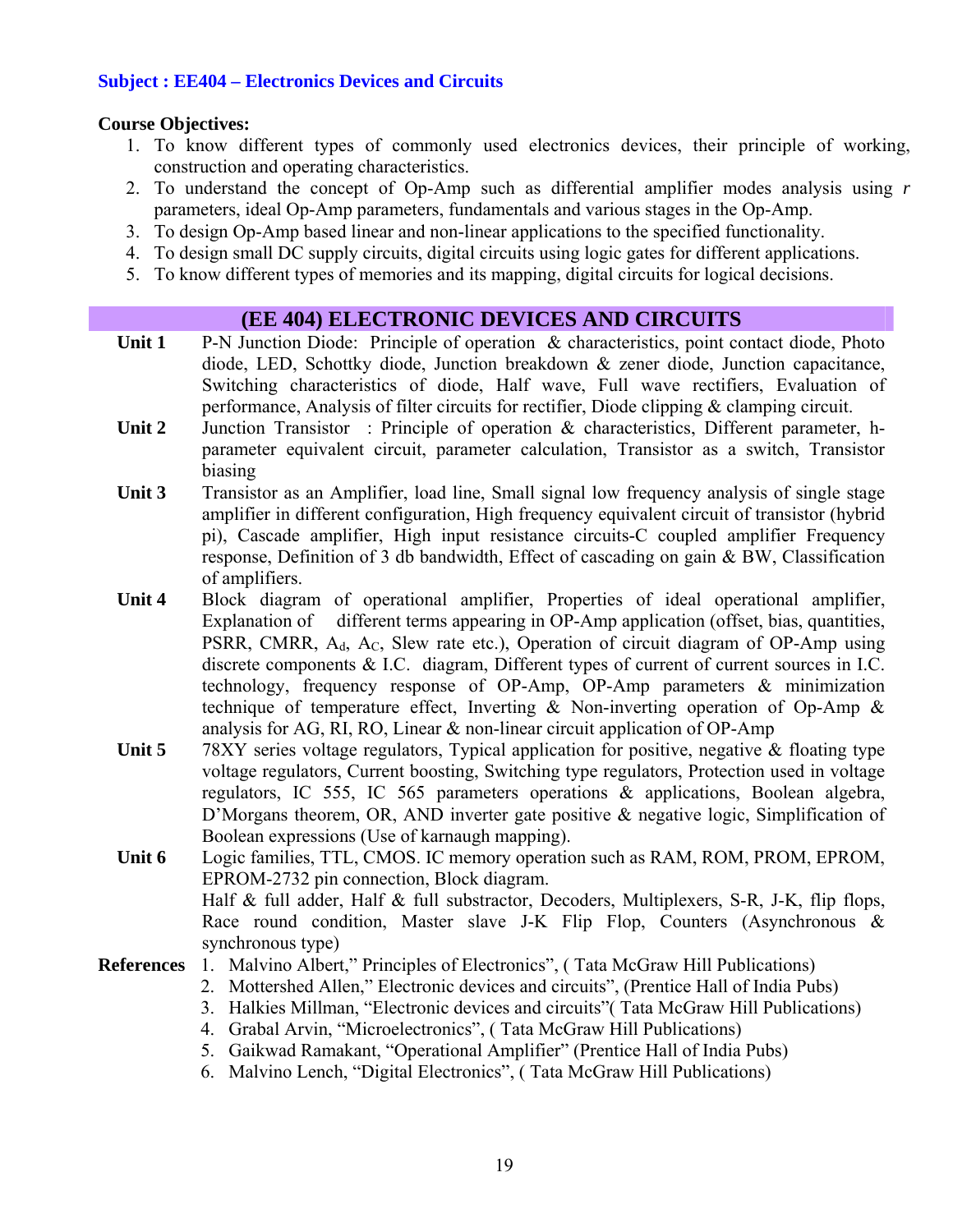#### **Subject : EE404 – Electronics Devices and Circuits**

#### **Course Objectives:**

- 1. To know different types of commonly used electronics devices, their principle of working, construction and operating characteristics.
- 2. To understand the concept of Op-Amp such as differential amplifier modes analysis using *r* parameters, ideal Op-Amp parameters, fundamentals and various stages in the Op-Amp.
- 3. To design Op-Amp based linear and non-linear applications to the specified functionality.
- 4. To design small DC supply circuits, digital circuits using logic gates for different applications.
- 5. To know different types of memories and its mapping, digital circuits for logical decisions.

#### **(EE 404) ELECTRONIC DEVICES AND CIRCUITS**

- Unit 1 P-N Junction Diode: Principle of operation & characteristics, point contact diode, Photo diode, LED, Schottky diode, Junction breakdown & zener diode, Junction capacitance, Switching characteristics of diode, Half wave, Full wave rectifiers, Evaluation of performance, Analysis of filter circuits for rectifier, Diode clipping & clamping circuit.
- **Unit 2** Junction Transistor : Principle of operation & characteristics, Different parameter, hparameter equivalent circuit, parameter calculation, Transistor as a switch, Transistor biasing
- **Unit 3** Transistor as an Amplifier, load line, Small signal low frequency analysis of single stage amplifier in different configuration, High frequency equivalent circuit of transistor (hybrid pi), Cascade amplifier, High input resistance circuits-C coupled amplifier Frequency response, Definition of 3 db bandwidth, Effect of cascading on gain & BW, Classification of amplifiers.
- **Unit 4** Block diagram of operational amplifier, Properties of ideal operational amplifier, Explanation of different terms appearing in OP-Amp application (offset, bias, quantities, PSRR, CMRR,  $A_d$ ,  $A_c$ , Slew rate etc.), Operation of circuit diagram of OP-Amp using discrete components & I.C. diagram, Different types of current of current sources in I.C. technology, frequency response of OP-Amp, OP-Amp parameters & minimization technique of temperature effect, Inverting & Non-inverting operation of Op-Amp & analysis for AG, RI, RO, Linear & non-linear circuit application of OP-Amp
- **Unit 5** 78XY series voltage regulators, Typical application for positive, negative & floating type voltage regulators, Current boosting, Switching type regulators, Protection used in voltage regulators, IC 555, IC 565 parameters operations & applications, Boolean algebra, D'Morgans theorem, OR, AND inverter gate positive & negative logic, Simplification of Boolean expressions (Use of karnaugh mapping).
- **Unit 6** Logic families, TTL, CMOS. IC memory operation such as RAM, ROM, PROM, EPROM, EPROM-2732 pin connection, Block diagram. Half & full adder, Half & full substractor, Decoders, Multiplexers, S-R, J-K, flip flops, Race round condition, Master slave J-K Flip Flop, Counters (Asynchronous & synchronous type)

#### **References** 1. Malvino Albert," Principles of Electronics", ( Tata McGraw Hill Publications)

- 2. Mottershed Allen," Electronic devices and circuits", (Prentice Hall of India Pubs)
- 3. Halkies Millman, "Electronic devices and circuits"( Tata McGraw Hill Publications)
- 4. Grabal Arvin, "Microelectronics", ( Tata McGraw Hill Publications)
- 5. Gaikwad Ramakant, "Operational Amplifier" (Prentice Hall of India Pubs)
- 6. Malvino Lench, "Digital Electronics", ( Tata McGraw Hill Publications)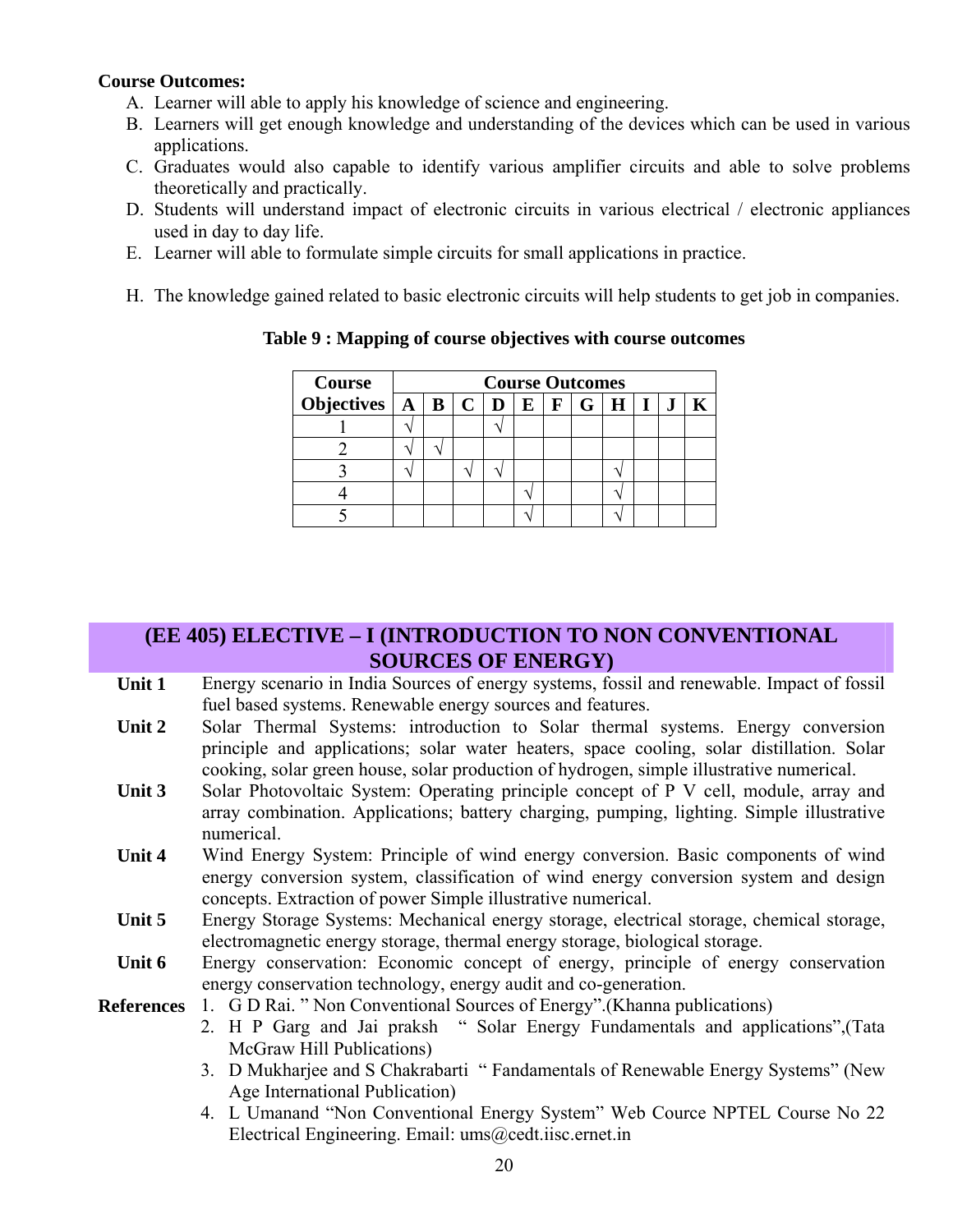#### **Course Outcomes:**

- A. Learner will able to apply his knowledge of science and engineering.
- B. Learners will get enough knowledge and understanding of the devices which can be used in various applications.
- C. Graduates would also capable to identify various amplifier circuits and able to solve problems theoretically and practically.
- D. Students will understand impact of electronic circuits in various electrical / electronic appliances used in day to day life.
- E. Learner will able to formulate simple circuits for small applications in practice.
- H. The knowledge gained related to basic electronic circuits will help students to get job in companies.

| Course                                                                        | <b>Course Outcomes</b> |  |  |  |  |  |  |  |  |  |  |  |
|-------------------------------------------------------------------------------|------------------------|--|--|--|--|--|--|--|--|--|--|--|
| Objectives $A \mid B \mid C \mid D \mid E \mid F \mid G \mid H \mid I \mid J$ |                        |  |  |  |  |  |  |  |  |  |  |  |
|                                                                               |                        |  |  |  |  |  |  |  |  |  |  |  |
|                                                                               |                        |  |  |  |  |  |  |  |  |  |  |  |
|                                                                               |                        |  |  |  |  |  |  |  |  |  |  |  |
|                                                                               |                        |  |  |  |  |  |  |  |  |  |  |  |
|                                                                               |                        |  |  |  |  |  |  |  |  |  |  |  |

**Table 9 : Mapping of course objectives with course outcomes** 

# **(EE 405) ELECTIVE – I (INTRODUCTION TO NON CONVENTIONAL SOURCES OF ENERGY)**

- Unit 1 Energy scenario in India Sources of energy systems, fossil and renewable. Impact of fossil fuel based systems. Renewable energy sources and features.
- Unit 2 Solar Thermal Systems: introduction to Solar thermal systems. Energy conversion principle and applications; solar water heaters, space cooling, solar distillation. Solar cooking, solar green house, solar production of hydrogen, simple illustrative numerical.
- Unit 3 Solar Photovoltaic System: Operating principle concept of P V cell, module, array and array combination. Applications; battery charging, pumping, lighting. Simple illustrative numerical.
- **Unit 4** Wind Energy System: Principle of wind energy conversion. Basic components of wind energy conversion system, classification of wind energy conversion system and design concepts. Extraction of power Simple illustrative numerical.
- **Unit 5** Energy Storage Systems: Mechanical energy storage, electrical storage, chemical storage, electromagnetic energy storage, thermal energy storage, biological storage.
- Unit 6 Energy conservation: Economic concept of energy, principle of energy conservation energy conservation technology, energy audit and co-generation.

**References** 1. G D Rai. " Non Conventional Sources of Energy".(Khanna publications)

- 2. H P Garg and Jai praksh " Solar Energy Fundamentals and applications",(Tata McGraw Hill Publications)
- 3. D Mukharjee and S Chakrabarti " Fandamentals of Renewable Energy Systems" (New Age International Publication)
- 4. L Umanand "Non Conventional Energy System" Web Cource NPTEL Course No 22 Electrical Engineering. Email: ums@cedt.iisc.ernet.in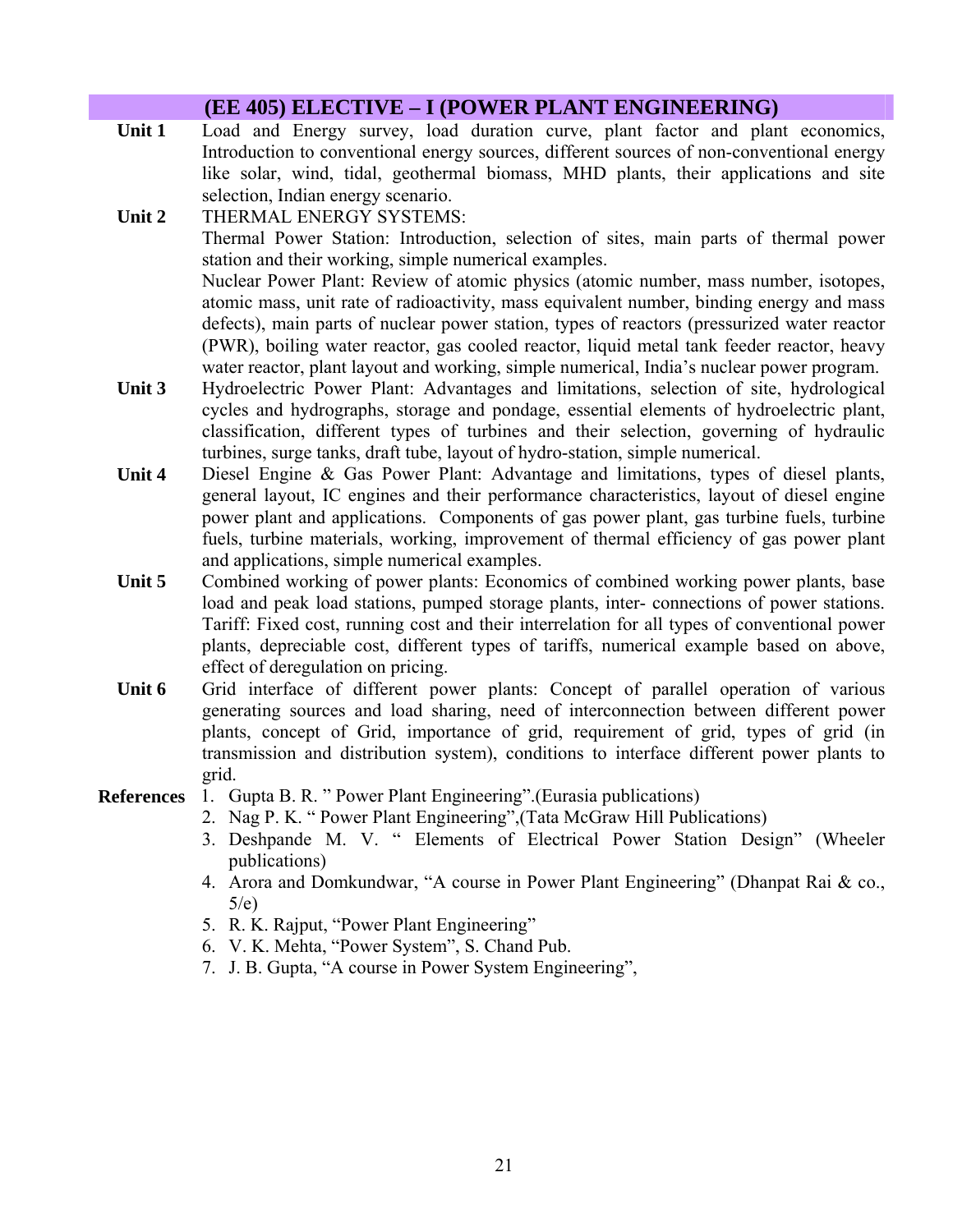|        | (EE 405) ELECTIVE – I (POWER PLANT ENGINEERING)                                                                                                                                                                                                                                                                                                                                                                                                                                                                       |
|--------|-----------------------------------------------------------------------------------------------------------------------------------------------------------------------------------------------------------------------------------------------------------------------------------------------------------------------------------------------------------------------------------------------------------------------------------------------------------------------------------------------------------------------|
| Unit 1 | Load and Energy survey, load duration curve, plant factor and plant economics,<br>Introduction to conventional energy sources, different sources of non-conventional energy<br>like solar, wind, tidal, geothermal biomass, MHD plants, their applications and site<br>selection, Indian energy scenario.                                                                                                                                                                                                             |
| Unit 2 | THERMAL ENERGY SYSTEMS:<br>Thermal Power Station: Introduction, selection of sites, main parts of thermal power<br>station and their working, simple numerical examples.<br>Nuclear Power Plant: Review of atomic physics (atomic number, mass number, isotopes,<br>atomic mass, unit rate of radioactivity, mass equivalent number, binding energy and mass<br>defects), main parts of nuclear power station, types of reactors (pressurized water reactor                                                           |
| Unit 3 | (PWR), boiling water reactor, gas cooled reactor, liquid metal tank feeder reactor, heavy<br>water reactor, plant layout and working, simple numerical, India's nuclear power program.<br>Hydroelectric Power Plant: Advantages and limitations, selection of site, hydrological<br>cycles and hydrographs, storage and pondage, essential elements of hydroelectric plant,<br>classification, different types of turbines and their selection, governing of hydraulic                                                |
| Unit 4 | turbines, surge tanks, draft tube, layout of hydro-station, simple numerical.<br>Diesel Engine & Gas Power Plant: Advantage and limitations, types of diesel plants,<br>general layout, IC engines and their performance characteristics, layout of diesel engine<br>power plant and applications. Components of gas power plant, gas turbine fuels, turbine<br>fuels, turbine materials, working, improvement of thermal efficiency of gas power plant                                                               |
| Unit 5 | and applications, simple numerical examples.<br>Combined working of power plants: Economics of combined working power plants, base<br>load and peak load stations, pumped storage plants, inter-connections of power stations.<br>Tariff: Fixed cost, running cost and their interrelation for all types of conventional power<br>plants, depreciable cost, different types of tariffs, numerical example based on above,                                                                                             |
| Unit 6 | effect of deregulation on pricing.<br>Grid interface of different power plants: Concept of parallel operation of various<br>generating sources and load sharing, need of interconnection between different power<br>plants, concept of Grid, importance of grid, requirement of grid, types of grid (in<br>transmission and distribution system), conditions to interface different power plants to<br>grid.                                                                                                          |
|        | <b>References</b> 1. Gupta B. R. " Power Plant Engineering". (Eurasia publications)<br>2. Nag P. K. "Power Plant Engineering", (Tata McGraw Hill Publications)<br>3. Deshpande M. V. " Elements of Electrical Power Station Design" (Wheeler<br>publications)<br>4. Arora and Domkundwar, "A course in Power Plant Engineering" (Dhanpat Rai & co.,<br>5/e)<br>5. R. K. Rajput, "Power Plant Engineering"<br>6. V. K. Mehta, "Power System", S. Chand Pub.<br>7. J. B. Gupta, "A course in Power System Engineering", |
|        |                                                                                                                                                                                                                                                                                                                                                                                                                                                                                                                       |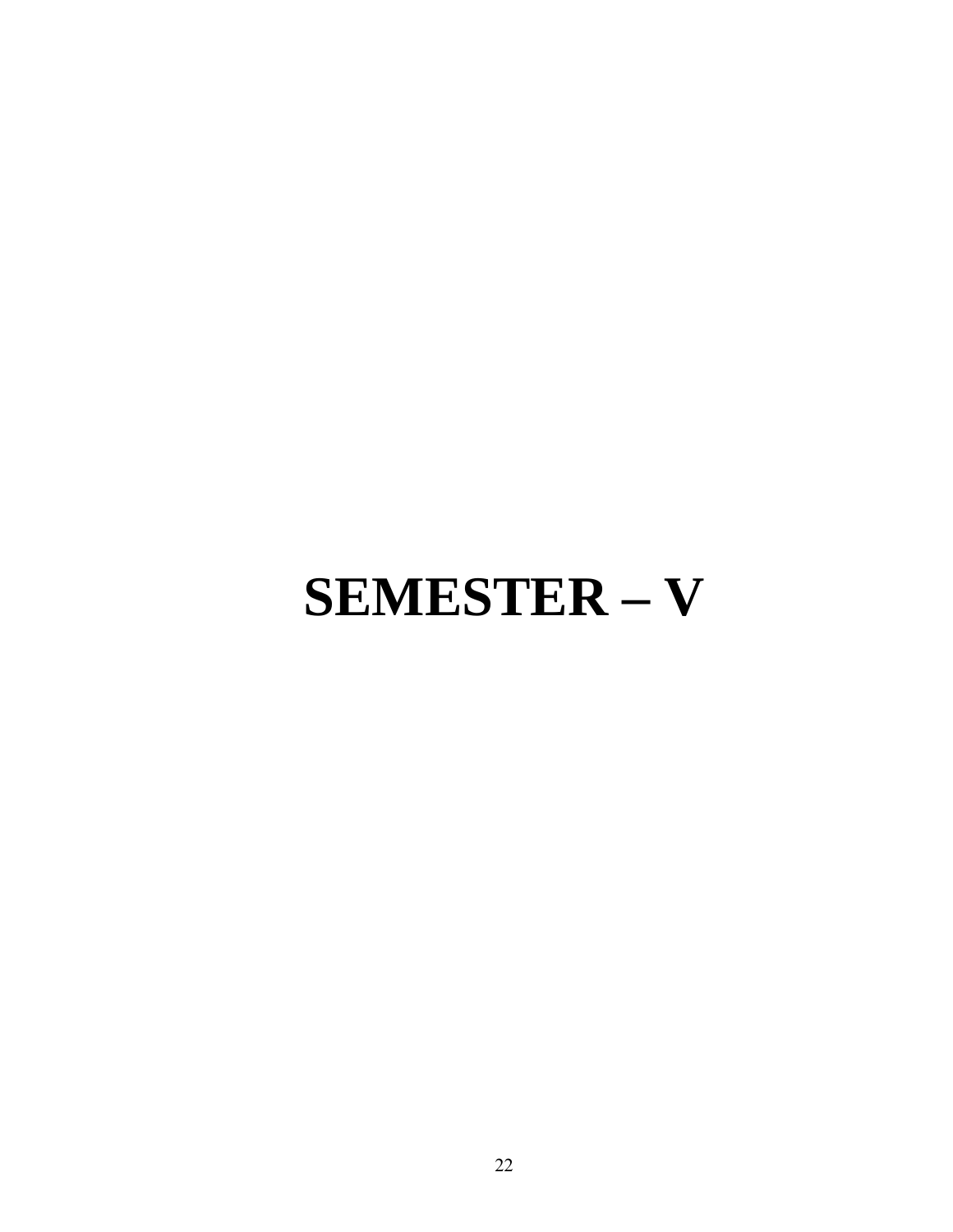# **SEMESTER – V**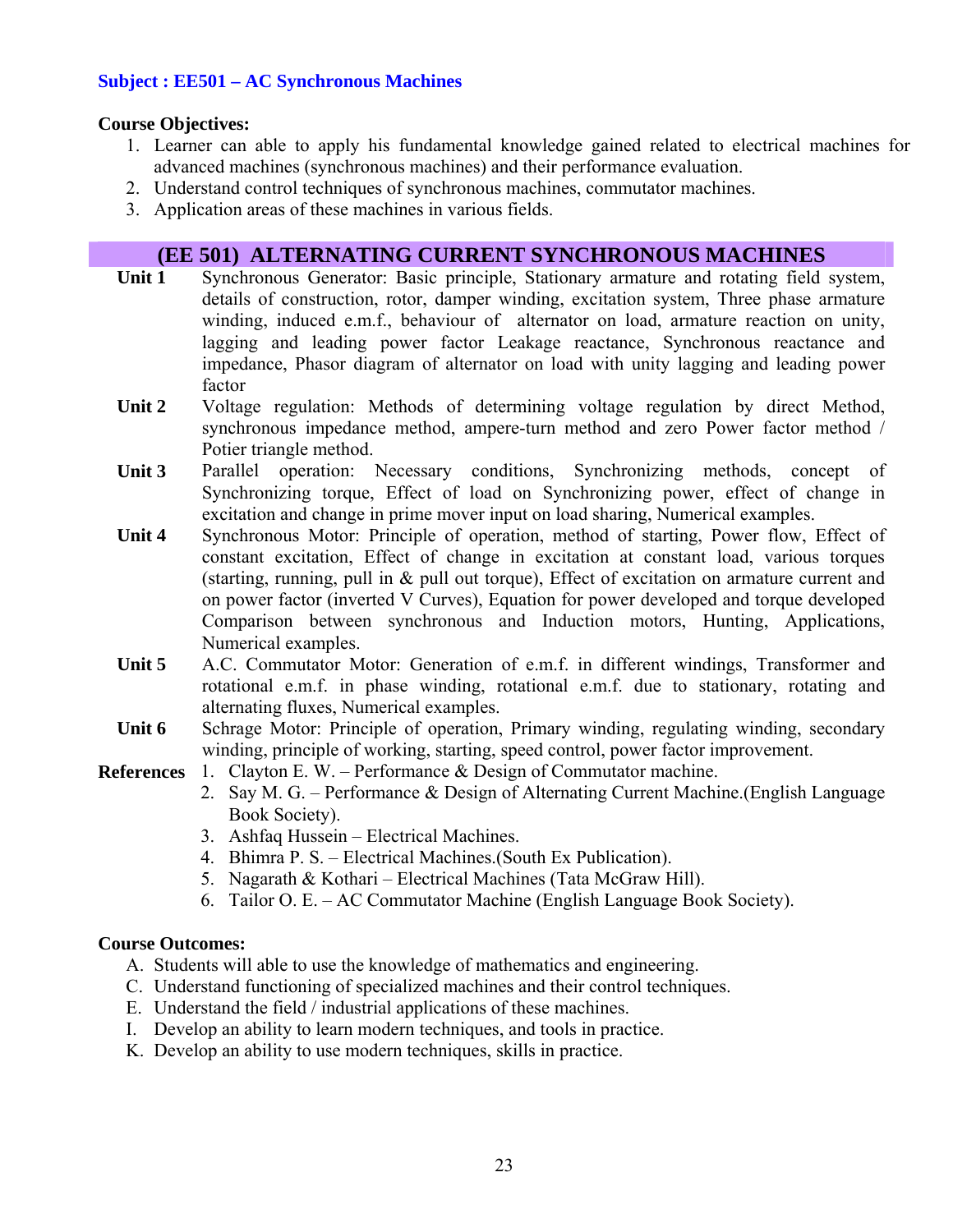#### **Subject : EE501 – AC Synchronous Machines**

#### **Course Objectives:**

- 1. Learner can able to apply his fundamental knowledge gained related to electrical machines for advanced machines (synchronous machines) and their performance evaluation.
- 2. Understand control techniques of synchronous machines, commutator machines.
- 3. Application areas of these machines in various fields.

#### **(EE 501) ALTERNATING CURRENT SYNCHRONOUS MACHINES**

- Unit 1 Synchronous Generator: Basic principle, Stationary armature and rotating field system, details of construction, rotor, damper winding, excitation system, Three phase armature winding, induced e.m.f., behaviour of alternator on load, armature reaction on unity, lagging and leading power factor Leakage reactance, Synchronous reactance and impedance, Phasor diagram of alternator on load with unity lagging and leading power factor
- Unit 2 Voltage regulation: Methods of determining voltage regulation by direct Method, synchronous impedance method, ampere-turn method and zero Power factor method / Potier triangle method.
- Unit 3 Parallel operation: Necessary conditions, Synchronizing methods, concept of Synchronizing torque, Effect of load on Synchronizing power, effect of change in excitation and change in prime mover input on load sharing, Numerical examples.
- **Unit 4** Synchronous Motor: Principle of operation, method of starting, Power flow, Effect of constant excitation, Effect of change in excitation at constant load, various torques (starting, running, pull in & pull out torque), Effect of excitation on armature current and on power factor (inverted V Curves), Equation for power developed and torque developed Comparison between synchronous and Induction motors, Hunting, Applications, Numerical examples.
- **Unit 5** A.C. Commutator Motor: Generation of e.m.f. in different windings, Transformer and rotational e.m.f. in phase winding, rotational e.m.f. due to stationary, rotating and alternating fluxes, Numerical examples.
- Unit 6 Schrage Motor: Principle of operation, Primary winding, regulating winding, secondary winding, principle of working, starting, speed control, power factor improvement.
- **References** 1. Clayton E. W. Performance & Design of Commutator machine.
	- 2. Say M. G. Performance & Design of Alternating Current Machine.(English Language Book Society).
	- 3. Ashfaq Hussein Electrical Machines.
	- 4. Bhimra P. S. Electrical Machines.(South Ex Publication).
	- 5. Nagarath & Kothari Electrical Machines (Tata McGraw Hill).
	- 6. Tailor O. E. AC Commutator Machine (English Language Book Society).

#### **Course Outcomes:**

- A. Students will able to use the knowledge of mathematics and engineering.
- C. Understand functioning of specialized machines and their control techniques.
- E. Understand the field / industrial applications of these machines.
- I. Develop an ability to learn modern techniques, and tools in practice.
- K. Develop an ability to use modern techniques, skills in practice.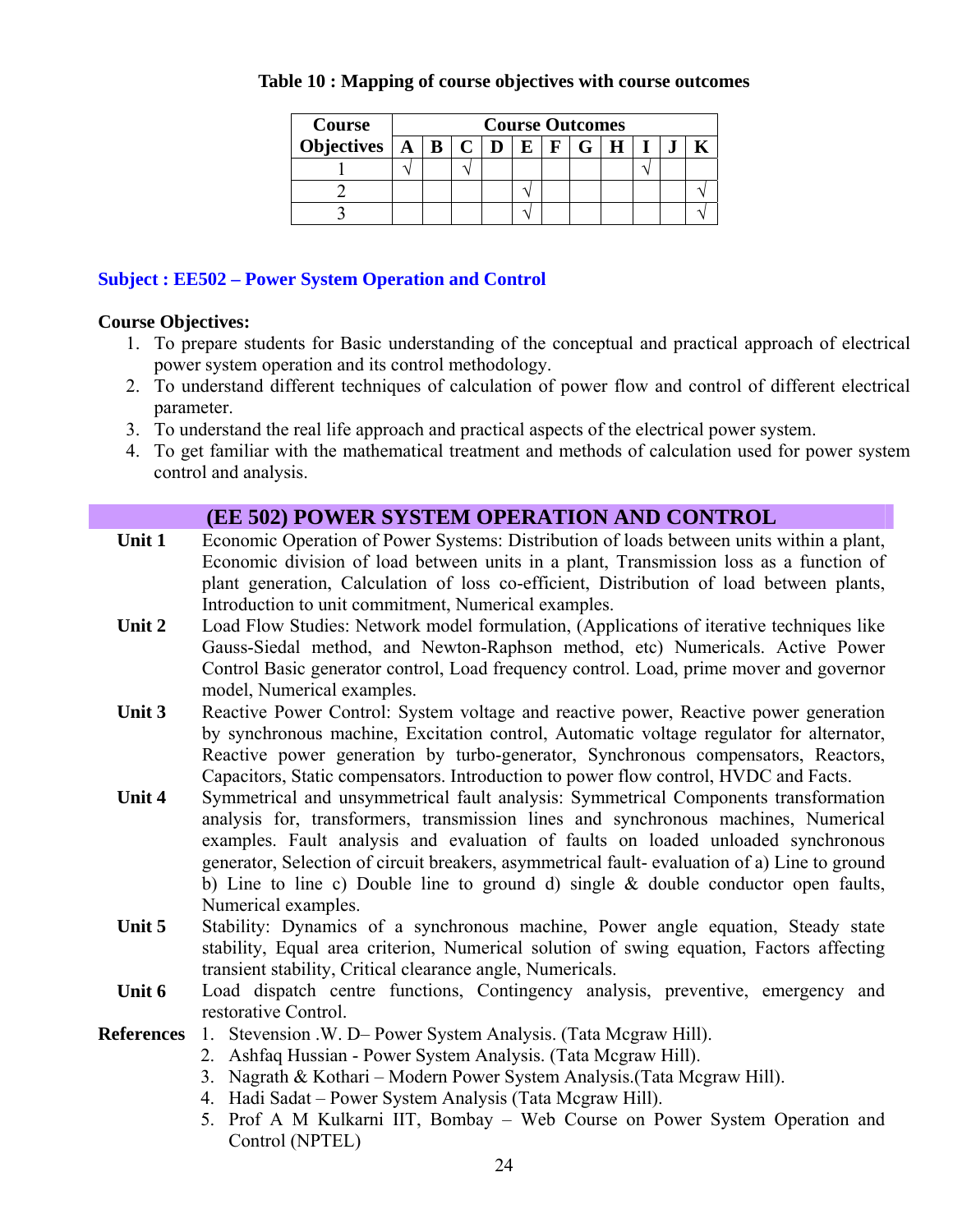| <b>Course</b>                       | <b>Course Outcomes</b> |  |  |  |  |            |  |  |  |  |  |  |
|-------------------------------------|------------------------|--|--|--|--|------------|--|--|--|--|--|--|
| Objectives $A \mid B \mid C \mid D$ |                        |  |  |  |  | $F \mid G$ |  |  |  |  |  |  |
|                                     |                        |  |  |  |  |            |  |  |  |  |  |  |
|                                     |                        |  |  |  |  |            |  |  |  |  |  |  |
|                                     |                        |  |  |  |  |            |  |  |  |  |  |  |

#### **Table 10 : Mapping of course objectives with course outcomes**

#### **Subject : EE502 – Power System Operation and Control**

#### **Course Objectives:**

- 1. To prepare students for Basic understanding of the conceptual and practical approach of electrical power system operation and its control methodology.
- 2. To understand different techniques of calculation of power flow and control of different electrical parameter.
- 3. To understand the real life approach and practical aspects of the electrical power system.
- 4. To get familiar with the mathematical treatment and methods of calculation used for power system control and analysis.

#### **(EE 502) POWER SYSTEM OPERATION AND CONTROL**

- Unit 1 Economic Operation of Power Systems: Distribution of loads between units within a plant, Economic division of load between units in a plant, Transmission loss as a function of plant generation, Calculation of loss co-efficient, Distribution of load between plants, Introduction to unit commitment, Numerical examples.
- **Unit 2** Load Flow Studies: Network model formulation, (Applications of iterative techniques like Gauss-Siedal method, and Newton-Raphson method, etc) Numericals. Active Power Control Basic generator control, Load frequency control. Load, prime mover and governor model, Numerical examples.
- **Unit 3** Reactive Power Control: System voltage and reactive power, Reactive power generation by synchronous machine, Excitation control, Automatic voltage regulator for alternator, Reactive power generation by turbo-generator, Synchronous compensators, Reactors, Capacitors, Static compensators. Introduction to power flow control, HVDC and Facts.
- Unit 4 Symmetrical and unsymmetrical fault analysis: Symmetrical Components transformation analysis for, transformers, transmission lines and synchronous machines, Numerical examples. Fault analysis and evaluation of faults on loaded unloaded synchronous generator, Selection of circuit breakers, asymmetrical fault- evaluation of a) Line to ground b) Line to line c) Double line to ground d) single  $\&$  double conductor open faults, Numerical examples.
- **Unit 5** Stability: Dynamics of a synchronous machine, Power angle equation, Steady state stability, Equal area criterion, Numerical solution of swing equation, Factors affecting transient stability, Critical clearance angle, Numericals.
- **Unit 6** Load dispatch centre functions, Contingency analysis, preventive, emergency and restorative Control.
- **References** 1. Stevension .W. D– Power System Analysis. (Tata Mcgraw Hill).
	- 2. Ashfaq Hussian Power System Analysis. (Tata Mcgraw Hill).
	- 3. Nagrath & Kothari Modern Power System Analysis.(Tata Mcgraw Hill).
	- 4. Hadi Sadat Power System Analysis (Tata Mcgraw Hill).
	- 5. Prof A M Kulkarni IIT, Bombay Web Course on Power System Operation and Control (NPTEL)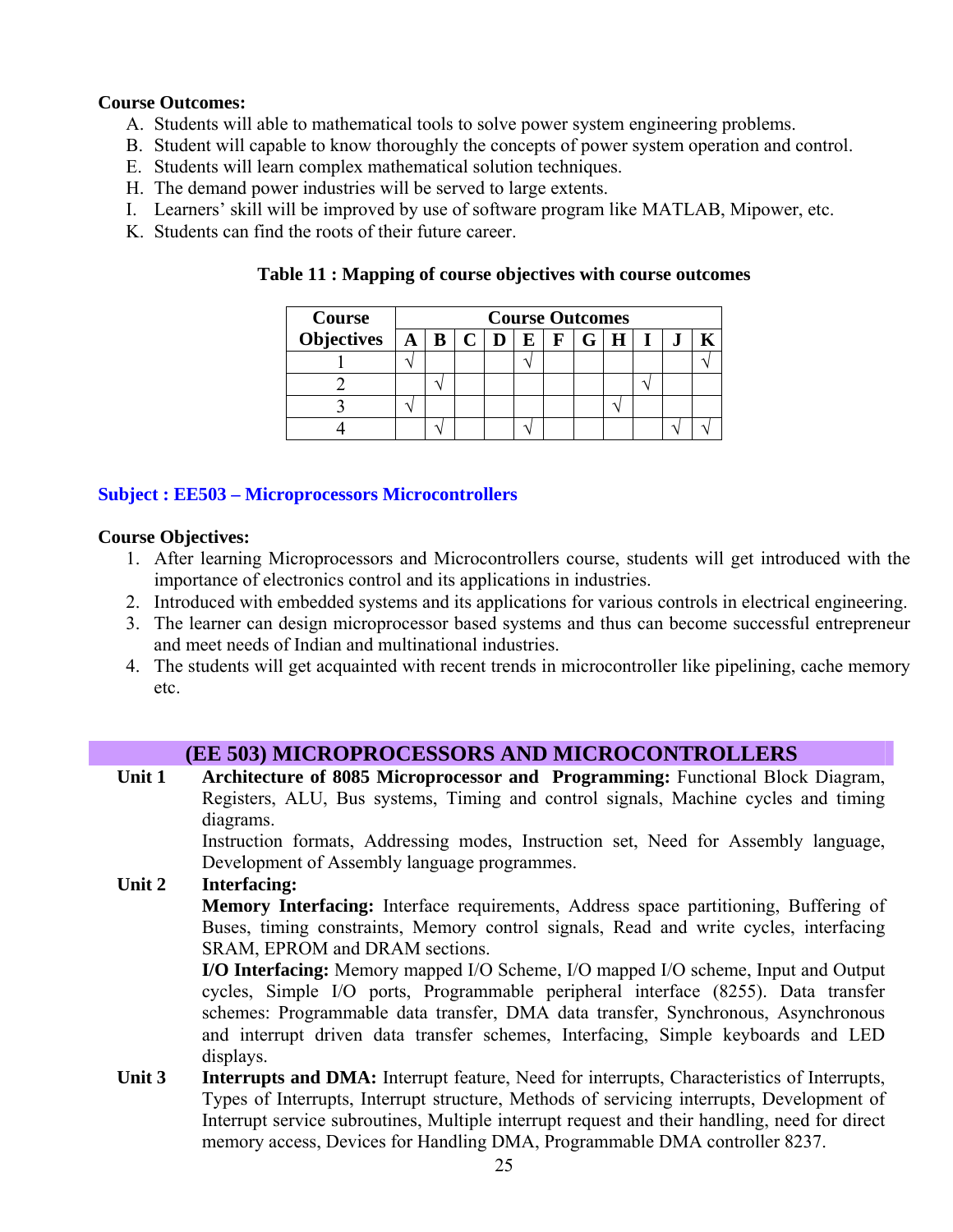#### **Course Outcomes:**

- A. Students will able to mathematical tools to solve power system engineering problems.
- B. Student will capable to know thoroughly the concepts of power system operation and control.
- E. Students will learn complex mathematical solution techniques.
- H. The demand power industries will be served to large extents.
- I. Learners' skill will be improved by use of software program like MATLAB, Mipower, etc.
- K. Students can find the roots of their future career.

| Course                                                                     | <b>Course Outcomes</b> |  |  |  |  |  |  |  |  |  |  |
|----------------------------------------------------------------------------|------------------------|--|--|--|--|--|--|--|--|--|--|
| Objectives $A \mid B \mid C \mid D \mid E \mid \overline{F} \mid G \mid H$ |                        |  |  |  |  |  |  |  |  |  |  |
|                                                                            |                        |  |  |  |  |  |  |  |  |  |  |
|                                                                            |                        |  |  |  |  |  |  |  |  |  |  |
|                                                                            |                        |  |  |  |  |  |  |  |  |  |  |
|                                                                            |                        |  |  |  |  |  |  |  |  |  |  |

**Table 11 : Mapping of course objectives with course outcomes** 

#### **Subject : EE503 – Microprocessors Microcontrollers**

#### **Course Objectives:**

- 1. After learning Microprocessors and Microcontrollers course, students will get introduced with the importance of electronics control and its applications in industries.
- 2. Introduced with embedded systems and its applications for various controls in electrical engineering.
- 3. The learner can design microprocessor based systems and thus can become successful entrepreneur and meet needs of Indian and multinational industries.
- 4. The students will get acquainted with recent trends in microcontroller like pipelining, cache memory etc.

#### **(EE 503) MICROPROCESSORS AND MICROCONTROLLERS**

Unit 1 Architecture of 8085 Microprocessor and Programming: Functional Block Diagram, Registers, ALU, Bus systems, Timing and control signals, Machine cycles and timing diagrams.

Instruction formats, Addressing modes, Instruction set, Need for Assembly language, Development of Assembly language programmes.

#### **Unit 2 Interfacing:**

**Memory Interfacing:** Interface requirements, Address space partitioning, Buffering of Buses, timing constraints, Memory control signals, Read and write cycles, interfacing SRAM, EPROM and DRAM sections.

**I/O Interfacing:** Memory mapped I/O Scheme, I/O mapped I/O scheme, Input and Output cycles, Simple I/O ports, Programmable peripheral interface (8255). Data transfer schemes: Programmable data transfer, DMA data transfer, Synchronous, Asynchronous and interrupt driven data transfer schemes, Interfacing, Simple keyboards and LED displays.

Unit 3 Interrupts and DMA: Interrupt feature, Need for interrupts, Characteristics of Interrupts, Types of Interrupts, Interrupt structure, Methods of servicing interrupts, Development of Interrupt service subroutines, Multiple interrupt request and their handling, need for direct memory access, Devices for Handling DMA, Programmable DMA controller 8237.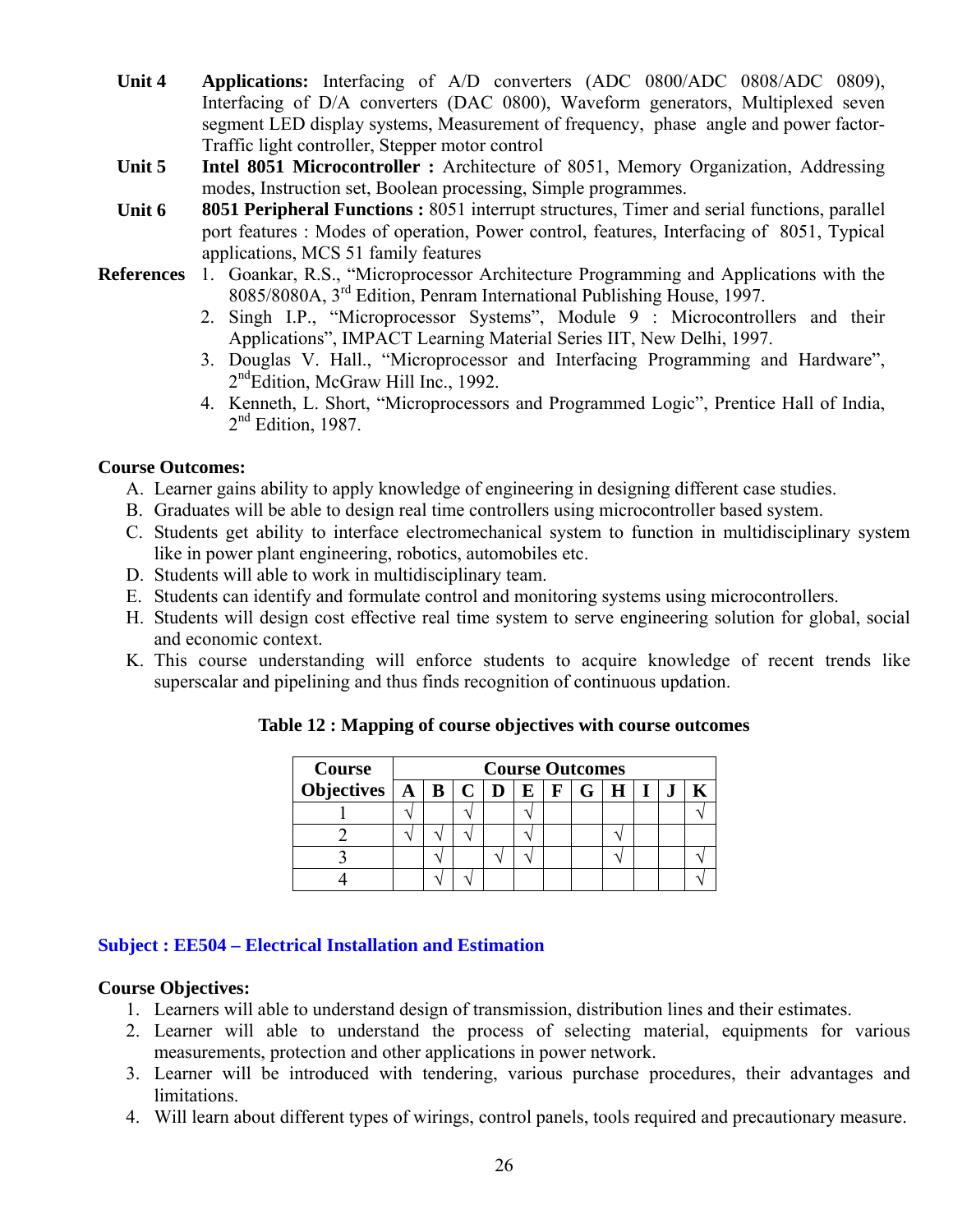- **Unit 4 Applications:** Interfacing of A/D converters (ADC 0800/ADC 0808/ADC 0809), Interfacing of D/A converters (DAC 0800), Waveform generators, Multiplexed seven segment LED display systems, Measurement of frequency, phase angle and power factor-Traffic light controller, Stepper motor control
- **Unit 5 Intel 8051 Microcontroller :** Architecture of 8051, Memory Organization, Addressing modes, Instruction set, Boolean processing, Simple programmes.
- **Unit 6 8051 Peripheral Functions :** 8051 interrupt structures, Timer and serial functions, parallel port features : Modes of operation, Power control, features, Interfacing of 8051, Typical applications, MCS 51 family features
- **References** 1. Goankar, R.S., "Microprocessor Architecture Programming and Applications with the 8085/8080A, 3rd Edition, Penram International Publishing House, 1997.
	- 2. Singh I.P., "Microprocessor Systems", Module 9 : Microcontrollers and their Applications", IMPACT Learning Material Series IIT, New Delhi, 1997.
	- 3. Douglas V. Hall., "Microprocessor and Interfacing Programming and Hardware",  $2<sup>nd</sup>$ Edition, McGraw Hill Inc., 1992.
	- 4. Kenneth, L. Short, "Microprocessors and Programmed Logic", Prentice Hall of India,  $2<sup>nd</sup>$  Edition, 1987.

#### **Course Outcomes:**

- A. Learner gains ability to apply knowledge of engineering in designing different case studies.
- B. Graduates will be able to design real time controllers using microcontroller based system.
- C. Students get ability to interface electromechanical system to function in multidisciplinary system like in power plant engineering, robotics, automobiles etc.
- D. Students will able to work in multidisciplinary team.
- E. Students can identify and formulate control and monitoring systems using microcontrollers.
- H. Students will design cost effective real time system to serve engineering solution for global, social and economic context.
- K. This course understanding will enforce students to acquire knowledge of recent trends like superscalar and pipelining and thus finds recognition of continuous updation.

| Course                            | <b>Course Outcomes</b> |  |  |  |  |  |  |  |  |  |  |  |
|-----------------------------------|------------------------|--|--|--|--|--|--|--|--|--|--|--|
| Objectives $A \mid B \mid C \mid$ | F G <br>E              |  |  |  |  |  |  |  |  |  |  |  |
|                                   |                        |  |  |  |  |  |  |  |  |  |  |  |
|                                   |                        |  |  |  |  |  |  |  |  |  |  |  |
|                                   |                        |  |  |  |  |  |  |  |  |  |  |  |
|                                   |                        |  |  |  |  |  |  |  |  |  |  |  |

**Table 12 : Mapping of course objectives with course outcomes** 

#### **Subject : EE504 – Electrical Installation and Estimation**

#### **Course Objectives:**

- 1. Learners will able to understand design of transmission, distribution lines and their estimates.
- 2. Learner will able to understand the process of selecting material, equipments for various measurements, protection and other applications in power network.
- 3. Learner will be introduced with tendering, various purchase procedures, their advantages and limitations.
- 4. Will learn about different types of wirings, control panels, tools required and precautionary measure.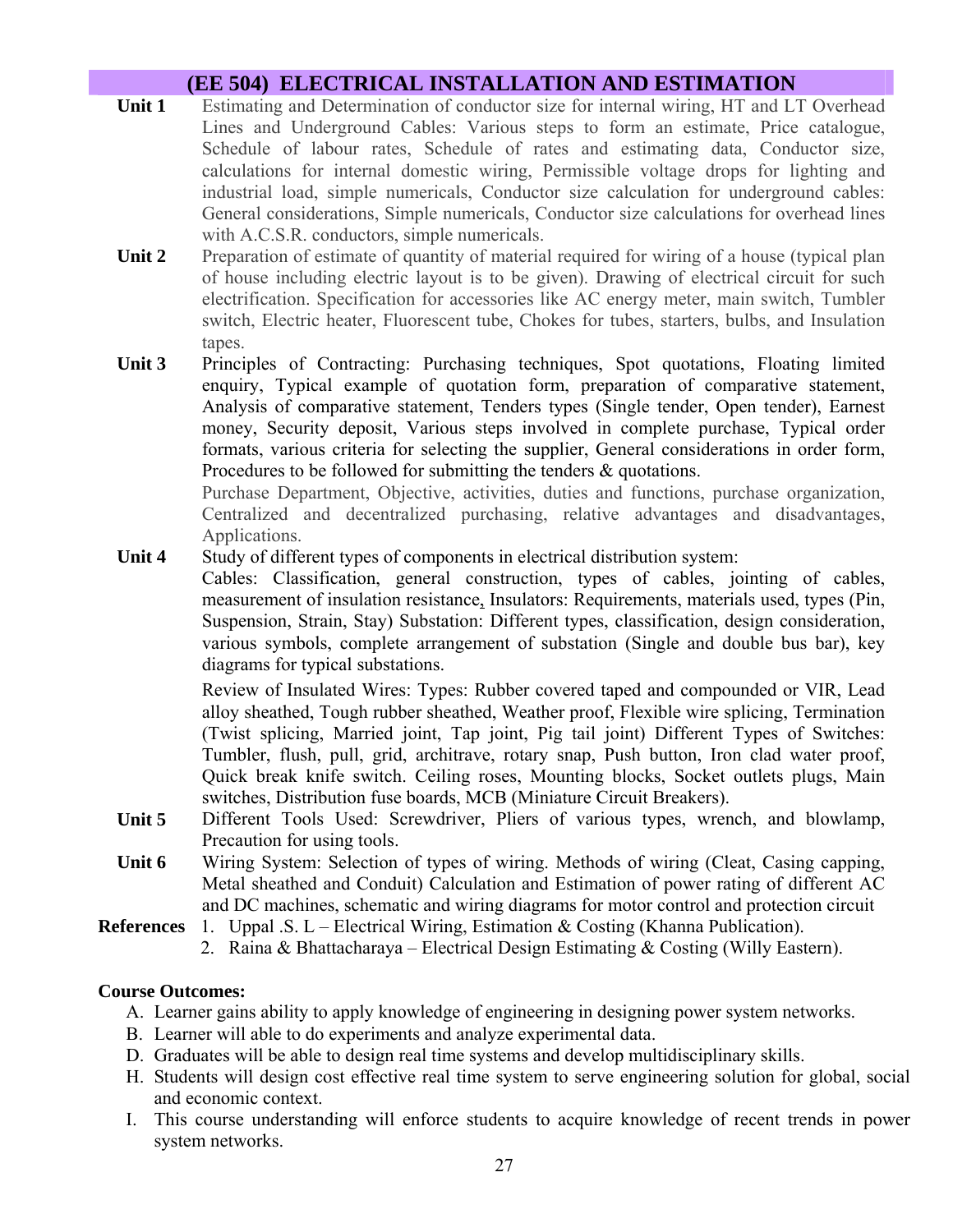# **(EE 504) ELECTRICAL INSTALLATION AND ESTIMATION**

- **Unit 1** Estimating and Determination of conductor size for internal wiring, HT and LT Overhead Lines and Underground Cables: Various steps to form an estimate, Price catalogue, Schedule of labour rates, Schedule of rates and estimating data, Conductor size, calculations for internal domestic wiring, Permissible voltage drops for lighting and industrial load, simple numericals, Conductor size calculation for underground cables: General considerations, Simple numericals, Conductor size calculations for overhead lines with A.C.S.R. conductors, simple numericals.
- **Unit 2** Preparation of estimate of quantity of material required for wiring of a house (typical plan of house including electric layout is to be given). Drawing of electrical circuit for such electrification. Specification for accessories like AC energy meter, main switch, Tumbler switch, Electric heater, Fluorescent tube, Chokes for tubes, starters, bulbs, and Insulation tapes.
- Unit 3 Principles of Contracting: Purchasing techniques, Spot quotations, Floating limited enquiry, Typical example of quotation form, preparation of comparative statement, Analysis of comparative statement, Tenders types (Single tender, Open tender), Earnest money, Security deposit, Various steps involved in complete purchase, Typical order formats, various criteria for selecting the supplier, General considerations in order form, Procedures to be followed for submitting the tenders & quotations.

Purchase Department, Objective, activities, duties and functions, purchase organization, Centralized and decentralized purchasing, relative advantages and disadvantages, Applications.

#### **Unit 4** Study of different types of components in electrical distribution system:

Cables: Classification, general construction, types of cables, jointing of cables, measurement of insulation resistance, Insulators: Requirements, materials used, types (Pin, Suspension, Strain, Stay) Substation: Different types, classification, design consideration, various symbols, complete arrangement of substation (Single and double bus bar), key diagrams for typical substations.

Review of Insulated Wires: Types: Rubber covered taped and compounded or VIR, Lead alloy sheathed, Tough rubber sheathed, Weather proof, Flexible wire splicing, Termination (Twist splicing, Married joint, Tap joint, Pig tail joint) Different Types of Switches: Tumbler, flush, pull, grid, architrave, rotary snap, Push button, Iron clad water proof, Quick break knife switch. Ceiling roses, Mounting blocks, Socket outlets plugs, Main switches, Distribution fuse boards, MCB (Miniature Circuit Breakers).

- **Unit 5** Different Tools Used: Screwdriver, Pliers of various types, wrench, and blowlamp, Precaution for using tools.
- **Unit 6** Wiring System: Selection of types of wiring. Methods of wiring (Cleat, Casing capping, Metal sheathed and Conduit) Calculation and Estimation of power rating of different AC and DC machines, schematic and wiring diagrams for motor control and protection circuit
- **References** 1. Uppal .S. L Electrical Wiring, Estimation & Costing (Khanna Publication).
	- 2. Raina & Bhattacharaya Electrical Design Estimating & Costing (Willy Eastern).

#### **Course Outcomes:**

- A. Learner gains ability to apply knowledge of engineering in designing power system networks.
- B. Learner will able to do experiments and analyze experimental data.
- D. Graduates will be able to design real time systems and develop multidisciplinary skills.
- H. Students will design cost effective real time system to serve engineering solution for global, social and economic context.
- I. This course understanding will enforce students to acquire knowledge of recent trends in power system networks.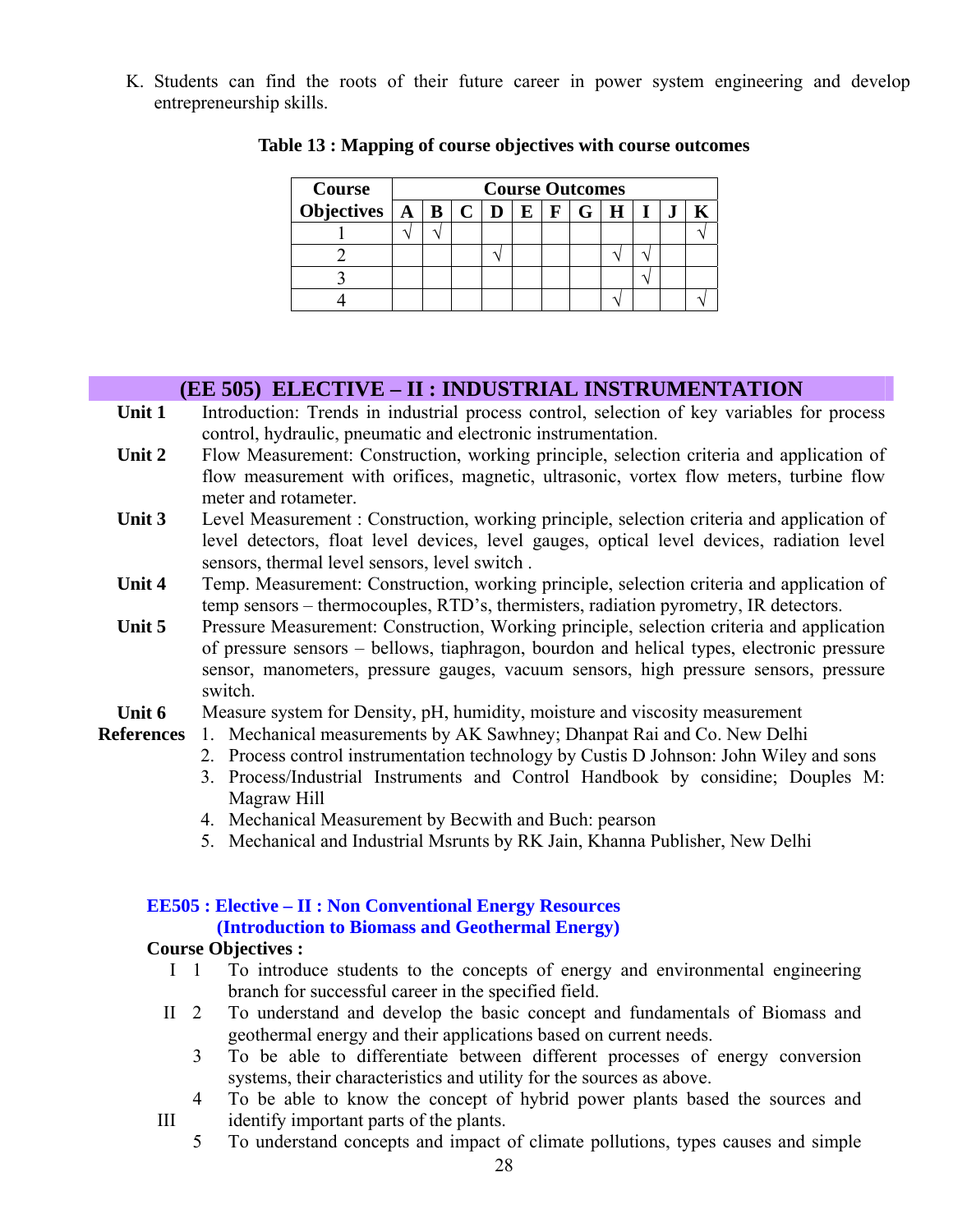K. Students can find the roots of their future career in power system engineering and develop entrepreneurship skills.

| Course                                        | <b>Course Outcomes</b> |  |  |  |  |       |  |  |  |
|-----------------------------------------------|------------------------|--|--|--|--|-------|--|--|--|
| Objectives $\mid A \mid B \mid C \mid D \mid$ |                        |  |  |  |  | F G H |  |  |  |
|                                               |                        |  |  |  |  |       |  |  |  |
|                                               |                        |  |  |  |  |       |  |  |  |
|                                               |                        |  |  |  |  |       |  |  |  |
|                                               |                        |  |  |  |  |       |  |  |  |

#### **Table 13 : Mapping of course objectives with course outcomes**

#### **(EE 505) ELECTIVE – II : INDUSTRIAL INSTRUMENTATION**

- Unit 1 Introduction: Trends in industrial process control, selection of key variables for process control, hydraulic, pneumatic and electronic instrumentation.
- **Unit 2** Flow Measurement: Construction, working principle, selection criteria and application of flow measurement with orifices, magnetic, ultrasonic, vortex flow meters, turbine flow meter and rotameter.
- **Unit 3** Level Measurement : Construction, working principle, selection criteria and application of level detectors, float level devices, level gauges, optical level devices, radiation level sensors, thermal level sensors, level switch .
- **Unit 4** Temp. Measurement: Construction, working principle, selection criteria and application of temp sensors – thermocouples, RTD's, thermisters, radiation pyrometry, IR detectors.
- Unit 5 Pressure Measurement: Construction, Working principle, selection criteria and application of pressure sensors – bellows, tiaphragon, bourdon and helical types, electronic pressure sensor, manometers, pressure gauges, vacuum sensors, high pressure sensors, pressure switch.
- **Unit 6** Measure system for Density, pH, humidity, moisture and viscosity measurement
- **References** 1. Mechanical measurements by AK Sawhney; Dhanpat Rai and Co. New Delhi
	- 2. Process control instrumentation technology by Custis D Johnson: John Wiley and sons
	- 3. Process/Industrial Instruments and Control Handbook by considine; Douples M: Magraw Hill
	- 4. Mechanical Measurement by Becwith and Buch: pearson
	- 5. Mechanical and Industrial Msrunts by RK Jain, Khanna Publisher, New Delhi

#### **EE505 : Elective – II : Non Conventional Energy Resources (Introduction to Biomass and Geothermal Energy)**

#### **Course Objectives :**

- I 1 To introduce students to the concepts of energy and environmental engineering branch for successful career in the specified field.
- II 2 To understand and develop the basic concept and fundamentals of Biomass and geothermal energy and their applications based on current needs.
	- 3 To be able to differentiate between different processes of energy conversion systems, their characteristics and utility for the sources as above.
- 4 To be able to know the concept of hybrid power plants based the sources and III identify important parts of the plants.
	- 5 To understand concepts and impact of climate pollutions, types causes and simple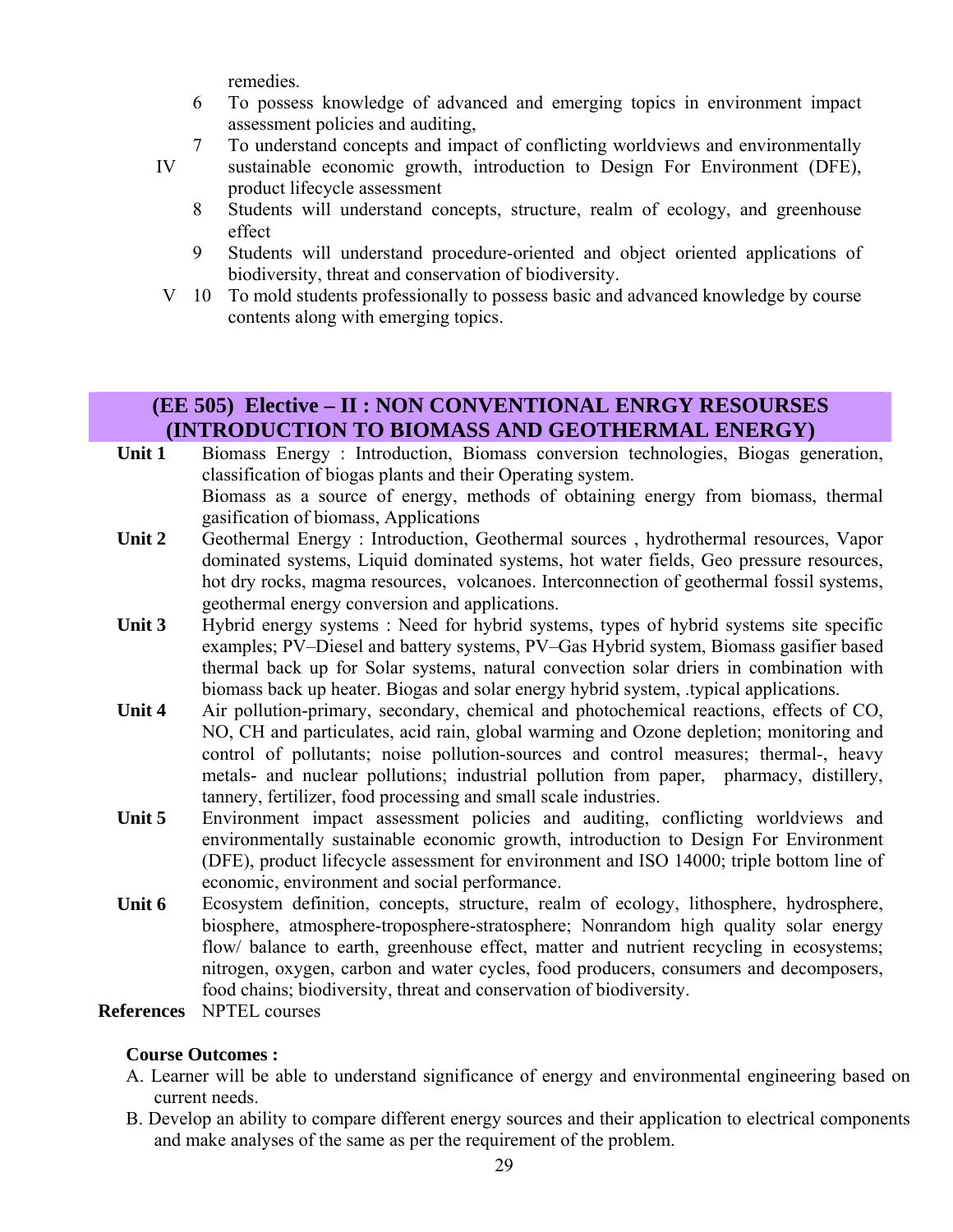remedies.

6 To possess knowledge of advanced and emerging topics in environment impact assessment policies and auditing,

7 To understand concepts and impact of conflicting worldviews and environmentally

- sustainable economic growth, introduction to Design For Environment (DFE), product lifecycle assessment IV
	- 8 Students will understand concepts, structure, realm of ecology, and greenhouse effect
	- 9 Students will understand procedure-oriented and object oriented applications of biodiversity, threat and conservation of biodiversity.
- V 10 To mold students professionally to possess basic and advanced knowledge by course contents along with emerging topics.

# **(EE 505) Elective – II : NON CONVENTIONAL ENRGY RESOURSES (INTRODUCTION TO BIOMASS AND GEOTHERMAL ENERGY)**

- **Unit 1** Biomass Energy : Introduction, Biomass conversion technologies, Biogas generation, classification of biogas plants and their Operating system. Biomass as a source of energy, methods of obtaining energy from biomass, thermal gasification of biomass, Applications
- Unit 2 Geothermal Energy : Introduction, Geothermal sources, hydrothermal resources, Vapor dominated systems, Liquid dominated systems, hot water fields, Geo pressure resources, hot dry rocks, magma resources, volcanoes. Interconnection of geothermal fossil systems, geothermal energy conversion and applications.
- Unit 3 Hybrid energy systems : Need for hybrid systems, types of hybrid systems site specific examples; PV–Diesel and battery systems, PV–Gas Hybrid system, Biomass gasifier based thermal back up for Solar systems, natural convection solar driers in combination with biomass back up heater. Biogas and solar energy hybrid system, .typical applications.
- **Unit 4** Air pollution-primary, secondary, chemical and photochemical reactions, effects of CO, NO, CH and particulates, acid rain, global warming and Ozone depletion; monitoring and control of pollutants; noise pollution-sources and control measures; thermal-, heavy metals- and nuclear pollutions; industrial pollution from paper, pharmacy, distillery, tannery, fertilizer, food processing and small scale industries.
- Unit 5 Environment impact assessment policies and auditing, conflicting worldviews and environmentally sustainable economic growth, introduction to Design For Environment (DFE), product lifecycle assessment for environment and ISO 14000; triple bottom line of economic, environment and social performance.
- Unit 6 Ecosystem definition, concepts, structure, realm of ecology, lithosphere, hydrosphere, biosphere, atmosphere-troposphere-stratosphere; Nonrandom high quality solar energy flow/ balance to earth, greenhouse effect, matter and nutrient recycling in ecosystems; nitrogen, oxygen, carbon and water cycles, food producers, consumers and decomposers, food chains; biodiversity, threat and conservation of biodiversity.

**References** NPTEL courses

#### **Course Outcomes :**

- A. Learner will be able to understand significance of energy and environmental engineering based on current needs.
- B. Develop an ability to compare different energy sources and their application to electrical components and make analyses of the same as per the requirement of the problem.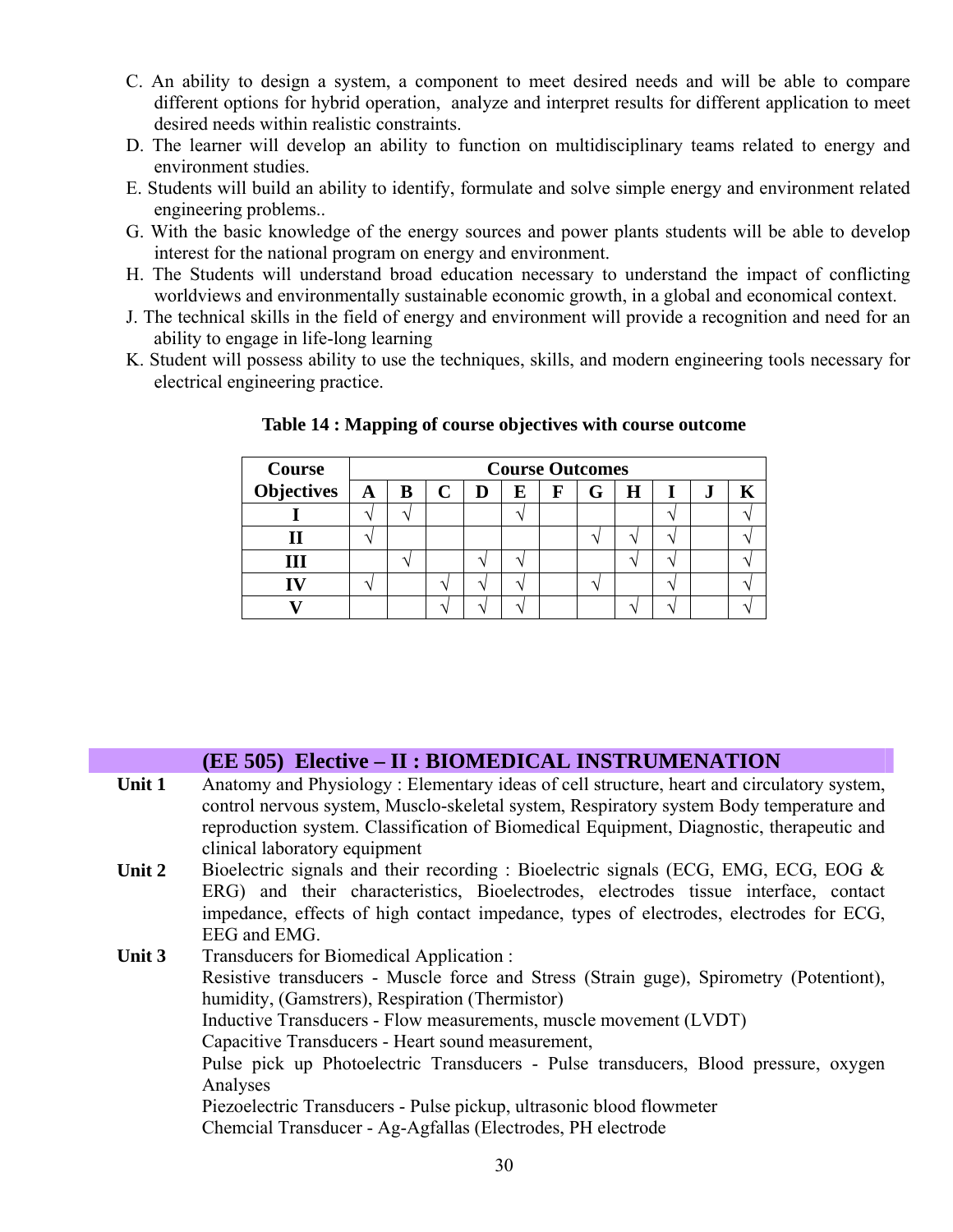- C. An ability to design a system, a component to meet desired needs and will be able to compare different options for hybrid operation, analyze and interpret results for different application to meet desired needs within realistic constraints.
- D. The learner will develop an ability to function on multidisciplinary teams related to energy and environment studies.
- E. Students will build an ability to identify, formulate and solve simple energy and environment related engineering problems..
- G. With the basic knowledge of the energy sources and power plants students will be able to develop interest for the national program on energy and environment.
- H. The Students will understand broad education necessary to understand the impact of conflicting worldviews and environmentally sustainable economic growth, in a global and economical context.
- J. The technical skills in the field of energy and environment will provide a recognition and need for an ability to engage in life-long learning
- K. Student will possess ability to use the techniques, skills, and modern engineering tools necessary for electrical engineering practice.

| <b>Course</b>     |              | <b>Course Outcomes</b> |  |   |    |             |   |   |  |           |  |
|-------------------|--------------|------------------------|--|---|----|-------------|---|---|--|-----------|--|
| <b>Objectives</b> | $\mathbf{A}$ | В                      |  | D | F. | $\mathbf F$ | G | Н |  | $\bullet$ |  |
|                   |              |                        |  |   |    |             |   |   |  |           |  |
|                   |              |                        |  |   |    |             |   |   |  |           |  |
|                   |              |                        |  |   |    |             |   |   |  |           |  |
|                   |              |                        |  |   |    |             |   |   |  |           |  |
|                   |              |                        |  |   |    |             |   |   |  |           |  |

#### **Table 14 : Mapping of course objectives with course outcome**

|        | (EE 505) Elective – II : BIOMEDICAL INSTRUMENATION                                        |
|--------|-------------------------------------------------------------------------------------------|
| Unit 1 | Anatomy and Physiology: Elementary ideas of cell structure, heart and circulatory system, |
|        | control nervous system, Musclo-skeletal system, Respiratory system Body temperature and   |
|        | reproduction system. Classification of Biomedical Equipment, Diagnostic, therapeutic and  |
|        | clinical laboratory equipment                                                             |
| Unit 2 | Bioelectric signals and their recording : Bioelectric signals (ECG, EMG, ECG, EOG $\&$    |
|        | ERG) and their characteristics, Bioelectrodes, electrodes tissue interface, contact       |
|        | impedance, effects of high contact impedance, types of electrodes, electrodes for ECG,    |
|        | EEG and EMG.                                                                              |
| Unit 3 | Transducers for Biomedical Application:                                                   |
|        | Resistive transducers - Muscle force and Stress (Strain guge), Spirometry (Potentiont),   |
|        | humidity, (Gamstrers), Respiration (Thermistor)                                           |
|        | Inductive Transducers - Flow measurements, muscle movement (LVDT)                         |
|        | Capacitive Transducers - Heart sound measurement,                                         |
|        | Pulse pick up Photoelectric Transducers - Pulse transducers, Blood pressure, oxygen       |
|        | Analyses                                                                                  |
|        | Piezoelectric Transducers - Pulse pickup, ultrasonic blood flowmeter                      |
|        | Chemcial Transducer - Ag-Agfallas (Electrodes, PH electrode                               |
|        |                                                                                           |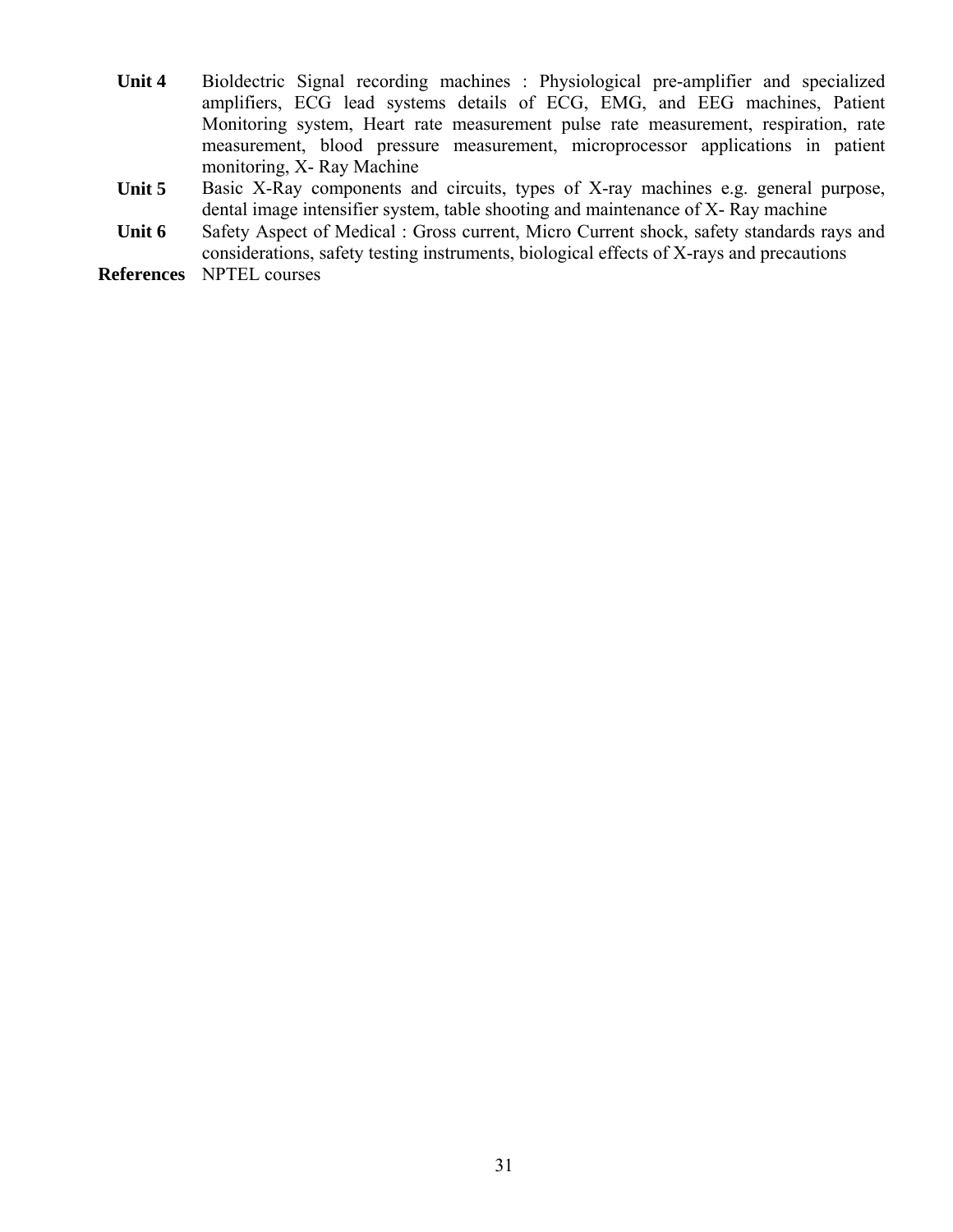- **Unit 4** Bioldectric Signal recording machines : Physiological pre-amplifier and specialized amplifiers, ECG lead systems details of ECG, EMG, and EEG machines, Patient Monitoring system, Heart rate measurement pulse rate measurement, respiration, rate measurement, blood pressure measurement, microprocessor applications in patient monitoring, X- Ray Machine
- Unit 5 Basic X-Ray components and circuits, types of X-ray machines e.g. general purpose, dental image intensifier system, table shooting and maintenance of X- Ray machine
- Unit 6 Safety Aspect of Medical : Gross current, Micro Current shock, safety standards rays and considerations, safety testing instruments, biological effects of X-rays and precautions

**References** NPTEL courses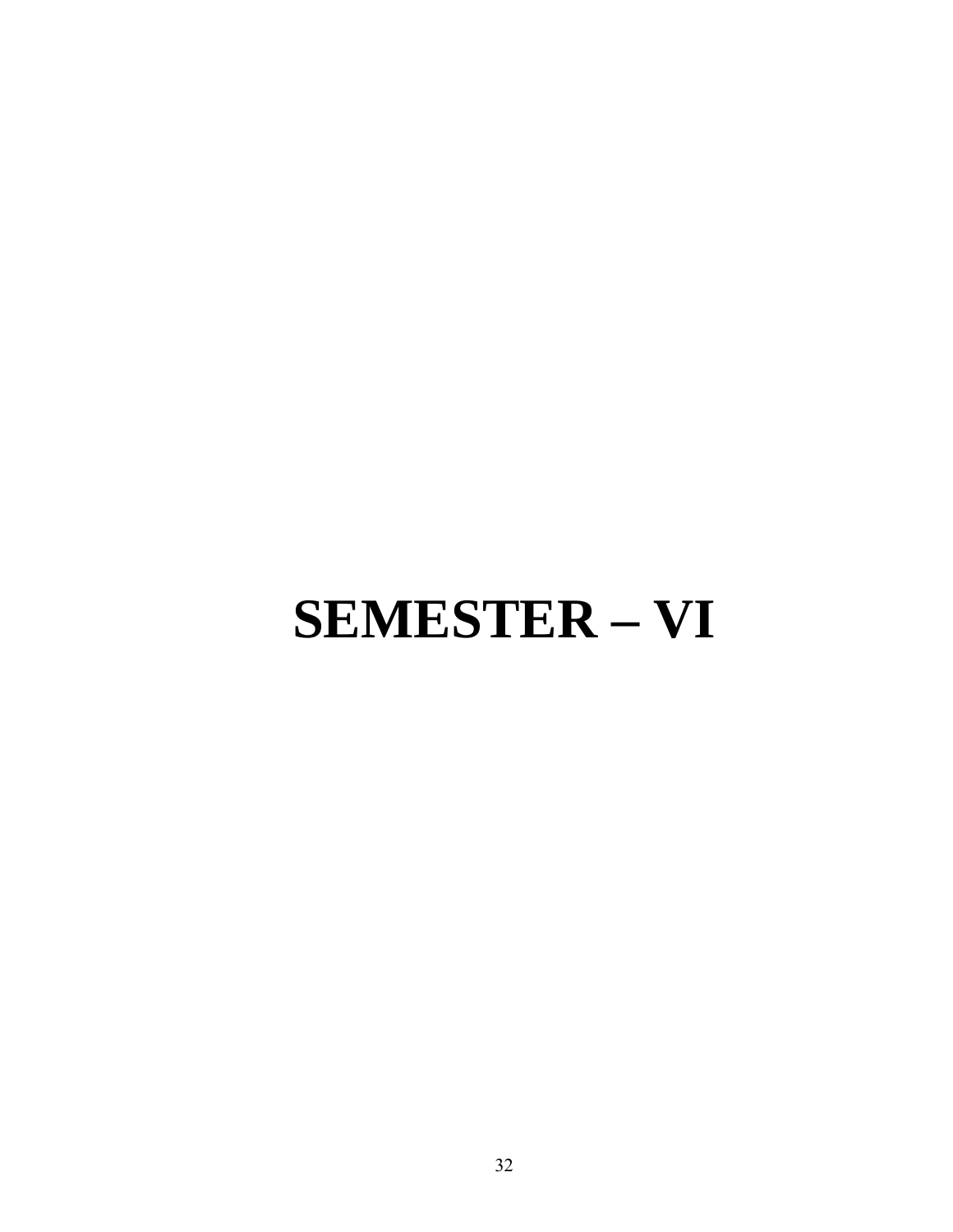# **SEMESTER – VI**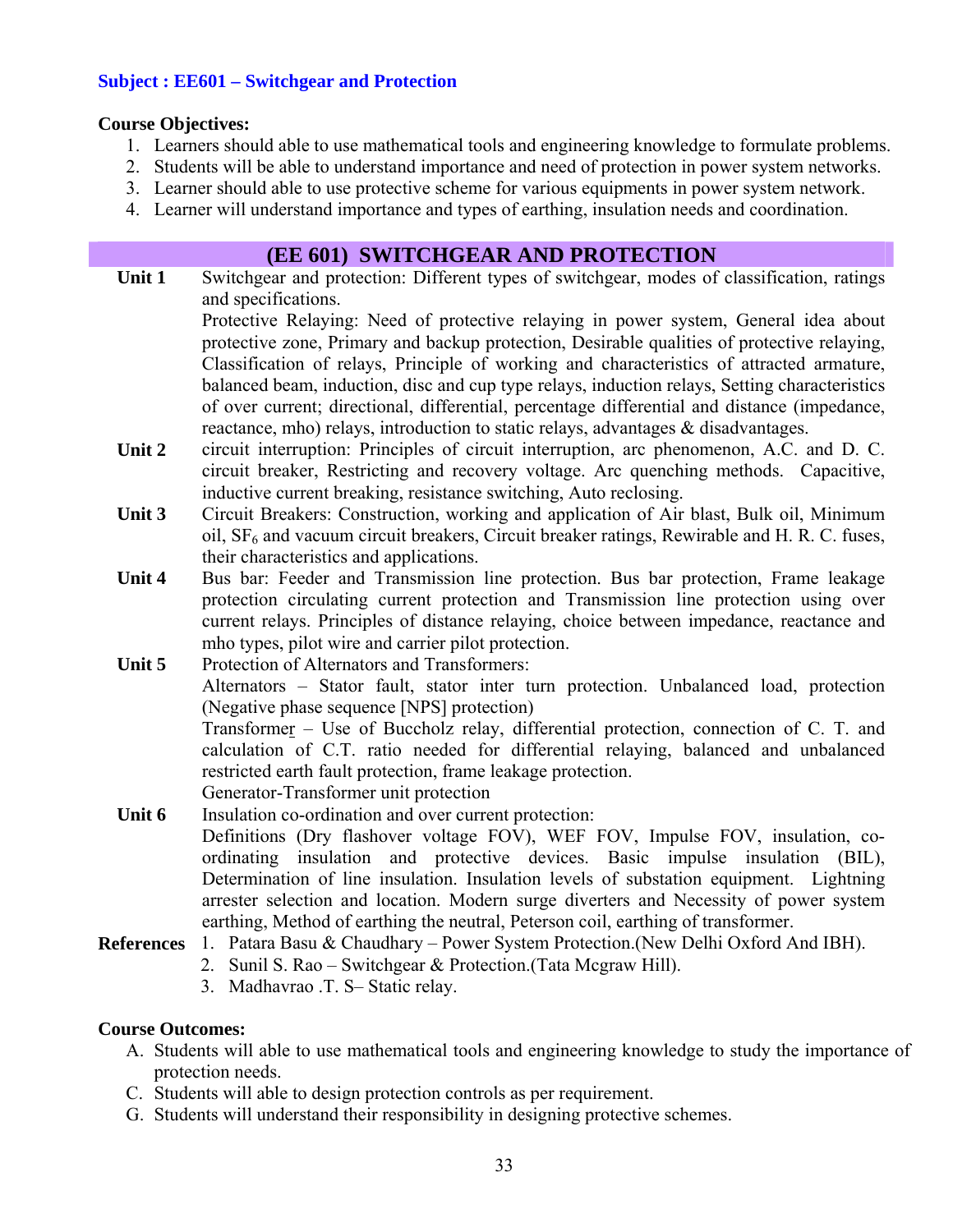#### **Subject : EE601 – Switchgear and Protection**

#### **Course Objectives:**

- 1. Learners should able to use mathematical tools and engineering knowledge to formulate problems.
- 2. Students will be able to understand importance and need of protection in power system networks.
- 3. Learner should able to use protective scheme for various equipments in power system network.
- 4. Learner will understand importance and types of earthing, insulation needs and coordination.

#### **(EE 601) SWITCHGEAR AND PROTECTION**

- Unit 1 Switchgear and protection: Different types of switchgear, modes of classification, ratings and specifications. Protective Relaying: Need of protective relaying in power system, General idea about protective zone, Primary and backup protection, Desirable qualities of protective relaying, Classification of relays, Principle of working and characteristics of attracted armature, balanced beam, induction, disc and cup type relays, induction relays, Setting characteristics of over current; directional, differential, percentage differential and distance (impedance, reactance, mho) relays, introduction to static relays, advantages & disadvantages.
- **Unit 2** circuit interruption: Principles of circuit interruption, arc phenomenon, A.C. and D. C. circuit breaker, Restricting and recovery voltage. Arc quenching methods. Capacitive, inductive current breaking, resistance switching, Auto reclosing.
- **Unit 3** Circuit Breakers: Construction, working and application of Air blast, Bulk oil, Minimum oil,  $SF<sub>6</sub>$  and vacuum circuit breakers, Circuit breaker ratings, Rewirable and H. R. C. fuses, their characteristics and applications.
- Unit 4 Bus bar: Feeder and Transmission line protection. Bus bar protection, Frame leakage protection circulating current protection and Transmission line protection using over current relays. Principles of distance relaying, choice between impedance, reactance and mho types, pilot wire and carrier pilot protection.
- **Unit 5** Protection of Alternators and Transformers: Alternators – Stator fault, stator inter turn protection. Unbalanced load, protection (Negative phase sequence [NPS] protection) Transformer – Use of Buccholz relay, differential protection, connection of C. T. and calculation of C.T. ratio needed for differential relaying, balanced and unbalanced restricted earth fault protection, frame leakage protection. Generator-Transformer unit protection
- **Unit 6** Insulation co-ordination and over current protection: Definitions (Dry flashover voltage FOV), WEF FOV, Impulse FOV, insulation, coordinating insulation and protective devices. Basic impulse insulation (BIL), Determination of line insulation. Insulation levels of substation equipment. Lightning arrester selection and location. Modern surge diverters and Necessity of power system earthing, Method of earthing the neutral, Peterson coil, earthing of transformer.
- **References** 1. Patara Basu & Chaudhary Power System Protection.(New Delhi Oxford And IBH).
	- 2. Sunil S. Rao Switchgear & Protection.(Tata Mcgraw Hill).
		- 3. Madhavrao .T. S– Static relay.

#### **Course Outcomes:**

- A. Students will able to use mathematical tools and engineering knowledge to study the importance of protection needs.
- C. Students will able to design protection controls as per requirement.
- G. Students will understand their responsibility in designing protective schemes.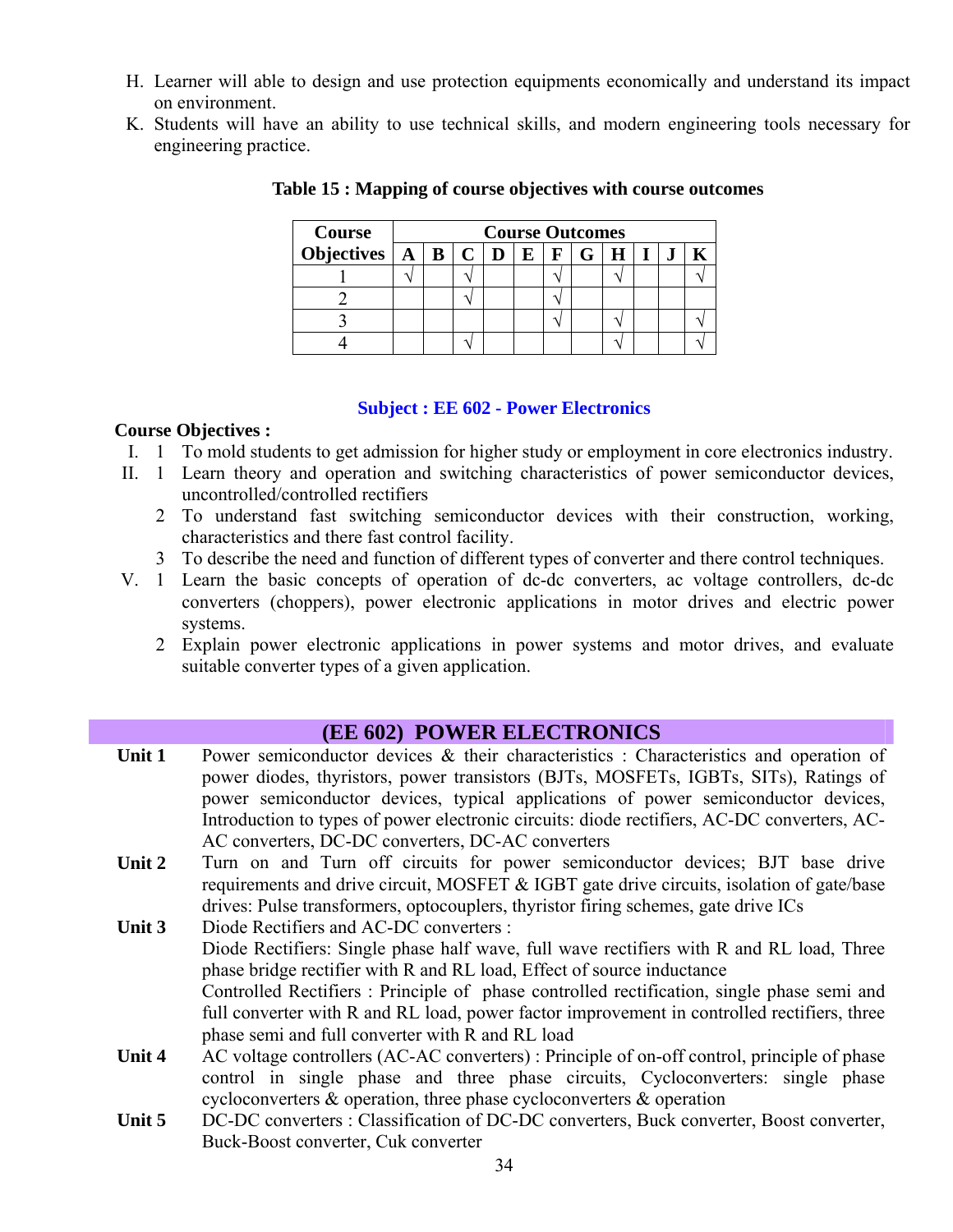- H. Learner will able to design and use protection equipments economically and understand its impact on environment.
- K. Students will have an ability to use technical skills, and modern engineering tools necessary for engineering practice.

| <b>Course</b> | <b>Course Outcomes</b> |  |  |  |          |  |            |              |  |  |  |  |
|---------------|------------------------|--|--|--|----------|--|------------|--------------|--|--|--|--|
|               |                        |  |  |  | $\bf{E}$ |  | $F \mid G$ | $\mathbf{H}$ |  |  |  |  |
|               |                        |  |  |  |          |  |            |              |  |  |  |  |
|               |                        |  |  |  |          |  |            |              |  |  |  |  |
|               |                        |  |  |  |          |  |            |              |  |  |  |  |
|               |                        |  |  |  |          |  |            |              |  |  |  |  |

**Table 15 : Mapping of course objectives with course outcomes** 

#### **Subject : EE 602 - Power Electronics**

#### **Course Objectives :**

- I. 1 To mold students to get admission for higher study or employment in core electronics industry.
- II. 1 Learn theory and operation and switching characteristics of power semiconductor devices, uncontrolled/controlled rectifiers
	- 2 To understand fast switching semiconductor devices with their construction, working, characteristics and there fast control facility.
	- 3 To describe the need and function of different types of converter and there control techniques.
- V. 1 Learn the basic concepts of operation of dc-dc converters, ac voltage controllers, dc-dc converters (choppers), power electronic applications in motor drives and electric power systems.
	- 2 Explain power electronic applications in power systems and motor drives, and evaluate suitable converter types of a given application.

#### **(EE 602) POWER ELECTRONICS**

- Unit 1 Power semiconductor devices & their characteristics : Characteristics and operation of power diodes, thyristors, power transistors (BJTs, MOSFETs, IGBTs, SITs), Ratings of power semiconductor devices, typical applications of power semiconductor devices, Introduction to types of power electronic circuits: diode rectifiers, AC-DC converters, AC-AC converters, DC-DC converters, DC-AC converters
- Unit 2 Turn on and Turn off circuits for power semiconductor devices; BJT base drive requirements and drive circuit, MOSFET & IGBT gate drive circuits, isolation of gate/base drives: Pulse transformers, optocouplers, thyristor firing schemes, gate drive ICs
- **Unit 3** Diode Rectifiers and AC-DC converters : Diode Rectifiers: Single phase half wave, full wave rectifiers with R and RL load, Three phase bridge rectifier with R and RL load, Effect of source inductance Controlled Rectifiers : Principle of phase controlled rectification, single phase semi and full converter with R and RL load, power factor improvement in controlled rectifiers, three phase semi and full converter with R and RL load
- Unit 4 AC voltage controllers (AC-AC converters) : Principle of on-off control, principle of phase control in single phase and three phase circuits, Cycloconverters: single phase cycloconverters & operation, three phase cycloconverters & operation
- Unit 5 DC-DC converters : Classification of DC-DC converters, Buck converter, Boost converter, Buck-Boost converter, Cuk converter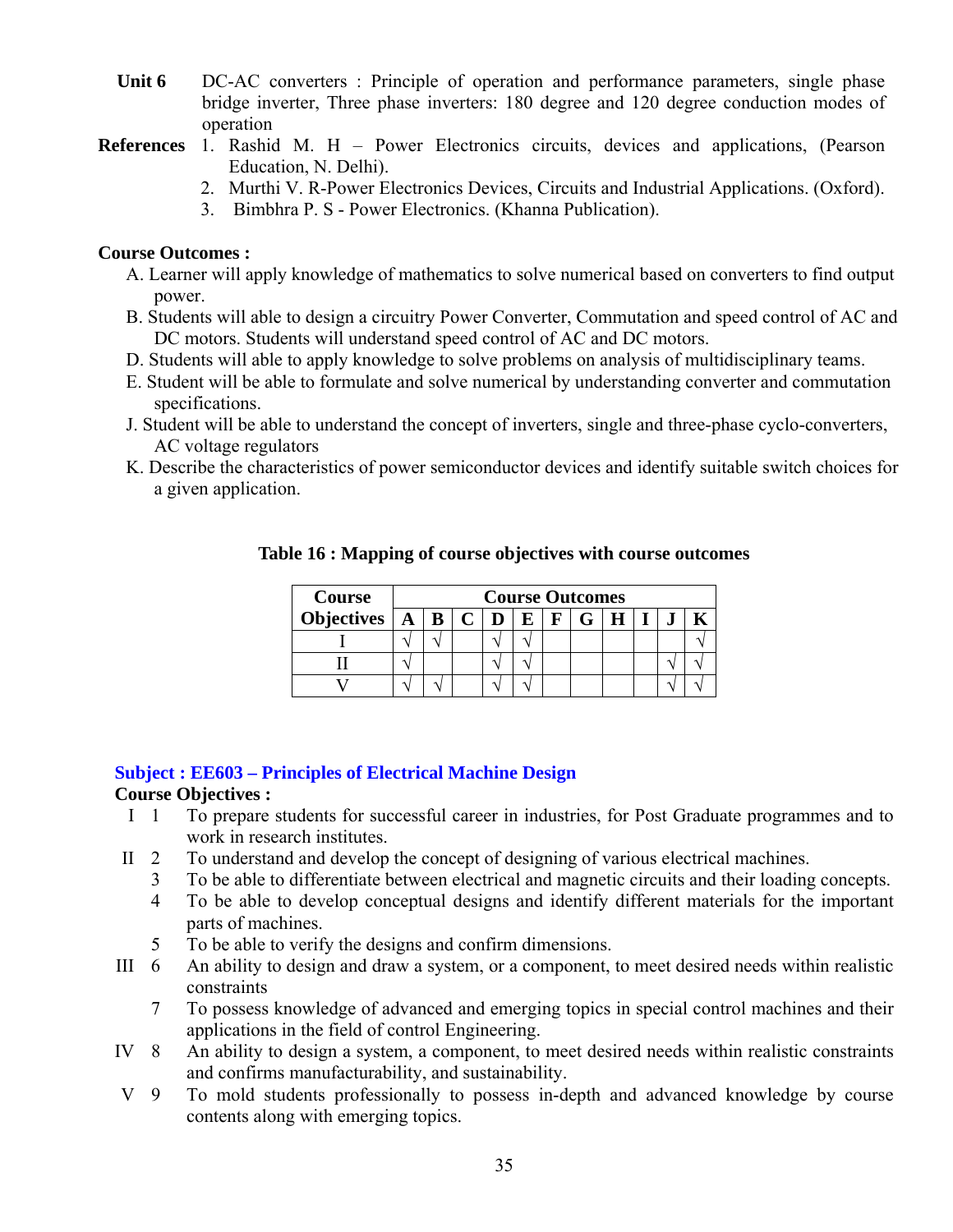- Unit 6 DC-AC converters : Principle of operation and performance parameters, single phase bridge inverter, Three phase inverters: 180 degree and 120 degree conduction modes of operation
- **References** 1. Rashid M. H Power Electronics circuits, devices and applications, (Pearson Education, N. Delhi).
	- 2. Murthi V. R-Power Electronics Devices, Circuits and Industrial Applications. (Oxford).
	- 3. Bimbhra P. S Power Electronics. (Khanna Publication).

#### **Course Outcomes :**

- A. Learner will apply knowledge of mathematics to solve numerical based on converters to find output power.
- B. Students will able to design a circuitry Power Converter, Commutation and speed control of AC and DC motors. Students will understand speed control of AC and DC motors.
- D. Students will able to apply knowledge to solve problems on analysis of multidisciplinary teams.
- E. Student will be able to formulate and solve numerical by understanding converter and commutation specifications.
- J. Student will be able to understand the concept of inverters, single and three-phase cyclo-converters, AC voltage regulators
- K. Describe the characteristics of power semiconductor devices and identify suitable switch choices for a given application.

| Course | <b>Course Outcomes</b> |  |  |  |              |  |  |  |  |
|--------|------------------------|--|--|--|--------------|--|--|--|--|
|        |                        |  |  |  | $\mathbf{F}$ |  |  |  |  |
|        |                        |  |  |  |              |  |  |  |  |
|        |                        |  |  |  |              |  |  |  |  |
|        |                        |  |  |  |              |  |  |  |  |

#### **Table 16 : Mapping of course objectives with course outcomes**

#### **Subject : EE603 – Principles of Electrical Machine Design**

#### **Course Objectives :**

- I 1 To prepare students for successful career in industries, for Post Graduate programmes and to work in research institutes.
- II 2 To understand and develop the concept of designing of various electrical machines.
	- 3 To be able to differentiate between electrical and magnetic circuits and their loading concepts.
	- 4 To be able to develop conceptual designs and identify different materials for the important parts of machines.
	- 5 To be able to verify the designs and confirm dimensions.
- III 6 An ability to design and draw a system, or a component, to meet desired needs within realistic constraints
	- 7 To possess knowledge of advanced and emerging topics in special control machines and their applications in the field of control Engineering.
- IV 8 An ability to design a system, a component, to meet desired needs within realistic constraints and confirms manufacturability, and sustainability.
- V 9 To mold students professionally to possess in-depth and advanced knowledge by course contents along with emerging topics.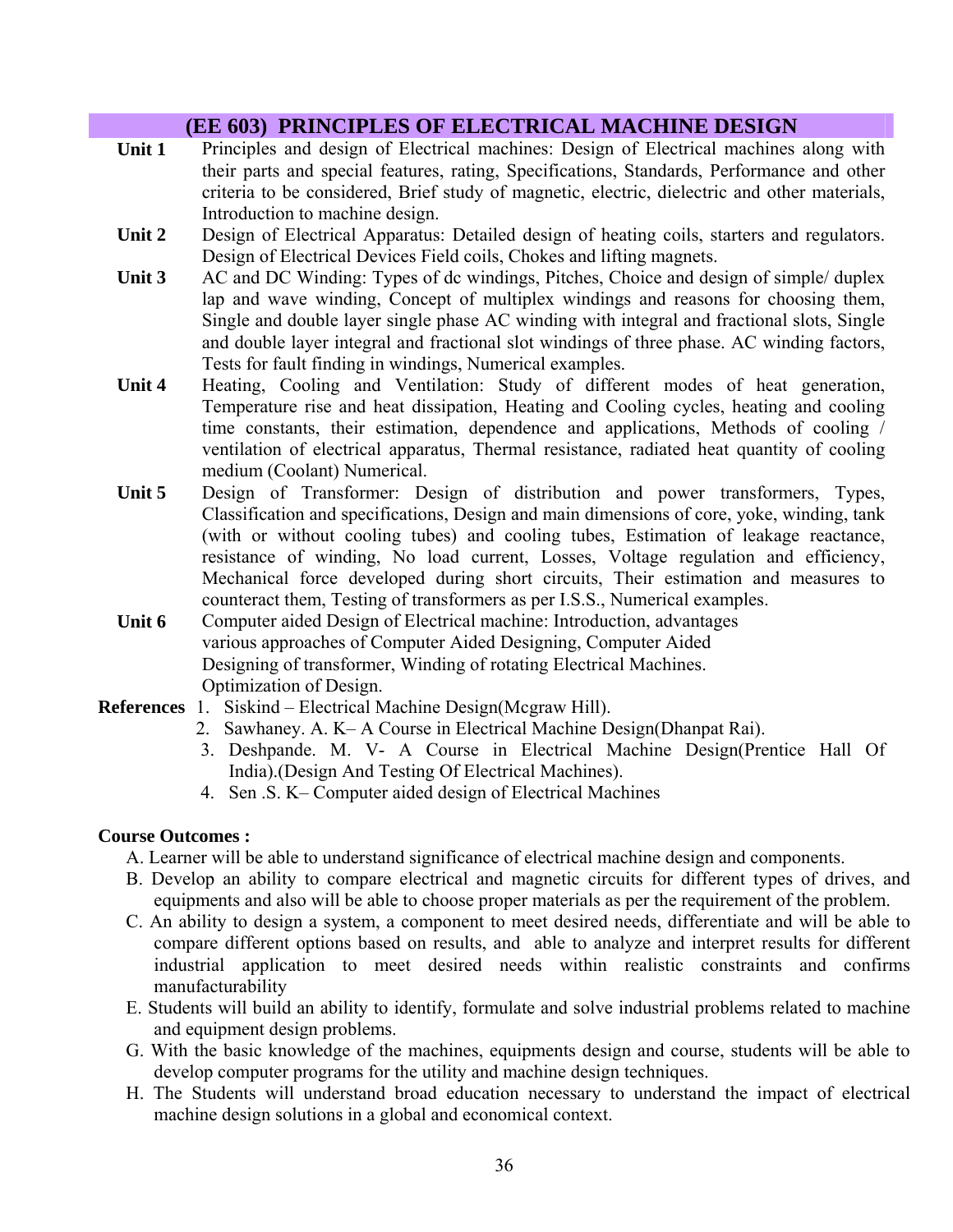# **(EE 603) PRINCIPLES OF ELECTRICAL MACHINE DESIGN**

- **Unit 1** Principles and design of Electrical machines: Design of Electrical machines along with their parts and special features, rating, Specifications, Standards, Performance and other criteria to be considered, Brief study of magnetic, electric, dielectric and other materials, Introduction to machine design.
- Unit 2 Design of Electrical Apparatus: Detailed design of heating coils, starters and regulators. Design of Electrical Devices Field coils, Chokes and lifting magnets.
- Unit 3 AC and DC Winding: Types of dc windings, Pitches, Choice and design of simple/ duplex lap and wave winding, Concept of multiplex windings and reasons for choosing them, Single and double layer single phase AC winding with integral and fractional slots, Single and double layer integral and fractional slot windings of three phase. AC winding factors, Tests for fault finding in windings, Numerical examples.
- Unit 4 **Heating, Cooling and Ventilation:** Study of different modes of heat generation, Temperature rise and heat dissipation, Heating and Cooling cycles, heating and cooling time constants, their estimation, dependence and applications, Methods of cooling / ventilation of electrical apparatus, Thermal resistance, radiated heat quantity of cooling medium (Coolant) Numerical.
- **Unit 5** Design of Transformer: Design of distribution and power transformers, Types, Classification and specifications, Design and main dimensions of core, yoke, winding, tank (with or without cooling tubes) and cooling tubes, Estimation of leakage reactance, resistance of winding, No load current, Losses, Voltage regulation and efficiency, Mechanical force developed during short circuits, Their estimation and measures to counteract them, Testing of transformers as per I.S.S., Numerical examples.
- **Unit 6** Computer aided Design of Electrical machine: Introduction, advantages various approaches of Computer Aided Designing, Computer Aided Designing of transformer, Winding of rotating Electrical Machines. Optimization of Design.
- **References** 1. Siskind Electrical Machine Design(Mcgraw Hill).
	- 2. Sawhaney. A. K– A Course in Electrical Machine Design(Dhanpat Rai).
	- 3. Deshpande. M. V- A Course in Electrical Machine Design(Prentice Hall Of India).(Design And Testing Of Electrical Machines).
	- 4. Sen .S. K– Computer aided design of Electrical Machines

#### **Course Outcomes :**

- A. Learner will be able to understand significance of electrical machine design and components.
- B. Develop an ability to compare electrical and magnetic circuits for different types of drives, and equipments and also will be able to choose proper materials as per the requirement of the problem.
- C. An ability to design a system, a component to meet desired needs, differentiate and will be able to compare different options based on results, and able to analyze and interpret results for different industrial application to meet desired needs within realistic constraints and confirms manufacturability
- E. Students will build an ability to identify, formulate and solve industrial problems related to machine and equipment design problems.
- G. With the basic knowledge of the machines, equipments design and course, students will be able to develop computer programs for the utility and machine design techniques.
- H. The Students will understand broad education necessary to understand the impact of electrical machine design solutions in a global and economical context.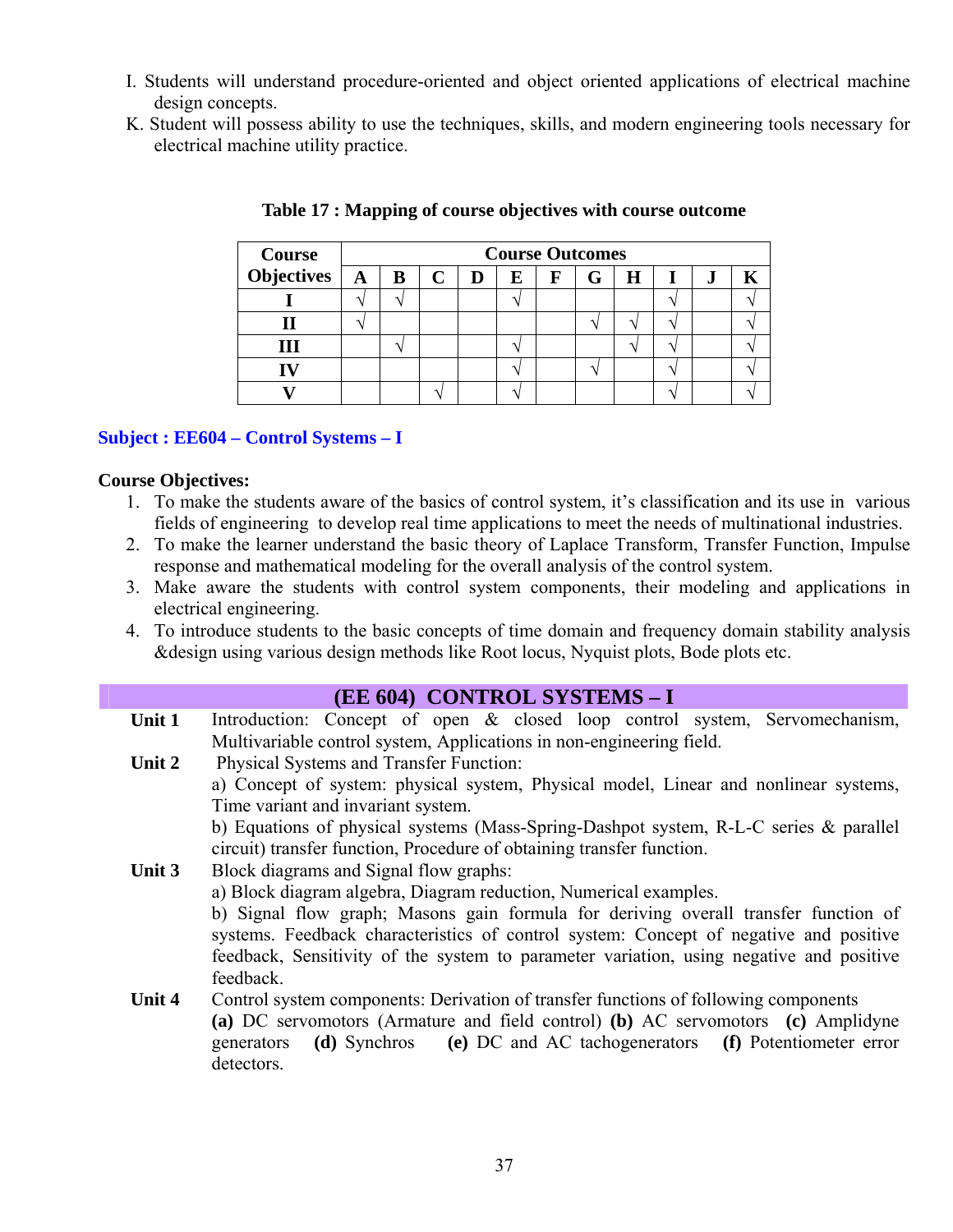- I. Students will understand procedure-oriented and object oriented applications of electrical machine design concepts.
- K. Student will possess ability to use the techniques, skills, and modern engineering tools necessary for electrical machine utility practice.

| <b>Course</b>          | <b>Course Outcomes</b> |  |   |   |             |   |   |  |         |  |
|------------------------|------------------------|--|---|---|-------------|---|---|--|---------|--|
| Objectives $\boxed{A}$ | $\bf{B}$               |  | D | Е | $\mathbf F$ | G | Н |  | $\cdot$ |  |
|                        |                        |  |   |   |             |   |   |  |         |  |
|                        |                        |  |   |   |             |   |   |  |         |  |
|                        |                        |  |   |   |             |   |   |  |         |  |
|                        |                        |  |   |   |             |   |   |  |         |  |
|                        |                        |  |   |   |             |   |   |  |         |  |

#### **Table 17 : Mapping of course objectives with course outcome**

#### **Subject : EE604 – Control Systems – I**

#### **Course Objectives:**

- 1. To make the students aware of the basics of control system, it's classification and its use in various fields of engineering to develop real time applications to meet the needs of multinational industries.
- 2. To make the learner understand the basic theory of Laplace Transform, Transfer Function, Impulse response and mathematical modeling for the overall analysis of the control system.
- 3. Make aware the students with control system components, their modeling and applications in electrical engineering.
- 4. To introduce students to the basic concepts of time domain and frequency domain stability analysis &design using various design methods like Root locus, Nyquist plots, Bode plots etc.

#### **(EE 604) CONTROL SYSTEMS – I**

- Unit 1 Introduction: Concept of open & closed loop control system, Servomechanism, Multivariable control system, Applications in non-engineering field.
- **Unit 2** Physical Systems and Transfer Function: a) Concept of system: physical system, Physical model, Linear and nonlinear systems, Time variant and invariant system. b) Equations of physical systems (Mass-Spring-Dashpot system, R-L-C series & parallel circuit) transfer function, Procedure of obtaining transfer function.
- **Unit 3** Block diagrams and Signal flow graphs:
	- a) Block diagram algebra, Diagram reduction, Numerical examples.

b) Signal flow graph; Masons gain formula for deriving overall transfer function of systems. Feedback characteristics of control system: Concept of negative and positive feedback, Sensitivity of the system to parameter variation, using negative and positive feedback.

#### **Unit 4** Control system components: Derivation of transfer functions of following components **(a)** DC servomotors (Armature and field control) **(b)** AC servomotors **(c)** Amplidyne generators **(d)** Synchros **(e)** DC and AC tachogenerators **(f)** Potentiometer error detectors.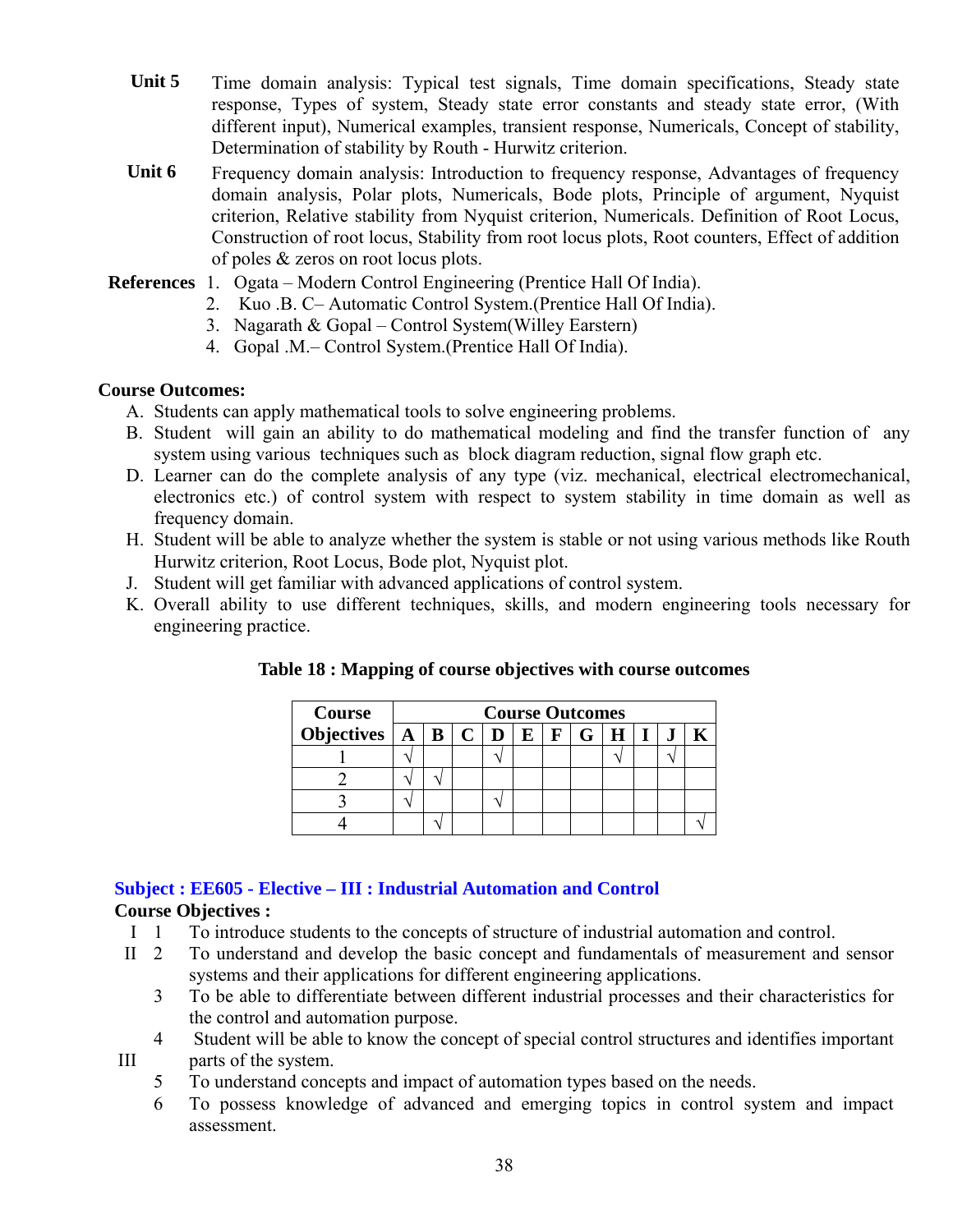- Unit 5 Time domain analysis: Typical test signals, Time domain specifications, Steady state response, Types of system, Steady state error constants and steady state error, (With different input), Numerical examples, transient response, Numericals, Concept of stability, Determination of stability by Routh - Hurwitz criterion.
- Unit 6 Frequency domain analysis: Introduction to frequency response, Advantages of frequency domain analysis, Polar plots, Numericals, Bode plots, Principle of argument, Nyquist criterion, Relative stability from Nyquist criterion, Numericals. Definition of Root Locus, Construction of root locus, Stability from root locus plots, Root counters, Effect of addition of poles & zeros on root locus plots.
- **References** 1. Ogata Modern Control Engineering (Prentice Hall Of India).
	- 2. Kuo .B. C– Automatic Control System.(Prentice Hall Of India).
	- 3. Nagarath & Gopal Control System(Willey Earstern)
	- 4. Gopal .M.– Control System.(Prentice Hall Of India).

#### **Course Outcomes:**

- A. Students can apply mathematical tools to solve engineering problems.
- B. Student will gain an ability to do mathematical modeling and find the transfer function of any system using various techniques such as block diagram reduction, signal flow graph etc.
- D. Learner can do the complete analysis of any type (viz. mechanical, electrical electromechanical, electronics etc.) of control system with respect to system stability in time domain as well as frequency domain.
- H. Student will be able to analyze whether the system is stable or not using various methods like Routh Hurwitz criterion, Root Locus, Bode plot, Nyquist plot.
- J. Student will get familiar with advanced applications of control system.
- K. Overall ability to use different techniques, skills, and modern engineering tools necessary for engineering practice.

| <b>Course</b>                       | <b>Course Outcomes</b> |  |  |              |          |  |  |  |  |
|-------------------------------------|------------------------|--|--|--------------|----------|--|--|--|--|
| Objectives $A \mid B \mid C \mid D$ |                        |  |  | $\mathbf{E}$ | $F \mid$ |  |  |  |  |
|                                     |                        |  |  |              |          |  |  |  |  |
|                                     |                        |  |  |              |          |  |  |  |  |
|                                     |                        |  |  |              |          |  |  |  |  |
|                                     |                        |  |  |              |          |  |  |  |  |

**Table 18 : Mapping of course objectives with course outcomes** 

# **Subject : EE605 - Elective – III : Industrial Automation and Control**

#### **Course Objectives :**

- I 1 To introduce students to the concepts of structure of industrial automation and control.<br>II 2 To understand and develop the basic concept and fundamentals of measurement and
- To understand and develop the basic concept and fundamentals of measurement and sensor systems and their applications for different engineering applications.
	- 3 To be able to differentiate between different industrial processes and their characteristics for the control and automation purpose.
- 4 Student will be able to know the concept of special control structures and identifies important III parts of the system.
	- 5 To understand concepts and impact of automation types based on the needs.
	- 6 To possess knowledge of advanced and emerging topics in control system and impact assessment.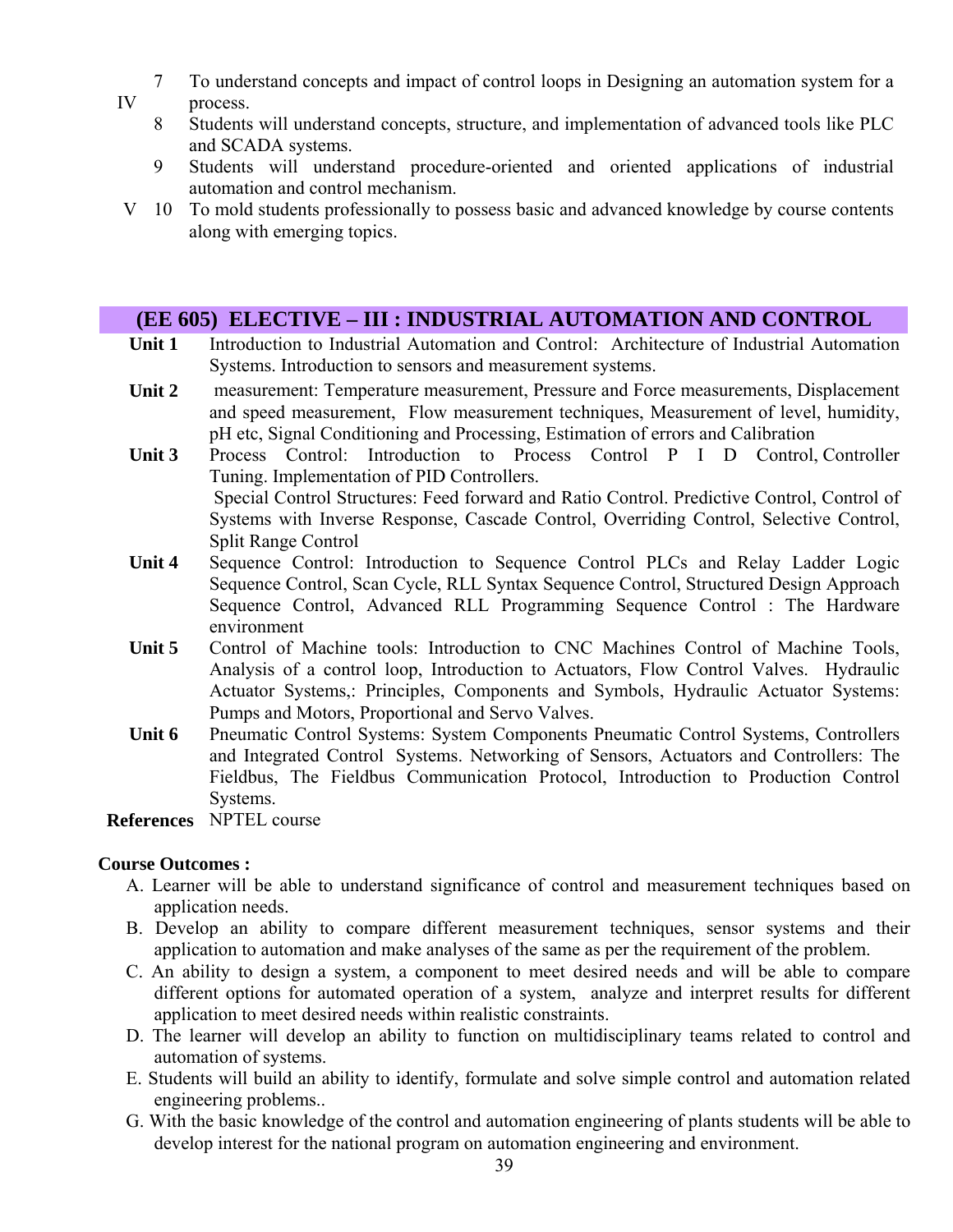- 7 To understand concepts and impact of control loops in Designing an automation system for a IV process.
	- 8 Students will understand concepts, structure, and implementation of advanced tools like PLC and SCADA systems.
		- 9 Students will understand procedure-oriented and oriented applications of industrial automation and control mechanism.
- V 10 To mold students professionally to possess basic and advanced knowledge by course contents along with emerging topics.

# **(EE 605) ELECTIVE – III : INDUSTRIAL AUTOMATION AND CONTROL**

- **Unit 1** Introduction to Industrial Automation and Control: Architecture of Industrial Automation Systems. Introduction to sensors and measurement systems.
- **Unit 2** measurement: Temperature measurement, Pressure and Force measurements, Displacement and speed measurement, Flow measurement techniques, Measurement of level, humidity, pH etc, Signal Conditioning and Processing, Estimation of errors and Calibration
- **Unit 3** Process Control: Introduction to Process Control P I D Control, Controller Tuning. Implementation of PID Controllers. Special Control Structures: Feed forward and Ratio Control. Predictive Control, Control of Systems with Inverse Response, Cascade Control, Overriding Control, Selective Control, Split Range Control
- **Unit 4** Sequence Control: Introduction to Sequence Control PLCs and Relay Ladder Logic Sequence Control, Scan Cycle, RLL Syntax Sequence Control, Structured Design Approach Sequence Control, Advanced RLL Programming Sequence Control : The Hardware environment
- Unit 5 Control of Machine tools: Introduction to CNC Machines Control of Machine Tools, Analysis of a control loop, Introduction to Actuators, Flow Control Valves. Hydraulic Actuator Systems,: Principles, Components and Symbols, Hydraulic Actuator Systems: Pumps and Motors, Proportional and Servo Valves.
- **Unit 6** Pneumatic Control Systems: System Components Pneumatic Control Systems, Controllers and Integrated Control Systems. Networking of Sensors, Actuators and Controllers: The Fieldbus, The Fieldbus Communication Protocol, Introduction to Production Control Systems.

**References** NPTEL course

#### **Course Outcomes :**

- A. Learner will be able to understand significance of control and measurement techniques based on application needs.
- B. Develop an ability to compare different measurement techniques, sensor systems and their application to automation and make analyses of the same as per the requirement of the problem.
- C. An ability to design a system, a component to meet desired needs and will be able to compare different options for automated operation of a system, analyze and interpret results for different application to meet desired needs within realistic constraints.
- D. The learner will develop an ability to function on multidisciplinary teams related to control and automation of systems.
- E. Students will build an ability to identify, formulate and solve simple control and automation related engineering problems..
- G. With the basic knowledge of the control and automation engineering of plants students will be able to develop interest for the national program on automation engineering and environment.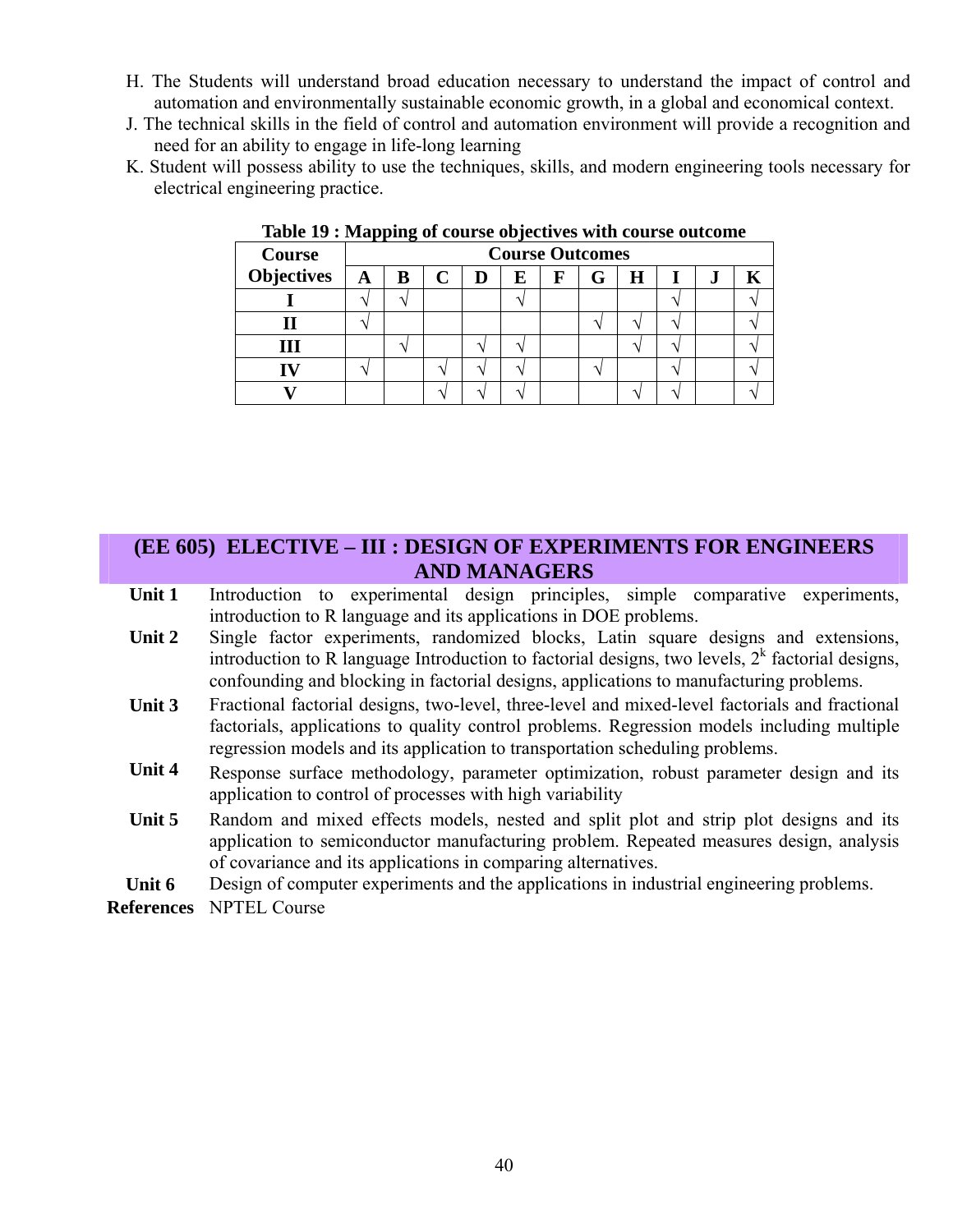- H. The Students will understand broad education necessary to understand the impact of control and automation and environmentally sustainable economic growth, in a global and economical context.
- J. The technical skills in the field of control and automation environment will provide a recognition and need for an ability to engage in life-long learning
- K. Student will possess ability to use the techniques, skills, and modern engineering tools necessary for electrical engineering practice.

| Course     |              | <b>Course Outcomes</b> |  |   |   |   |  |   |  |    |  |
|------------|--------------|------------------------|--|---|---|---|--|---|--|----|--|
| Objectives | $\mathbf{A}$ | B                      |  | D | E | F |  | H |  | ., |  |
|            |              |                        |  |   |   |   |  |   |  |    |  |
|            |              |                        |  |   |   |   |  |   |  |    |  |
|            |              |                        |  |   |   |   |  |   |  |    |  |
|            |              |                        |  |   |   |   |  |   |  |    |  |
|            |              |                        |  |   |   |   |  |   |  |    |  |

**Table 19 : Mapping of course objectives with course outcome** 

### **(EE 605) ELECTIVE – III : DESIGN OF EXPERIMENTS FOR ENGINEERS AND MANAGERS**

- Unit 1 Introduction to experimental design principles, simple comparative experiments, introduction to R language and its applications in DOE problems.
- Unit 2 Single factor experiments, randomized blocks, Latin square designs and extensions, introduction to R language Introduction to factorial designs, two levels,  $2<sup>k</sup>$  factorial designs, confounding and blocking in factorial designs, applications to manufacturing problems.
- **Unit 3** Fractional factorial designs, two-level, three-level and mixed-level factorials and fractional factorials, applications to quality control problems. Regression models including multiple regression models and its application to transportation scheduling problems.
- Unit 4 Response surface methodology, parameter optimization, robust parameter design and its application to control of processes with high variability
- Unit 5 Random and mixed effects models, nested and split plot and strip plot designs and its application to semiconductor manufacturing problem. Repeated measures design, analysis of covariance and its applications in comparing alternatives.

Unit 6 Design of computer experiments and the applications in industrial engineering problems.

**References** NPTEL Course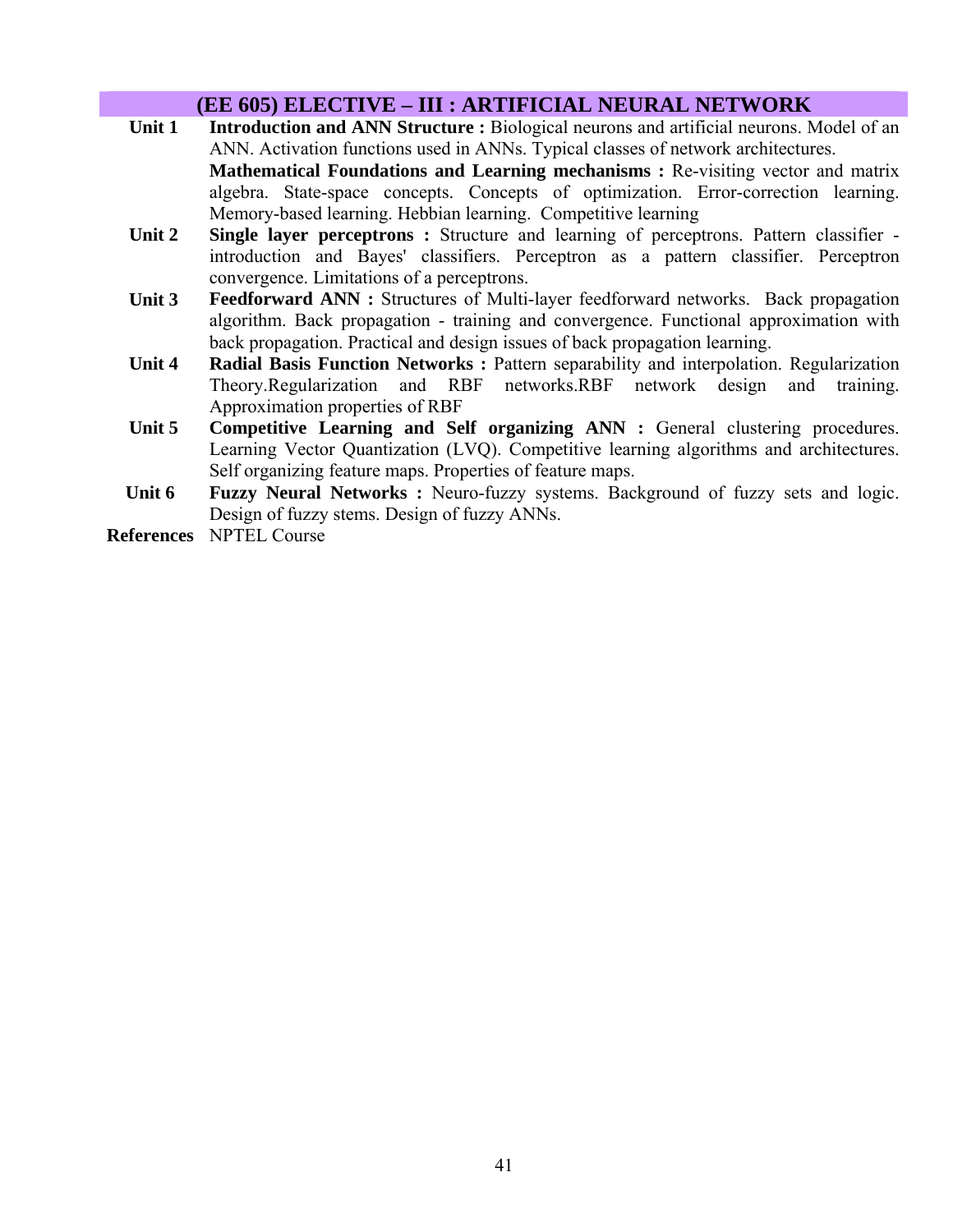### **(EE 605) ELECTIVE – III : ARTIFICIAL NEURAL NETWORK**

- Unit 1 Introduction and ANN Structure : Biological neurons and artificial neurons. Model of an ANN. Activation functions used in ANNs. Typical classes of network architectures. **Mathematical Foundations and Learning mechanisms : Re-visiting vector and matrix** algebra. State-space concepts. Concepts of optimization. Error-correction learning. Memory-based learning. Hebbian learning. Competitive learning
- **Unit 2 Single layer perceptrons :** Structure and learning of perceptrons. Pattern classifier introduction and Bayes' classifiers. Perceptron as a pattern classifier. Perceptron convergence. Limitations of a perceptrons.
- Unit 3 Feedforward ANN : Structures of Multi-layer feedforward networks. Back propagation algorithm. Back propagation - training and convergence. Functional approximation with back propagation. Practical and design issues of back propagation learning.
- **Unit 4 Radial Basis Function Networks :** Pattern separability and interpolation. Regularization Theory.Regularization and RBF networks.RBF network design and training. Approximation properties of RBF
- Unit 5 Competitive Learning and Self organizing ANN : General clustering procedures. Learning Vector Quantization (LVQ). Competitive learning algorithms and architectures. Self organizing feature maps. Properties of feature maps.
- **Unit 6 Fuzzy Neural Networks :** Neuro-fuzzy systems. Background of fuzzy sets and logic. Design of fuzzy stems. Design of fuzzy ANNs.

**References** NPTEL Course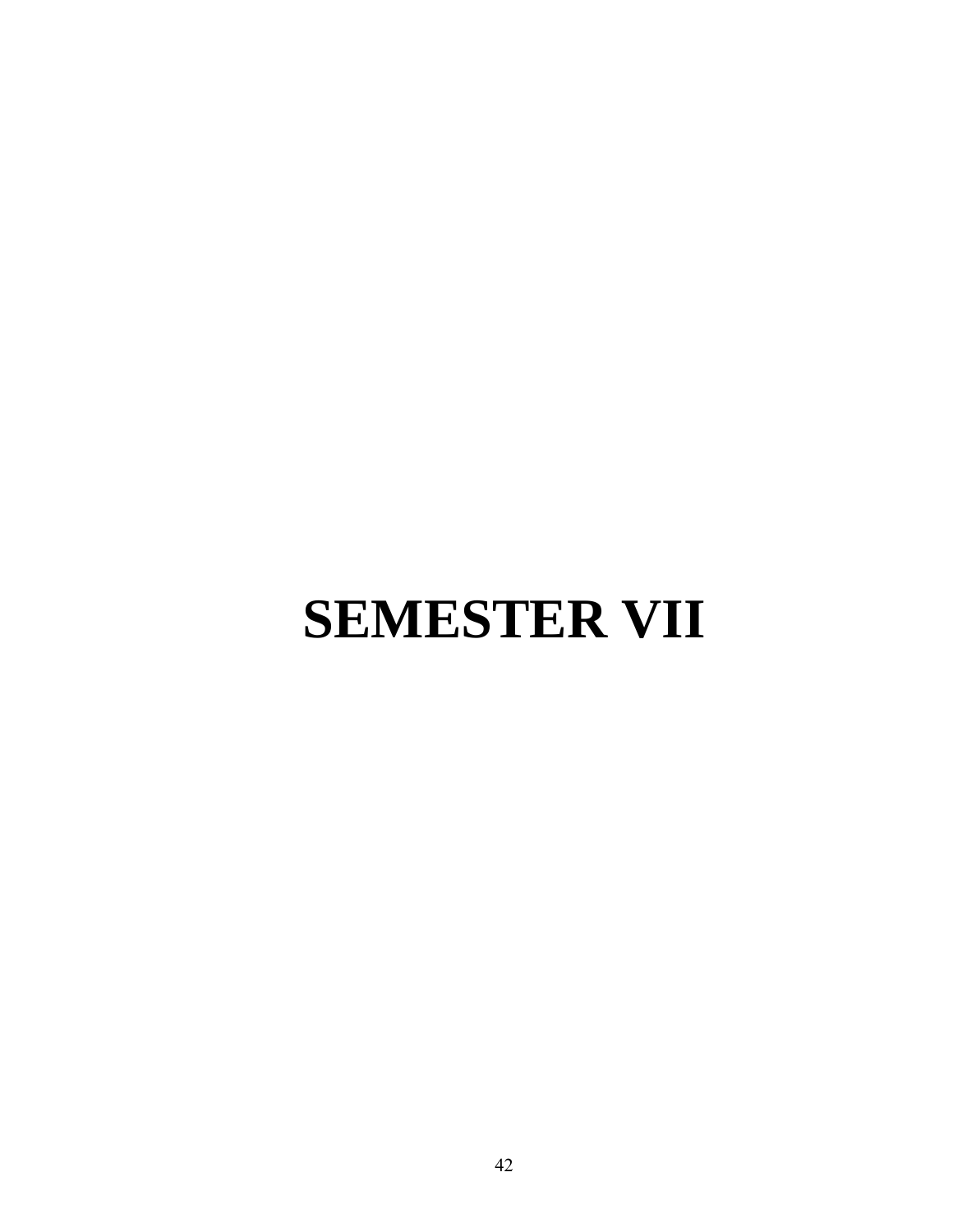# **SEMESTER VII**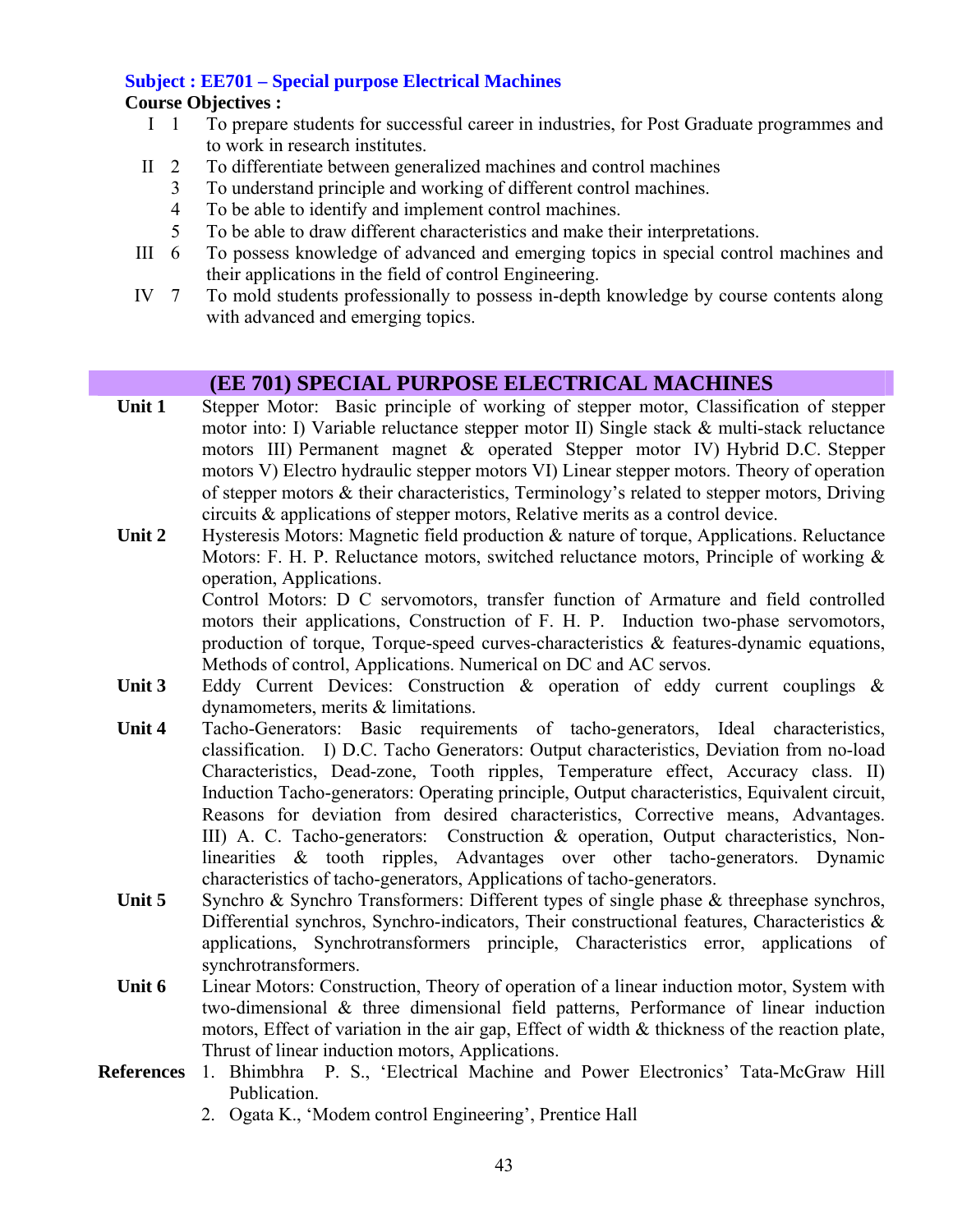# **Subject : EE701 – Special purpose Electrical Machines**

### **Course Objectives :**

- I 1 To prepare students for successful career in industries, for Post Graduate programmes and to work in research institutes.
- II 2 To differentiate between generalized machines and control machines
	- 3 To understand principle and working of different control machines.
	- 4 To be able to identify and implement control machines.
	- 5 To be able to draw different characteristics and make their interpretations.
- III 6 To possess knowledge of advanced and emerging topics in special control machines and their applications in the field of control Engineering.
- IV 7 To mold students professionally to possess in-depth knowledge by course contents along with advanced and emerging topics.

# **(EE 701) SPECIAL PURPOSE ELECTRICAL MACHINES**

- **Unit 1** Stepper Motor: Basic principle of working of stepper motor, Classification of stepper motor into: I) Variable reluctance stepper motor II) Single stack & multi-stack reluctance motors III) Permanent magnet & operated Stepper motor IV) Hybrid D.C. Stepper motors V) Electro hydraulic stepper motors VI) Linear stepper motors. Theory of operation of stepper motors & their characteristics, Terminology's related to stepper motors, Driving circuits & applications of stepper motors, Relative merits as a control device.
- **Unit 2** Hysteresis Motors: Magnetic field production & nature of torque, Applications. Reluctance Motors: F. H. P. Reluctance motors, switched reluctance motors, Principle of working & operation, Applications.

Control Motors: D C servomotors, transfer function of Armature and field controlled motors their applications, Construction of F. H. P. Induction two-phase servomotors, production of torque, Torque-speed curves-characteristics & features-dynamic equations, Methods of control, Applications. Numerical on DC and AC servos.

- Unit 3 Eddy Current Devices: Construction & operation of eddy current couplings & dynamometers, merits & limitations.
- **Unit 4** Tacho-Generators: Basic requirements of tacho-generators, Ideal characteristics, classification. I) D.C. Tacho Generators: Output characteristics, Deviation from no-load Characteristics, Dead-zone, Tooth ripples, Temperature effect, Accuracy class. II) Induction Tacho-generators: Operating principle, Output characteristics, Equivalent circuit, Reasons for deviation from desired characteristics, Corrective means, Advantages. III) A. C. Tacho-generators: Construction & operation, Output characteristics, Nonlinearities & tooth ripples, Advantages over other tacho-generators. Dynamic characteristics of tacho-generators, Applications of tacho-generators.
- Unit 5 Synchro & Synchro Transformers: Different types of single phase & threephase synchros, Differential synchros, Synchro-indicators, Their constructional features, Characteristics & applications, Synchrotransformers principle, Characteristics error, applications of synchrotransformers.
- **Unit 6** Linear Motors: Construction, Theory of operation of a linear induction motor, System with two-dimensional & three dimensional field patterns, Performance of linear induction motors, Effect of variation in the air gap, Effect of width  $\&$  thickness of the reaction plate, Thrust of linear induction motors, Applications.
- **References** 1. Bhimbhra P. S., 'Electrical Machine and Power Electronics' Tata-McGraw Hill Publication.
	- 2. Ogata K., 'Modem control Engineering', Prentice Hall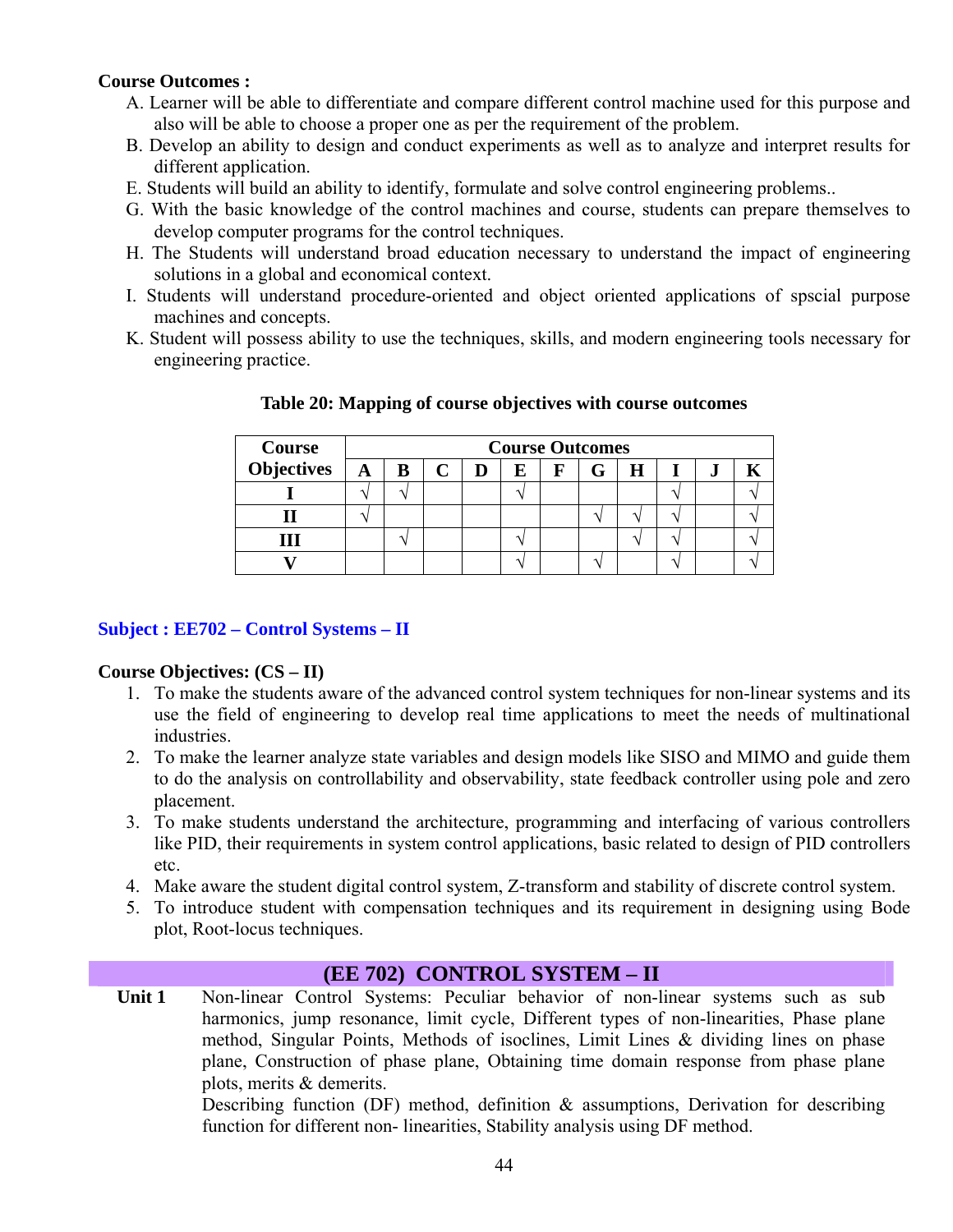#### **Course Outcomes :**

- A. Learner will be able to differentiate and compare different control machine used for this purpose and also will be able to choose a proper one as per the requirement of the problem.
- B. Develop an ability to design and conduct experiments as well as to analyze and interpret results for different application.
- E. Students will build an ability to identify, formulate and solve control engineering problems..
- G. With the basic knowledge of the control machines and course, students can prepare themselves to develop computer programs for the control techniques.
- H. The Students will understand broad education necessary to understand the impact of engineering solutions in a global and economical context.
- I. Students will understand procedure-oriented and object oriented applications of spscial purpose machines and concepts.
- K. Student will possess ability to use the techniques, skills, and modern engineering tools necessary for engineering practice.

| Course     |   | <b>Course Outcomes</b> |  |  |   |   |  |   |  |           |  |
|------------|---|------------------------|--|--|---|---|--|---|--|-----------|--|
| Objectives | A |                        |  |  | E | F |  | H |  | $\bullet$ |  |
|            |   |                        |  |  |   |   |  |   |  |           |  |
|            |   |                        |  |  |   |   |  |   |  |           |  |
|            |   |                        |  |  |   |   |  |   |  |           |  |
|            |   |                        |  |  |   |   |  |   |  |           |  |

**Table 20: Mapping of course objectives with course outcomes** 

#### **Subject : EE702 – Control Systems – II**

#### **Course Objectives: (CS – II)**

- 1. To make the students aware of the advanced control system techniques for non-linear systems and its use the field of engineering to develop real time applications to meet the needs of multinational industries.
- 2. To make the learner analyze state variables and design models like SISO and MIMO and guide them to do the analysis on controllability and observability, state feedback controller using pole and zero placement.
- 3. To make students understand the architecture, programming and interfacing of various controllers like PID, their requirements in system control applications, basic related to design of PID controllers etc.
- 4. Make aware the student digital control system, Z-transform and stability of discrete control system.
- 5. To introduce student with compensation techniques and its requirement in designing using Bode plot, Root-locus techniques.

#### **(EE 702) CONTROL SYSTEM – II**

Unit 1 **Non-linear Control Systems: Peculiar behavior of non-linear systems such as sub** harmonics, jump resonance, limit cycle, Different types of non-linearities, Phase plane method, Singular Points, Methods of isoclines, Limit Lines & dividing lines on phase plane, Construction of phase plane, Obtaining time domain response from phase plane plots, merits & demerits. Describing function (DF) method, definition  $\&$  assumptions, Derivation for describing

function for different non- linearities, Stability analysis using DF method.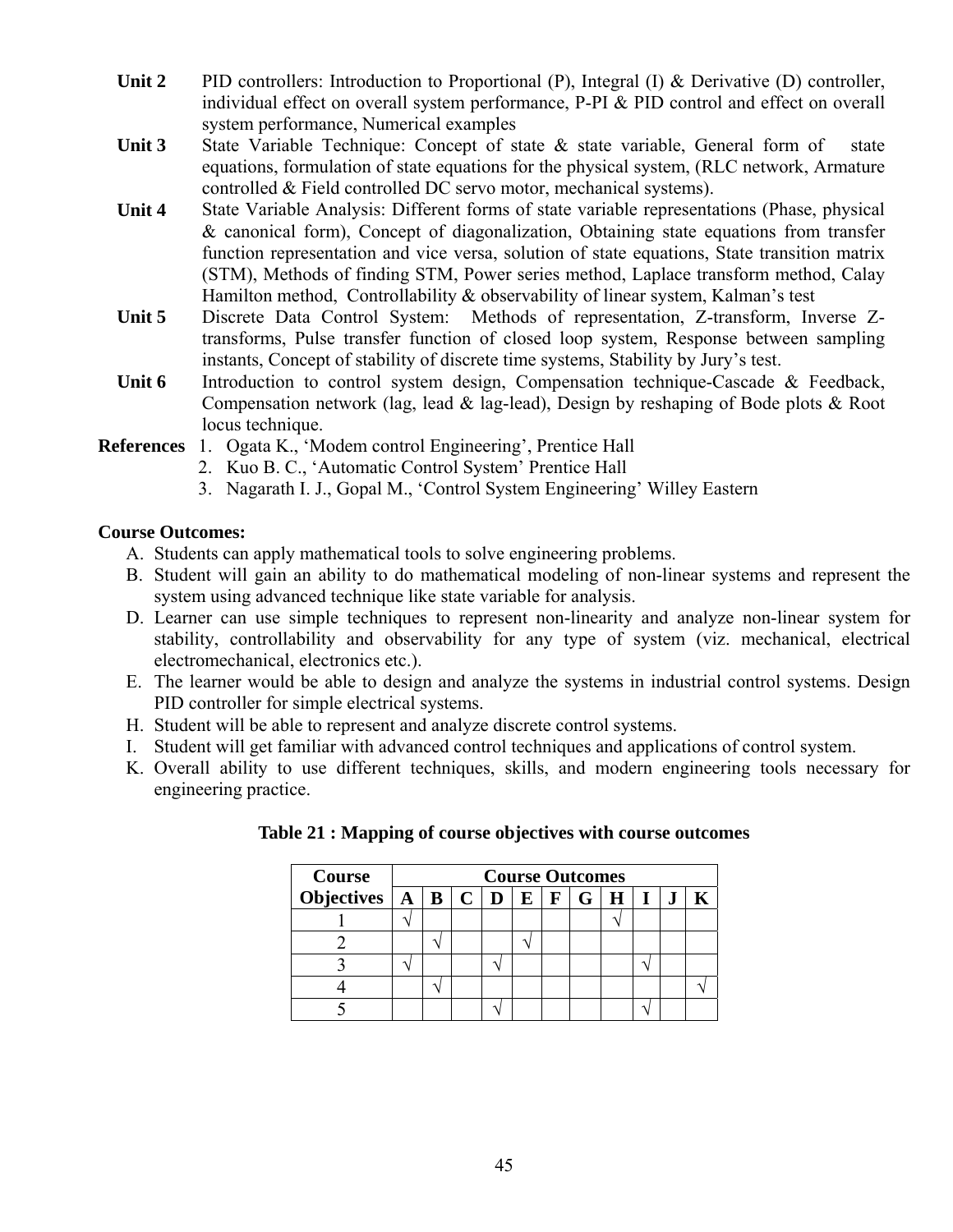- Unit 2 PID controllers: Introduction to Proportional (P), Integral (I) & Derivative (D) controller, individual effect on overall system performance, P-PI & PID control and effect on overall system performance, Numerical examples
- Unit 3 State Variable Technique: Concept of state & state variable, General form of state equations, formulation of state equations for the physical system, (RLC network, Armature controlled & Field controlled DC servo motor, mechanical systems).
- **Unit 4** State Variable Analysis: Different forms of state variable representations (Phase, physical & canonical form), Concept of diagonalization, Obtaining state equations from transfer function representation and vice versa, solution of state equations, State transition matrix (STM), Methods of finding STM, Power series method, Laplace transform method, Calay Hamilton method, Controllability & observability of linear system, Kalman's test
- **Unit 5** Discrete Data Control System: Methods of representation, Z-transform, Inverse Ztransforms, Pulse transfer function of closed loop system, Response between sampling instants, Concept of stability of discrete time systems, Stability by Jury's test.
- Unit 6 Introduction to control system design, Compensation technique-Cascade & Feedback, Compensation network (lag, lead & lag-lead), Design by reshaping of Bode plots & Root locus technique.
- **References** 1. Ogata K., 'Modem control Engineering', Prentice Hall
	- 2. Kuo B. C., 'Automatic Control System' Prentice Hall
	- 3. Nagarath I. J., Gopal M., 'Control System Engineering' Willey Eastern

#### **Course Outcomes:**

- A. Students can apply mathematical tools to solve engineering problems.
- B. Student will gain an ability to do mathematical modeling of non-linear systems and represent the system using advanced technique like state variable for analysis.
- D. Learner can use simple techniques to represent non-linearity and analyze non-linear system for stability, controllability and observability for any type of system (viz. mechanical, electrical electromechanical, electronics etc.).
- E. The learner would be able to design and analyze the systems in industrial control systems. Design PID controller for simple electrical systems.
- H. Student will be able to represent and analyze discrete control systems.
- I. Student will get familiar with advanced control techniques and applications of control system.
- K. Overall ability to use different techniques, skills, and modern engineering tools necessary for engineering practice.

| Course                                                          | <b>Course Outcomes</b> |  |  |  |  |  |  |  |
|-----------------------------------------------------------------|------------------------|--|--|--|--|--|--|--|
| Objectives $A \mid B \mid C \mid D \mid E \mid F \mid G \mid H$ |                        |  |  |  |  |  |  |  |
|                                                                 |                        |  |  |  |  |  |  |  |
|                                                                 |                        |  |  |  |  |  |  |  |
|                                                                 |                        |  |  |  |  |  |  |  |
|                                                                 |                        |  |  |  |  |  |  |  |
|                                                                 |                        |  |  |  |  |  |  |  |

#### **Table 21 : Mapping of course objectives with course outcomes**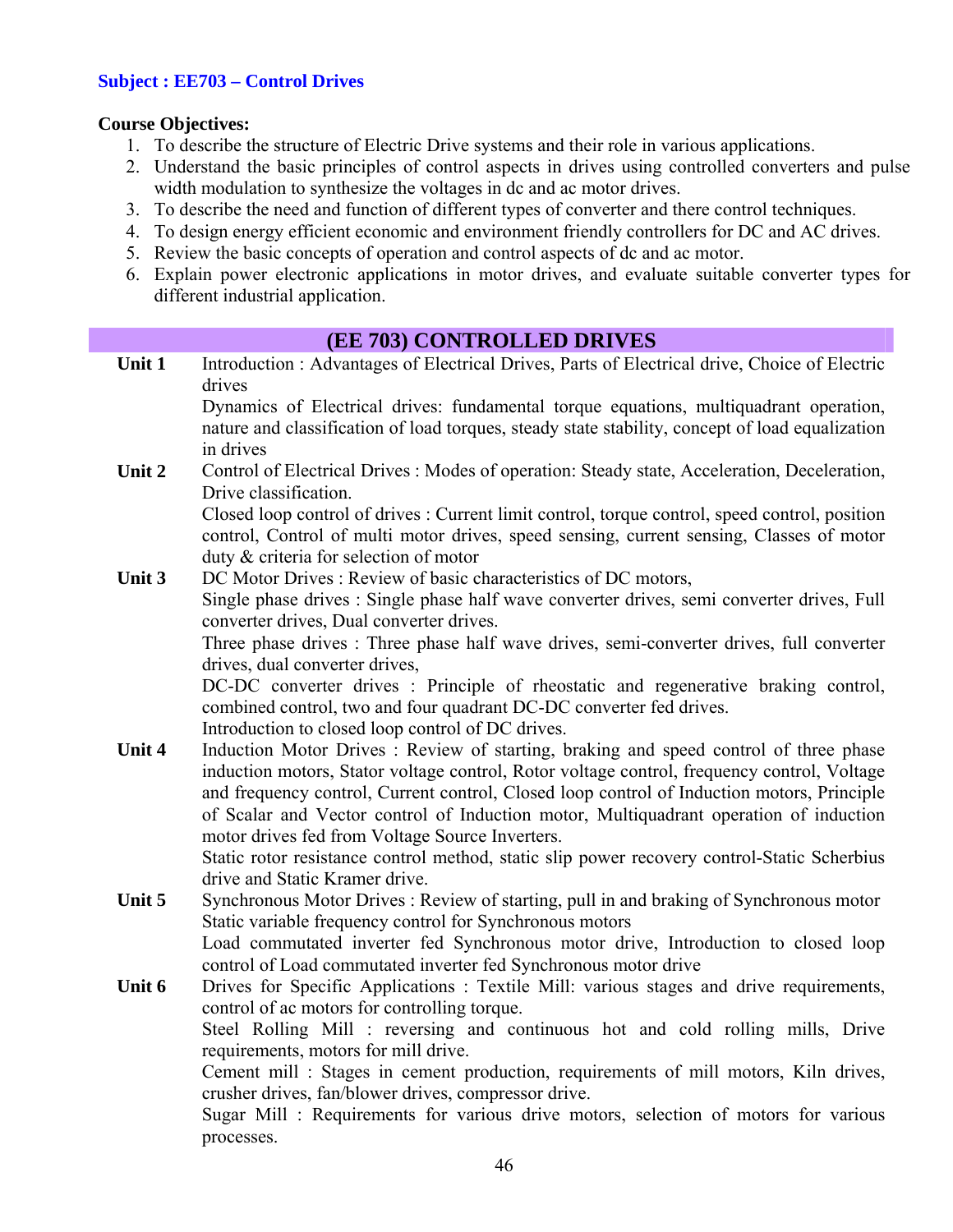#### **Subject : EE703 – Control Drives**

#### **Course Objectives:**

- 1. To describe the structure of Electric Drive systems and their role in various applications.
- 2. Understand the basic principles of control aspects in drives using controlled converters and pulse width modulation to synthesize the voltages in dc and ac motor drives.
- 3. To describe the need and function of different types of converter and there control techniques.
- 4. To design energy efficient economic and environment friendly controllers for DC and AC drives.
- 5. Review the basic concepts of operation and control aspects of dc and ac motor.
- 6. Explain power electronic applications in motor drives, and evaluate suitable converter types for different industrial application.

# **(EE 703) CONTROLLED DRIVES**

**Unit 1** Introduction : Advantages of Electrical Drives, Parts of Electrical drive, Choice of Electric drives

Dynamics of Electrical drives: fundamental torque equations, multiquadrant operation, nature and classification of load torques, steady state stability, concept of load equalization in drives

Unit 2 Control of Electrical Drives : Modes of operation: Steady state, Acceleration, Deceleration, Drive classification.

> Closed loop control of drives : Current limit control, torque control, speed control, position control, Control of multi motor drives, speed sensing, current sensing, Classes of motor duty & criteria for selection of motor

**Unit 3** DC Motor Drives : Review of basic characteristics of DC motors,

Single phase drives : Single phase half wave converter drives, semi converter drives, Full converter drives, Dual converter drives.

Three phase drives : Three phase half wave drives, semi-converter drives, full converter drives, dual converter drives,

DC-DC converter drives : Principle of rheostatic and regenerative braking control, combined control, two and four quadrant DC-DC converter fed drives.

Introduction to closed loop control of DC drives.

Unit 4 Induction Motor Drives : Review of starting, braking and speed control of three phase induction motors, Stator voltage control, Rotor voltage control, frequency control, Voltage and frequency control, Current control, Closed loop control of Induction motors, Principle of Scalar and Vector control of Induction motor, Multiquadrant operation of induction motor drives fed from Voltage Source Inverters.

Static rotor resistance control method, static slip power recovery control-Static Scherbius drive and Static Kramer drive.

Unit 5 Synchronous Motor Drives : Review of starting, pull in and braking of Synchronous motor Static variable frequency control for Synchronous motors

Load commutated inverter fed Synchronous motor drive, Introduction to closed loop control of Load commutated inverter fed Synchronous motor drive

Unit 6 Drives for Specific Applications : Textile Mill: various stages and drive requirements, control of ac motors for controlling torque. Steel Rolling Mill : reversing and continuous hot and cold rolling mills, Drive requirements, motors for mill drive. Cement mill : Stages in cement production, requirements of mill motors, Kiln drives,

crusher drives, fan/blower drives, compressor drive.

Sugar Mill : Requirements for various drive motors, selection of motors for various processes.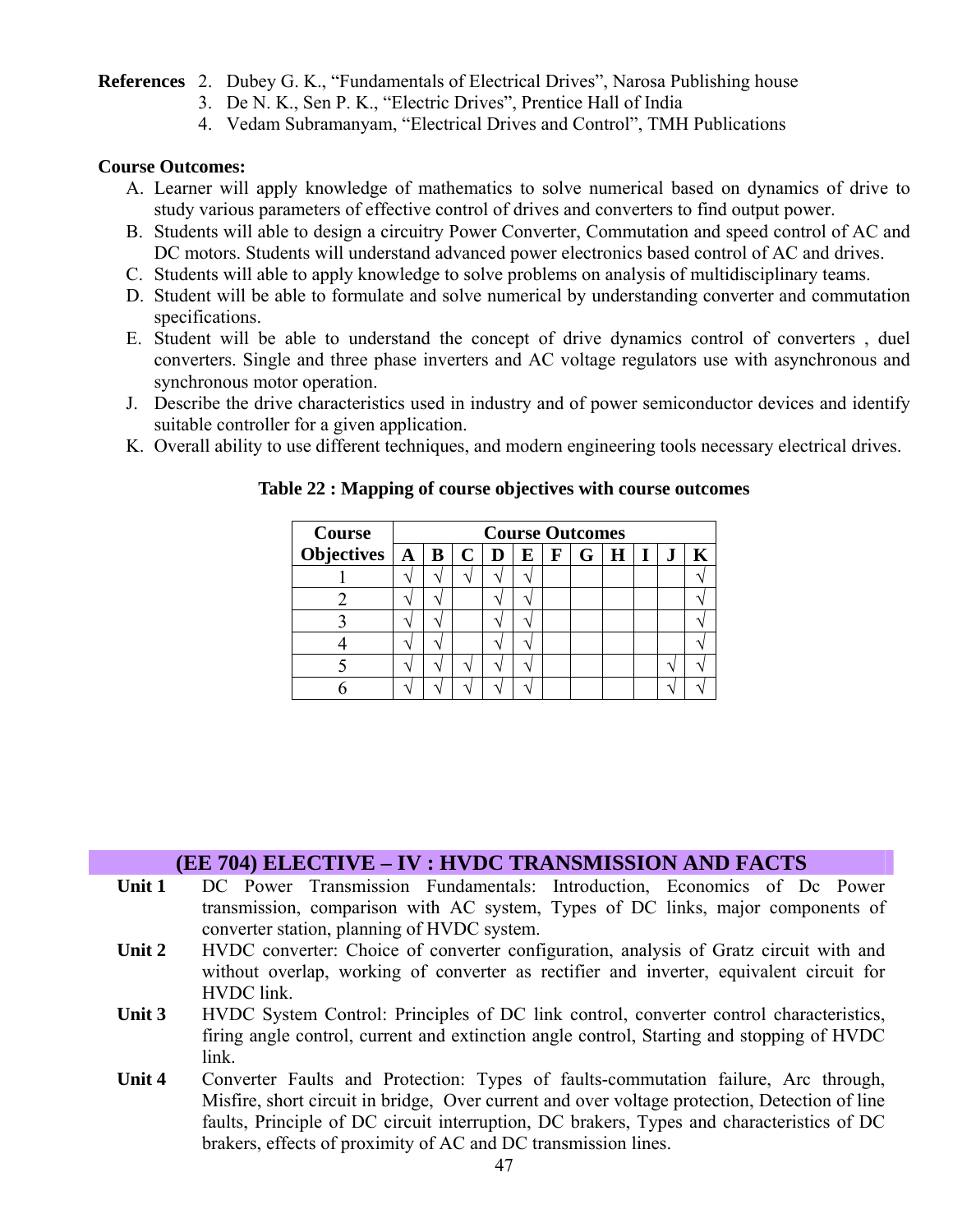#### **References** 2. Dubey G. K., "Fundamentals of Electrical Drives", Narosa Publishing house

- 3. De N. K., Sen P. K., "Electric Drives", Prentice Hall of India
- 4. Vedam Subramanyam, "Electrical Drives and Control", TMH Publications

#### **Course Outcomes:**

- A. Learner will apply knowledge of mathematics to solve numerical based on dynamics of drive to study various parameters of effective control of drives and converters to find output power.
- B. Students will able to design a circuitry Power Converter, Commutation and speed control of AC and DC motors. Students will understand advanced power electronics based control of AC and drives.
- C. Students will able to apply knowledge to solve problems on analysis of multidisciplinary teams.
- D. Student will be able to formulate and solve numerical by understanding converter and commutation specifications.
- E. Student will be able to understand the concept of drive dynamics control of converters , duel converters. Single and three phase inverters and AC voltage regulators use with asynchronous and synchronous motor operation.
- J. Describe the drive characteristics used in industry and of power semiconductor devices and identify suitable controller for a given application.
- K. Overall ability to use different techniques, and modern engineering tools necessary electrical drives.

| <b>Course</b> | <b>Course Outcomes</b> |  |  |   |             |   |    |       |  |
|---------------|------------------------|--|--|---|-------------|---|----|-------|--|
|               |                        |  |  | E | $\mathbf F$ | G | H. | $+1+$ |  |
|               |                        |  |  |   |             |   |    |       |  |
|               |                        |  |  |   |             |   |    |       |  |
|               |                        |  |  |   |             |   |    |       |  |
|               |                        |  |  |   |             |   |    |       |  |
|               |                        |  |  |   |             |   |    |       |  |
|               |                        |  |  |   |             |   |    |       |  |

**Table 22 : Mapping of course objectives with course outcomes** 

#### **(EE 704) ELECTIVE – IV : HVDC TRANSMISSION AND FACTS**

- **Unit 1** DC Power Transmission Fundamentals: Introduction, Economics of Dc Power transmission, comparison with AC system, Types of DC links, major components of converter station, planning of HVDC system.
- Unit 2 HVDC converter: Choice of converter configuration, analysis of Gratz circuit with and without overlap, working of converter as rectifier and inverter, equivalent circuit for HVDC link.
- Unit 3 **HVDC** System Control: Principles of DC link control, converter control characteristics, firing angle control, current and extinction angle control, Starting and stopping of HVDC link.
- **Unit 4** Converter Faults and Protection: Types of faults-commutation failure, Arc through, Misfire, short circuit in bridge, Over current and over voltage protection, Detection of line faults, Principle of DC circuit interruption, DC brakers, Types and characteristics of DC brakers, effects of proximity of AC and DC transmission lines.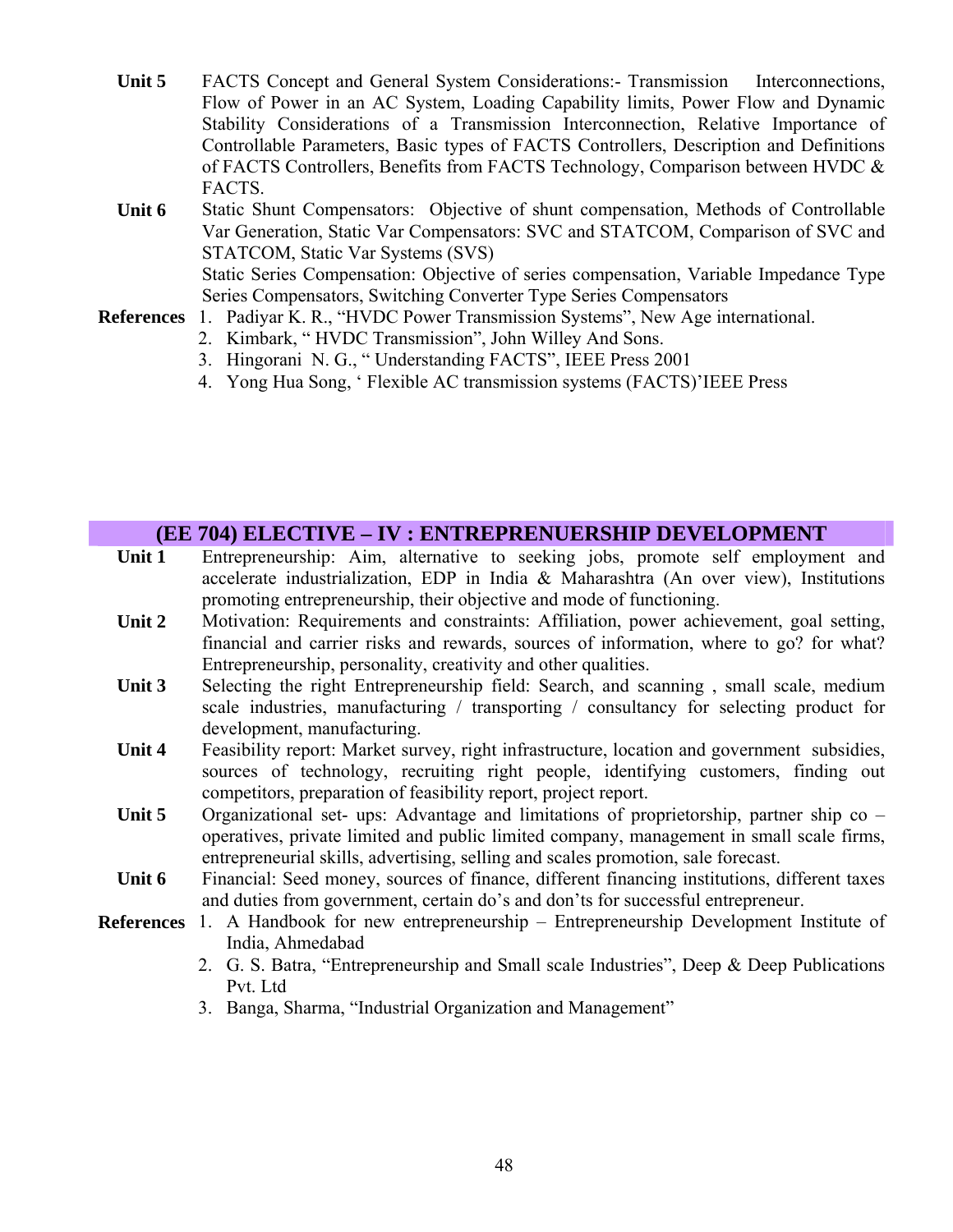- Unit 5 FACTS Concept and General System Considerations:- Transmission Interconnections, Flow of Power in an AC System, Loading Capability limits, Power Flow and Dynamic Stability Considerations of a Transmission Interconnection, Relative Importance of Controllable Parameters, Basic types of FACTS Controllers, Description and Definitions of FACTS Controllers, Benefits from FACTS Technology, Comparison between HVDC & FACTS.
- **Unit 6** Static Shunt Compensators: Objective of shunt compensation, Methods of Controllable Var Generation, Static Var Compensators: SVC and STATCOM, Comparison of SVC and STATCOM, Static Var Systems (SVS) Static Series Compensation: Objective of series compensation, Variable Impedance Type Series Compensators, Switching Converter Type Series Compensators
- **References** 1. Padiyar K. R., "HVDC Power Transmission Systems", New Age international.
	- 2. Kimbark, " HVDC Transmission", John Willey And Sons.
	- 3. Hingorani N. G., " Understanding FACTS", IEEE Press 2001
	- 4. Yong Hua Song, ' Flexible AC transmission systems (FACTS)'IEEE Press

#### **(EE 704) ELECTIVE – IV : ENTREPRENUERSHIP DEVELOPMENT**

- Unit 1 Entrepreneurship: Aim, alternative to seeking jobs, promote self employment and accelerate industrialization, EDP in India & Maharashtra (An over view), Institutions promoting entrepreneurship, their objective and mode of functioning.
- **Unit 2** Motivation: Requirements and constraints: Affiliation, power achievement, goal setting, financial and carrier risks and rewards, sources of information, where to go? for what? Entrepreneurship, personality, creativity and other qualities.
- Unit 3 Selecting the right Entrepreneurship field: Search, and scanning, small scale, medium scale industries, manufacturing / transporting / consultancy for selecting product for development, manufacturing.
- Unit 4 Feasibility report: Market survey, right infrastructure, location and government subsidies, sources of technology, recruiting right people, identifying customers, finding out competitors, preparation of feasibility report, project report.
- Unit 5 Organizational set- ups: Advantage and limitations of proprietorship, partner ship co operatives, private limited and public limited company, management in small scale firms, entrepreneurial skills, advertising, selling and scales promotion, sale forecast.
- Unit 6 Financial: Seed money, sources of finance, different financing institutions, different taxes and duties from government, certain do's and don'ts for successful entrepreneur.
- **References** 1. A Handbook for new entrepreneurship Entrepreneurship Development Institute of India, Ahmedabad
	- 2. G. S. Batra, "Entrepreneurship and Small scale Industries", Deep & Deep Publications Pvt. Ltd
	- 3. Banga, Sharma, "Industrial Organization and Management"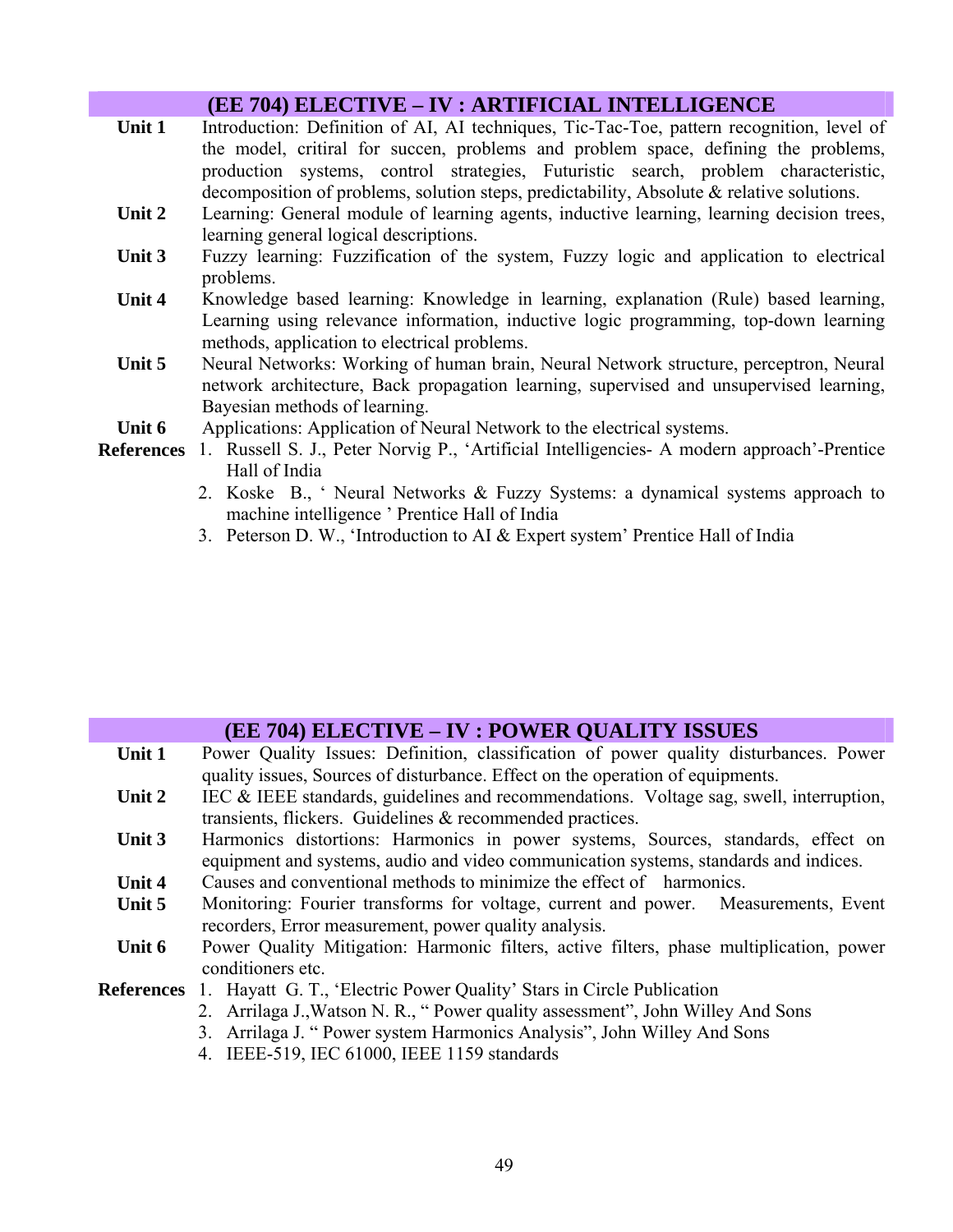|        | <b>(EE 704) ELECTIVE – IV : ARTIFICIAL INTELLIGENCE</b>                                                                                                                                                                                                                                                                                                               |
|--------|-----------------------------------------------------------------------------------------------------------------------------------------------------------------------------------------------------------------------------------------------------------------------------------------------------------------------------------------------------------------------|
| Unit 1 | Introduction: Definition of AI, AI techniques, Tic-Tac-Toe, pattern recognition, level of<br>the model, critiral for succen, problems and problem space, defining the problems,<br>production systems, control strategies, Futuristic search, problem characteristic,<br>decomposition of problems, solution steps, predictability, Absolute $\&$ relative solutions. |
| Unit 2 | Learning: General module of learning agents, inductive learning, learning decision trees,<br>learning general logical descriptions.                                                                                                                                                                                                                                   |
| Unit 3 | Fuzzy learning: Fuzzification of the system, Fuzzy logic and application to electrical<br>problems.                                                                                                                                                                                                                                                                   |
| Unit 4 | Knowledge based learning: Knowledge in learning, explanation (Rule) based learning,<br>Learning using relevance information, inductive logic programming, top-down learning<br>methods, application to electrical problems.                                                                                                                                           |
| Unit 5 | Neural Networks: Working of human brain, Neural Network structure, perceptron, Neural<br>network architecture, Back propagation learning, supervised and unsupervised learning,<br>Bayesian methods of learning.                                                                                                                                                      |
| Unit 6 | Applications: Application of Neural Network to the electrical systems.                                                                                                                                                                                                                                                                                                |
|        | <b>References</b> 1. Russell S. J., Peter Norvig P., 'Artificial Intelligencies- A modern approach'-Prentice<br>Hall of India<br>2. Koske B., ' Neural Networks & Fuzzy Systems: a dynamical systems approach to<br>machine intelligence ' Prentice Hall of India<br>3. Peterson D. W., 'Introduction to AI & Expert system' Prentice Hall of India                   |

|        | <b>(EE 704) ELECTIVE – IV : POWER QUALITY ISSUES</b>                                    |
|--------|-----------------------------------------------------------------------------------------|
| Unit 1 | Power Quality Issues: Definition, classification of power quality disturbances. Power   |
|        | quality issues, Sources of disturbance. Effect on the operation of equipments.          |
| Unit 2 | IEC & IEEE standards, guidelines and recommendations. Voltage sag, swell, interruption, |
|        | transients, flickers. Guidelines & recommended practices.                               |
| Unit 3 | Harmonics distortions: Harmonics in power systems, Sources, standards, effect on        |
|        | equipment and systems, audio and video communication systems, standards and indices.    |
| Unit 4 | Causes and conventional methods to minimize the effect of harmonics.                    |
| Unit 5 | Monitoring: Fourier transforms for voltage, current and power. Measurements, Event      |
|        | recorders, Error measurement, power quality analysis.                                   |
| Unit 6 | Power Quality Mitigation: Harmonic filters, active filters, phase multiplication, power |
|        | conditioners etc.                                                                       |
|        | <b>References</b> 1. Hayatt G. T., 'Electric Power Quality' Stars in Circle Publication |
|        | 2. Arrilaga J., Watson N. R., "Power quality assessment", John Willey And Sons          |
|        | 3. Arrilaga J. " Power system Harmonics Analysis", John Willey And Sons                 |
|        | 4. IEEE-519, IEC 61000, IEEE 1159 standards                                             |
|        |                                                                                         |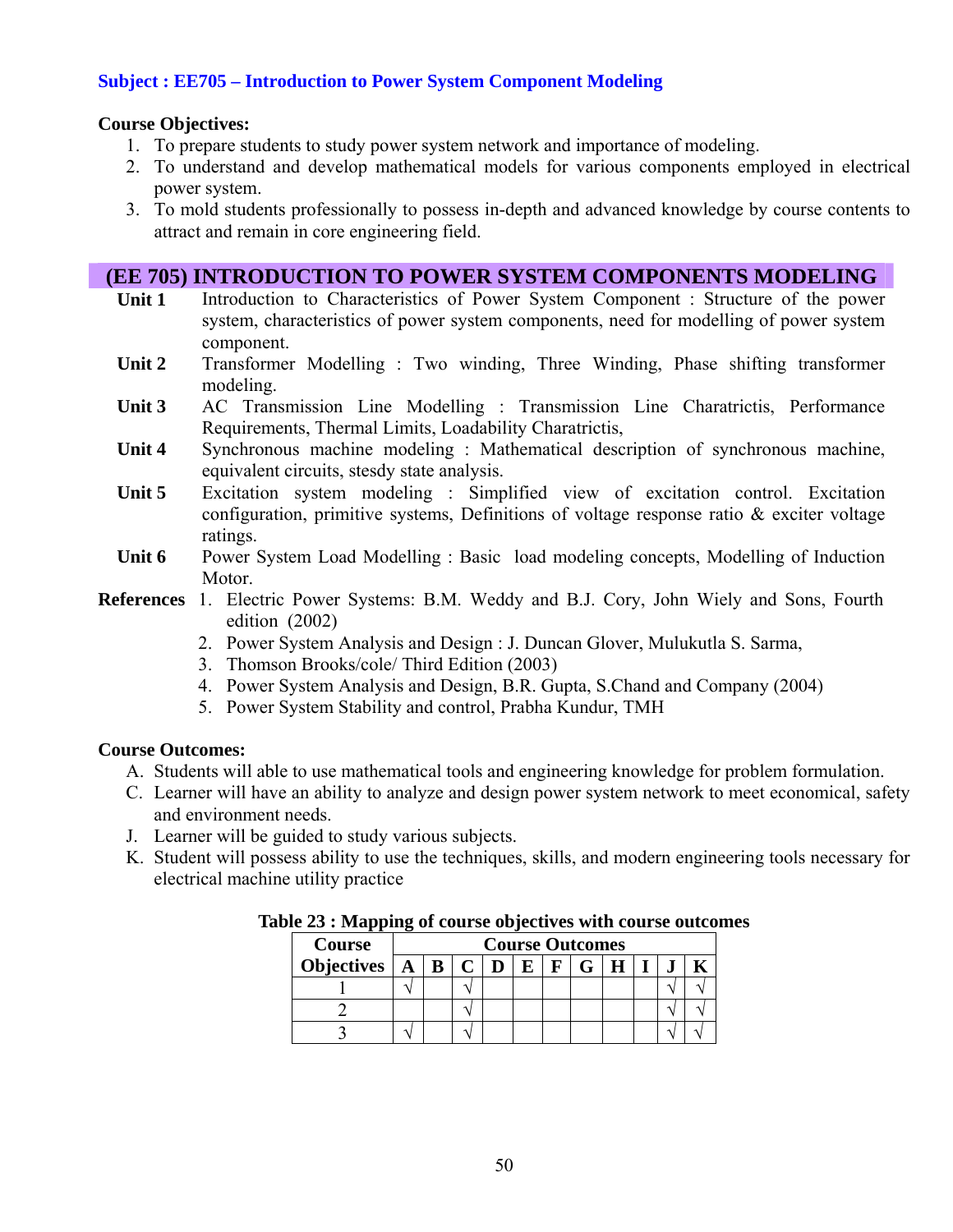#### **Subject : EE705 – Introduction to Power System Component Modeling**

#### **Course Objectives:**

- 1. To prepare students to study power system network and importance of modeling.
- 2. To understand and develop mathematical models for various components employed in electrical power system.
- 3. To mold students professionally to possess in-depth and advanced knowledge by course contents to attract and remain in core engineering field.

#### **(EE 705) INTRODUCTION TO POWER SYSTEM COMPONENTS MODELING**

- **Unit 1** Introduction to Characteristics of Power System Component : Structure of the power system, characteristics of power system components, need for modelling of power system component.
- **Unit 2** Transformer Modelling : Two winding, Three Winding, Phase shifting transformer modeling.
- **Unit 3** AC Transmission Line Modelling : Transmission Line Charatrictis, Performance Requirements, Thermal Limits, Loadability Charatrictis,
- **Unit 4** Synchronous machine modeling : Mathematical description of synchronous machine, equivalent circuits, stesdy state analysis.
- Unit 5 Excitation system modeling : Simplified view of excitation control. Excitation configuration, primitive systems, Definitions of voltage response ratio  $\&$  exciter voltage ratings.
- Unit 6 Power System Load Modelling : Basic load modeling concepts, Modelling of Induction Motor.
- **References** 1. Electric Power Systems: B.M. Weddy and B.J. Cory, John Wiely and Sons, Fourth edition (2002)
	- 2. Power System Analysis and Design : J. Duncan Glover, Mulukutla S. Sarma,
	- 3. Thomson Brooks/cole/ Third Edition (2003)
	- 4. Power System Analysis and Design, B.R. Gupta, S.Chand and Company (2004)
	- 5. Power System Stability and control, Prabha Kundur, TMH

#### **Course Outcomes:**

- A. Students will able to use mathematical tools and engineering knowledge for problem formulation.
- C. Learner will have an ability to analyze and design power system network to meet economical, safety and environment needs.
- J. Learner will be guided to study various subjects.
- K. Student will possess ability to use the techniques, skills, and modern engineering tools necessary for electrical machine utility practice

| <b>Course</b>                | <b>Course Outcomes</b> |  |  |  |  |  |  |  |  |  |  |
|------------------------------|------------------------|--|--|--|--|--|--|--|--|--|--|
| Objectives $A \mid B \mid C$ |                        |  |  |  |  |  |  |  |  |  |  |
|                              |                        |  |  |  |  |  |  |  |  |  |  |
|                              |                        |  |  |  |  |  |  |  |  |  |  |
|                              |                        |  |  |  |  |  |  |  |  |  |  |

**Table 23 : Mapping of course objectives with course outcomes**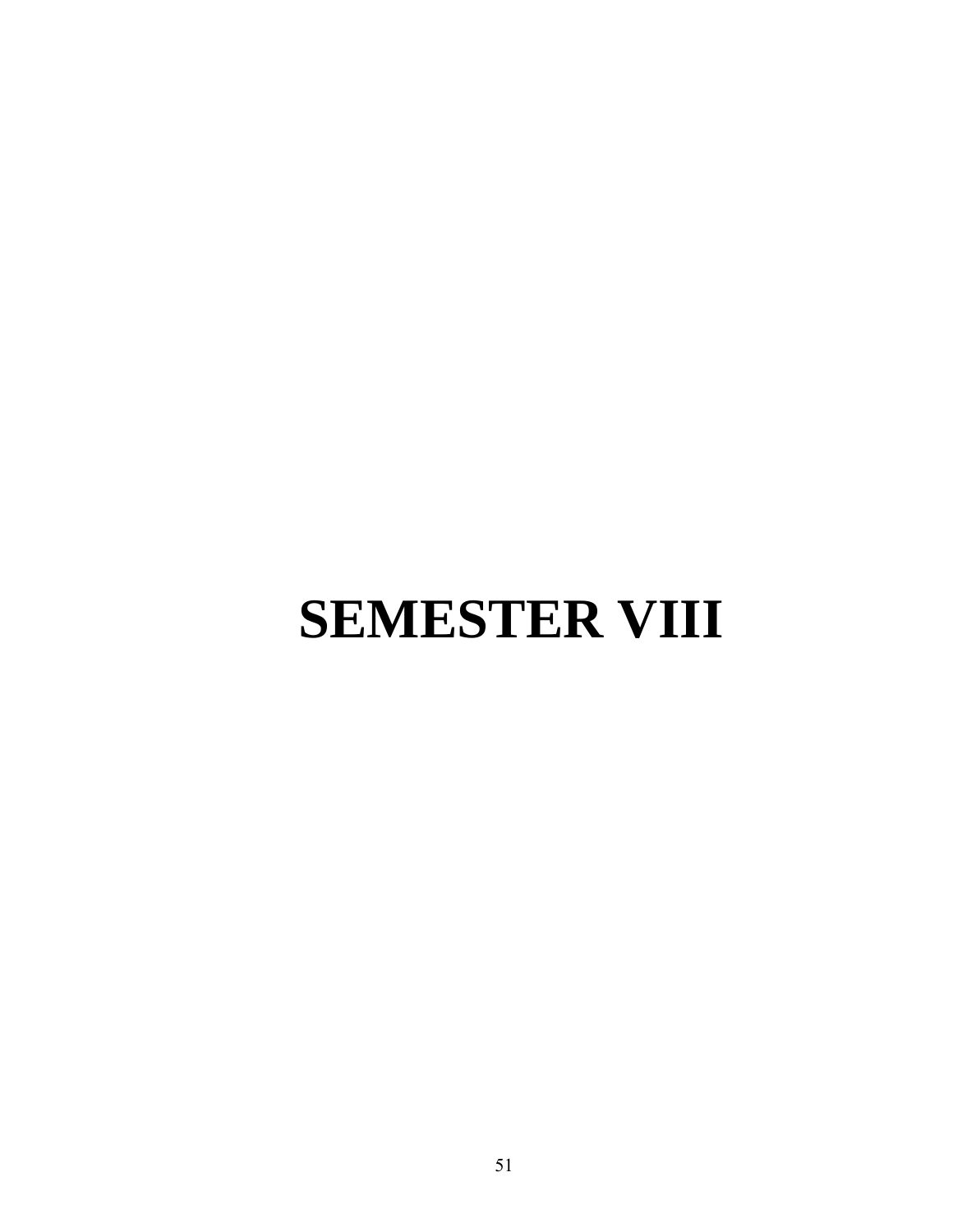# **SEMESTER VIII**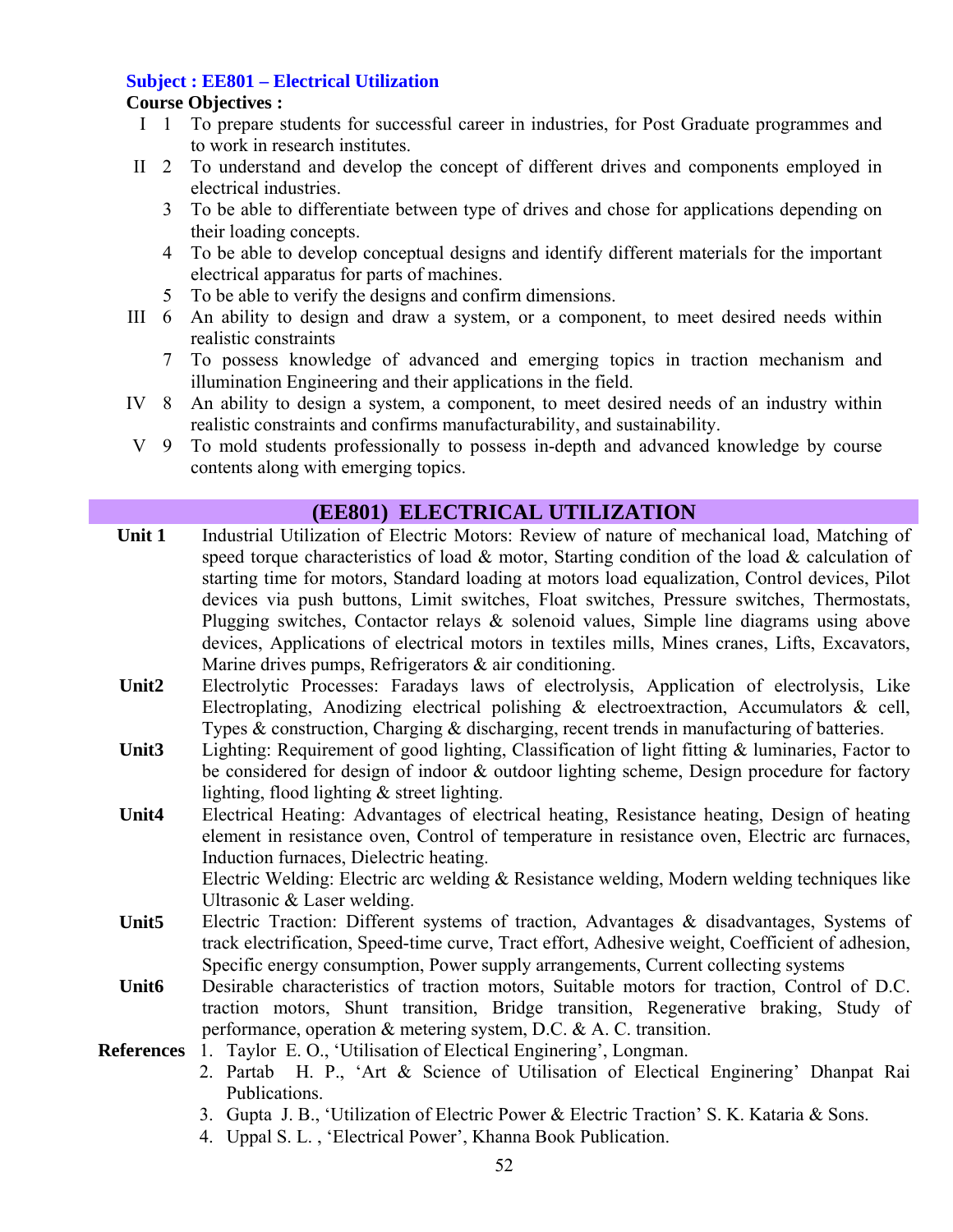# **Subject : EE801 – Electrical Utilization**

# **Course Objectives :**

- I 1 To prepare students for successful career in industries, for Post Graduate programmes and to work in research institutes.
- II 2 To understand and develop the concept of different drives and components employed in electrical industries.
	- 3 To be able to differentiate between type of drives and chose for applications depending on their loading concepts.
	- 4 To be able to develop conceptual designs and identify different materials for the important electrical apparatus for parts of machines.
	- 5 To be able to verify the designs and confirm dimensions.
- III 6 An ability to design and draw a system, or a component, to meet desired needs within realistic constraints
	- 7 To possess knowledge of advanced and emerging topics in traction mechanism and illumination Engineering and their applications in the field.
- IV 8 An ability to design a system, a component, to meet desired needs of an industry within realistic constraints and confirms manufacturability, and sustainability.
- V 9 To mold students professionally to possess in-depth and advanced knowledge by course contents along with emerging topics.

# **(EE801) ELECTRICAL UTILIZATION**

- **Unit 1** Industrial Utilization of Electric Motors: Review of nature of mechanical load, Matching of speed torque characteristics of load  $\&$  motor, Starting condition of the load  $\&$  calculation of starting time for motors, Standard loading at motors load equalization, Control devices, Pilot devices via push buttons, Limit switches, Float switches, Pressure switches, Thermostats, Plugging switches, Contactor relays & solenoid values, Simple line diagrams using above devices, Applications of electrical motors in textiles mills, Mines cranes, Lifts, Excavators, Marine drives pumps, Refrigerators & air conditioning.
- **Unit2** Electrolytic Processes: Faradays laws of electrolysis, Application of electrolysis, Like Electroplating, Anodizing electrical polishing & electroextraction, Accumulators & cell, Types & construction, Charging & discharging, recent trends in manufacturing of batteries.
- **Unit3** Lighting: Requirement of good lighting, Classification of light fitting & luminaries, Factor to be considered for design of indoor & outdoor lighting scheme, Design procedure for factory lighting, flood lighting & street lighting.
- **Unit4** Electrical Heating: Advantages of electrical heating, Resistance heating, Design of heating element in resistance oven, Control of temperature in resistance oven, Electric arc furnaces, Induction furnaces, Dielectric heating.

Electric Welding: Electric arc welding & Resistance welding, Modern welding techniques like Ultrasonic & Laser welding.

- Unit5 Electric Traction: Different systems of traction, Advantages & disadvantages, Systems of track electrification, Speed-time curve, Tract effort, Adhesive weight, Coefficient of adhesion, Specific energy consumption, Power supply arrangements, Current collecting systems
- **Unit6** Desirable characteristics of traction motors, Suitable motors for traction, Control of D.C. traction motors, Shunt transition, Bridge transition, Regenerative braking, Study of performance, operation & metering system, D.C. & A. C. transition.
- **References** 1. Taylor E. O., 'Utilisation of Electical Enginering', Longman.
	- 2. Partab H. P., 'Art & Science of Utilisation of Electical Enginering' Dhanpat Rai Publications.
	- 3. Gupta J. B., 'Utilization of Electric Power & Electric Traction' S. K. Kataria & Sons.
	- 4. Uppal S. L. , 'Electrical Power', Khanna Book Publication.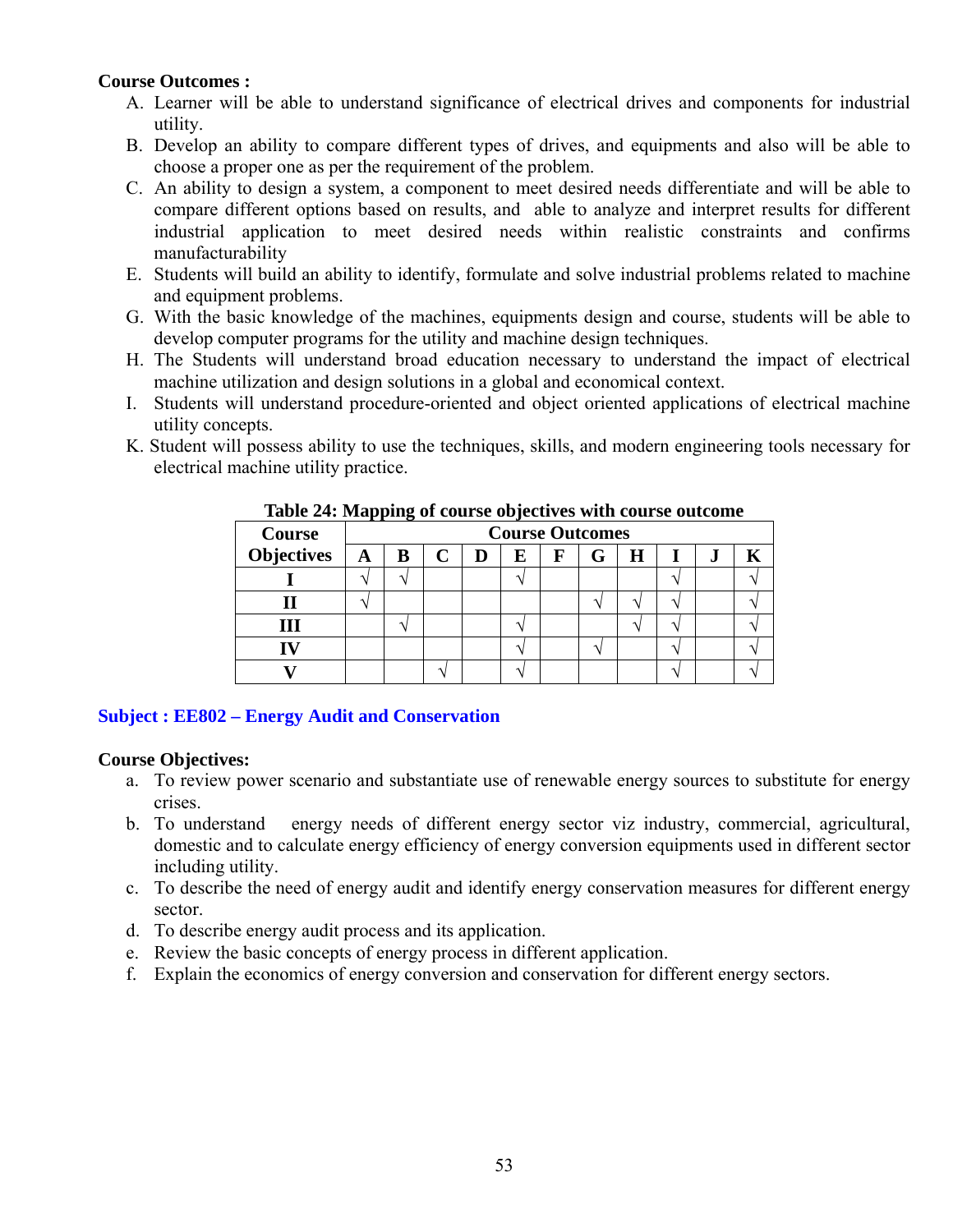#### **Course Outcomes :**

- A. Learner will be able to understand significance of electrical drives and components for industrial utility.
- B. Develop an ability to compare different types of drives, and equipments and also will be able to choose a proper one as per the requirement of the problem.
- C. An ability to design a system, a component to meet desired needs differentiate and will be able to compare different options based on results, and able to analyze and interpret results for different industrial application to meet desired needs within realistic constraints and confirms manufacturability
- E. Students will build an ability to identify, formulate and solve industrial problems related to machine and equipment problems.
- G. With the basic knowledge of the machines, equipments design and course, students will be able to develop computer programs for the utility and machine design techniques.
- H. The Students will understand broad education necessary to understand the impact of electrical machine utilization and design solutions in a global and economical context.
- I. Students will understand procedure-oriented and object oriented applications of electrical machine utility concepts.
- K. Student will possess ability to use the techniques, skills, and modern engineering tools necessary for electrical machine utility practice.

| <b>Course</b>     | <b>Course Outcomes</b> |   |  |   |   |   |   |   |  |    |  |
|-------------------|------------------------|---|--|---|---|---|---|---|--|----|--|
| <b>Objectives</b> | $\mathbf{A}$           | В |  | D | E | F | G | Н |  | ., |  |
|                   |                        |   |  |   |   |   |   |   |  |    |  |
|                   |                        |   |  |   |   |   |   |   |  |    |  |
|                   |                        |   |  |   |   |   |   |   |  |    |  |
|                   |                        |   |  |   |   |   |   |   |  |    |  |
|                   |                        |   |  |   |   |   |   |   |  |    |  |

#### **Table 24: Mapping of course objectives with course outcome**

#### **Subject : EE802 – Energy Audit and Conservation**

#### **Course Objectives:**

- a. To review power scenario and substantiate use of renewable energy sources to substitute for energy crises.
- b. To understand energy needs of different energy sector viz industry, commercial, agricultural, domestic and to calculate energy efficiency of energy conversion equipments used in different sector including utility.
- c. To describe the need of energy audit and identify energy conservation measures for different energy sector.
- d. To describe energy audit process and its application.
- e. Review the basic concepts of energy process in different application.
- f. Explain the economics of energy conversion and conservation for different energy sectors.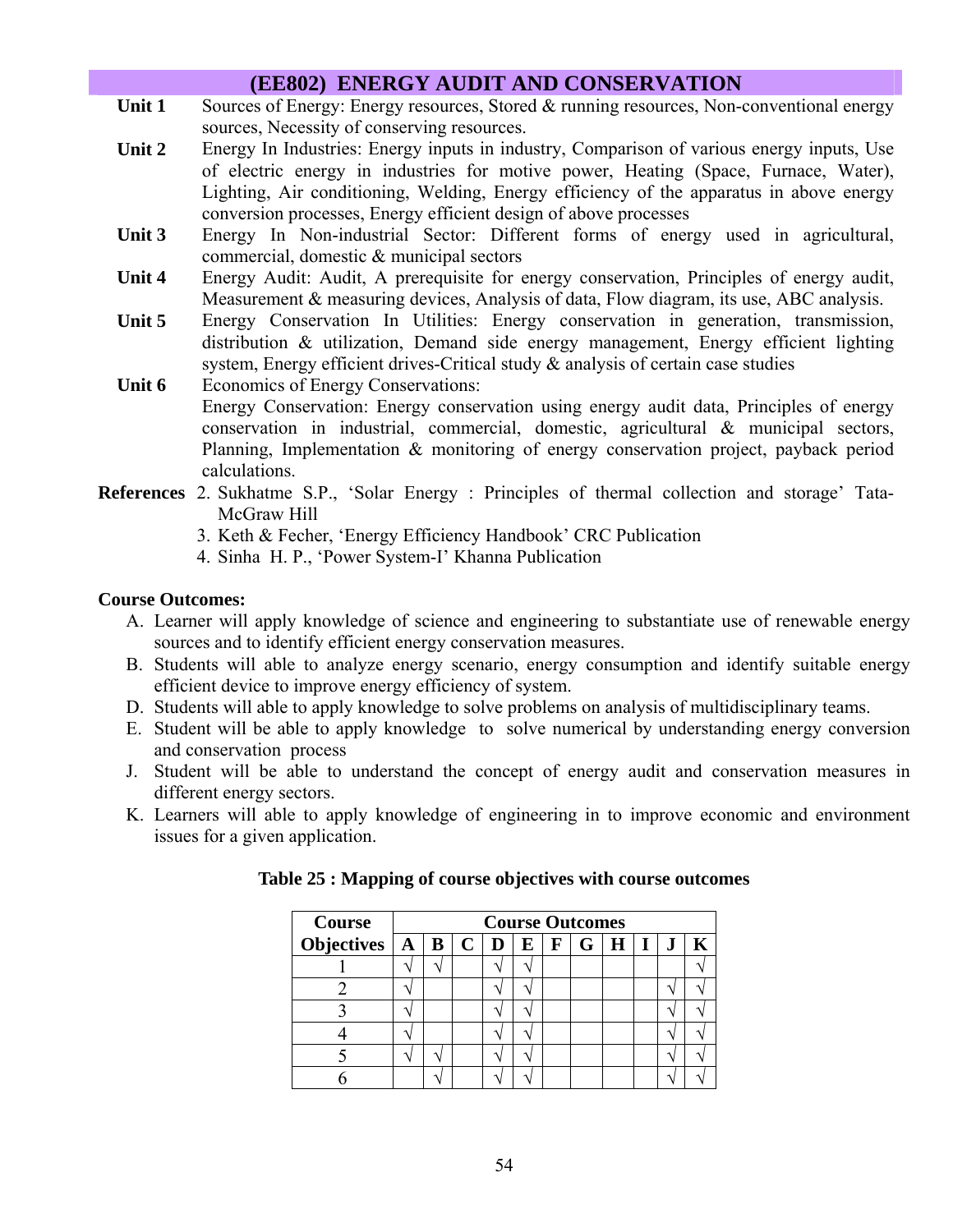# **(EE802) ENERGY AUDIT AND CONSERVATION**

- Unit 1 Sources of Energy: Energy resources, Stored & running resources, Non-conventional energy sources, Necessity of conserving resources.
- **Unit 2** Energy In Industries: Energy inputs in industry, Comparison of various energy inputs, Use of electric energy in industries for motive power, Heating (Space, Furnace, Water), Lighting, Air conditioning, Welding, Energy efficiency of the apparatus in above energy conversion processes, Energy efficient design of above processes
- **Unit 3** Energy In Non-industrial Sector: Different forms of energy used in agricultural, commercial, domestic & municipal sectors
- **Unit 4** Energy Audit: Audit, A prerequisite for energy conservation, Principles of energy audit, Measurement & measuring devices, Analysis of data, Flow diagram, its use, ABC analysis.
- **Unit 5** Energy Conservation In Utilities: Energy conservation in generation, transmission, distribution & utilization, Demand side energy management, Energy efficient lighting system, Energy efficient drives-Critical study  $\&$  analysis of certain case studies
- Unit 6 Economics of Energy Conservations: Energy Conservation: Energy conservation using energy audit data, Principles of energy conservation in industrial, commercial, domestic, agricultural & municipal sectors, Planning, Implementation & monitoring of energy conservation project, payback period calculations.
- **References** 2. Sukhatme S.P., 'Solar Energy : Principles of thermal collection and storage' Tata-McGraw Hill
	- 3. Keth & Fecher, 'Energy Efficiency Handbook' CRC Publication
	- 4. Sinha H. P., 'Power System-I' Khanna Publication

#### **Course Outcomes:**

- A. Learner will apply knowledge of science and engineering to substantiate use of renewable energy sources and to identify efficient energy conservation measures.
- B. Students will able to analyze energy scenario, energy consumption and identify suitable energy efficient device to improve energy efficiency of system.
- D. Students will able to apply knowledge to solve problems on analysis of multidisciplinary teams.
- E. Student will be able to apply knowledge to solve numerical by understanding energy conversion and conservation process
- J. Student will be able to understand the concept of energy audit and conservation measures in different energy sectors.
- K. Learners will able to apply knowledge of engineering in to improve economic and environment issues for a given application.

| <b>Course</b>                            | <b>Course Outcomes</b> |  |  |  |   |                      |     |  |              |  |  |
|------------------------------------------|------------------------|--|--|--|---|----------------------|-----|--|--------------|--|--|
| Objectives $A \mid B \mid C \mid D \mid$ |                        |  |  |  | E | $\perp \mathbf{F}$ . | G H |  | $\mathbf{L}$ |  |  |
|                                          |                        |  |  |  |   |                      |     |  |              |  |  |
|                                          |                        |  |  |  |   |                      |     |  |              |  |  |
|                                          |                        |  |  |  |   |                      |     |  |              |  |  |
|                                          |                        |  |  |  |   |                      |     |  |              |  |  |
|                                          |                        |  |  |  |   |                      |     |  |              |  |  |
|                                          |                        |  |  |  |   |                      |     |  |              |  |  |

**Table 25 : Mapping of course objectives with course outcomes**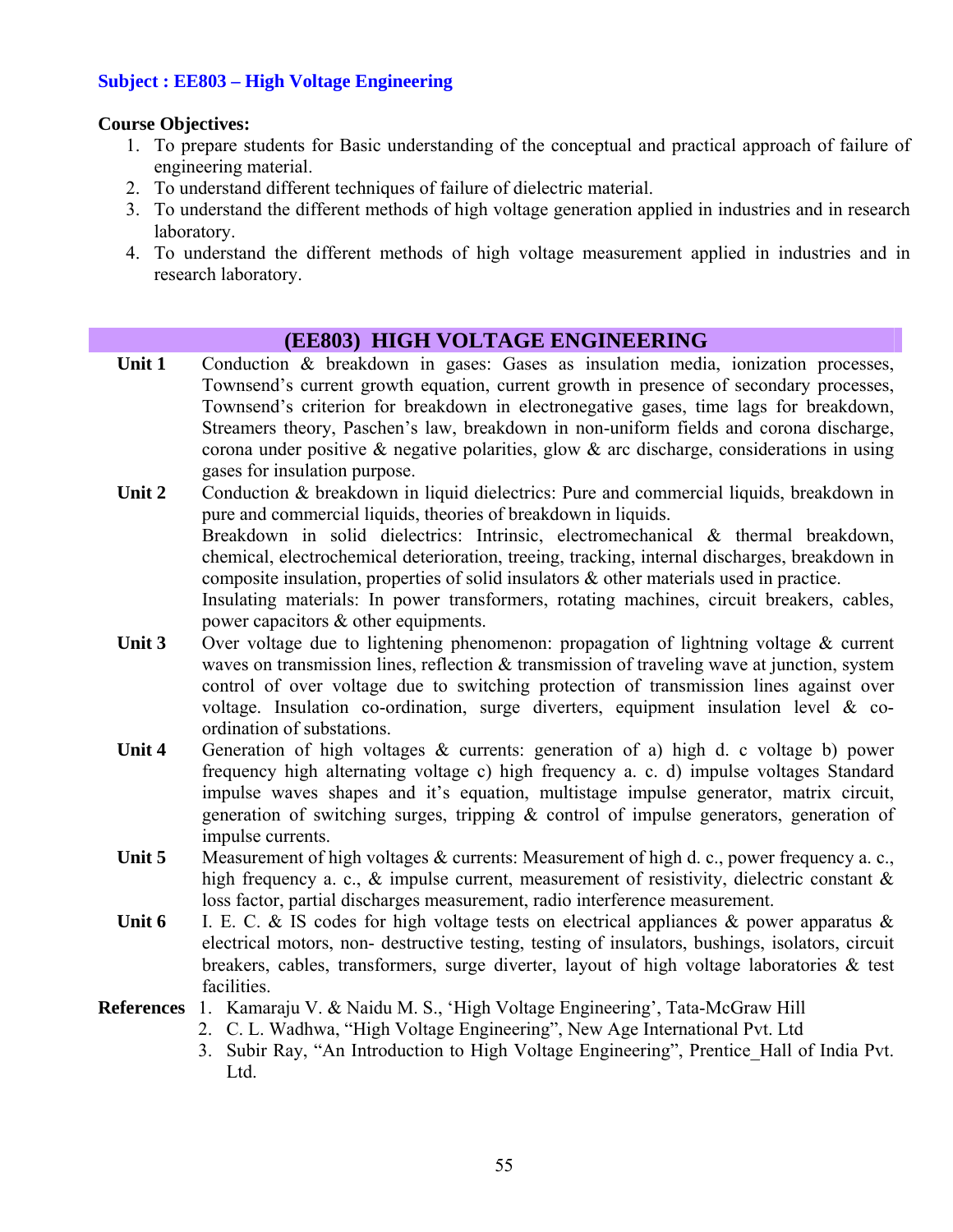#### **Subject : EE803 – High Voltage Engineering**

#### **Course Objectives:**

- 1. To prepare students for Basic understanding of the conceptual and practical approach of failure of engineering material.
- 2. To understand different techniques of failure of dielectric material.
- 3. To understand the different methods of high voltage generation applied in industries and in research laboratory.
- 4. To understand the different methods of high voltage measurement applied in industries and in research laboratory.

### **(EE803) HIGH VOLTAGE ENGINEERING**

- Unit 1 Conduction & breakdown in gases: Gases as insulation media, ionization processes, Townsend's current growth equation, current growth in presence of secondary processes, Townsend's criterion for breakdown in electronegative gases, time lags for breakdown, Streamers theory, Paschen's law, breakdown in non-uniform fields and corona discharge, corona under positive  $\&$  negative polarities, glow  $\&$  arc discharge, considerations in using gases for insulation purpose.
- Unit 2 Conduction & breakdown in liquid dielectrics: Pure and commercial liquids, breakdown in pure and commercial liquids, theories of breakdown in liquids. Breakdown in solid dielectrics: Intrinsic, electromechanical & thermal breakdown, chemical, electrochemical deterioration, treeing, tracking, internal discharges, breakdown in composite insulation, properties of solid insulators & other materials used in practice. Insulating materials: In power transformers, rotating machines, circuit breakers, cables, power capacitors & other equipments.
- Unit 3 Over voltage due to lightening phenomenon: propagation of lightning voltage & current waves on transmission lines, reflection & transmission of traveling wave at junction, system control of over voltage due to switching protection of transmission lines against over voltage. Insulation co-ordination, surge diverters, equipment insulation level & coordination of substations.
- **Unit 4** Generation of high voltages & currents: generation of a) high d. c voltage b) power frequency high alternating voltage c) high frequency a. c. d) impulse voltages Standard impulse waves shapes and it's equation, multistage impulse generator, matrix circuit, generation of switching surges, tripping  $\&$  control of impulse generators, generation of impulse currents.
- **Unit 5** •• Measurement of high voltages & currents: Measurement of high d. c., power frequency a. c., high frequency a. c.,  $\&$  impulse current, measurement of resistivity, dielectric constant  $\&$ loss factor, partial discharges measurement, radio interference measurement.
- Unit 6 I. E. C. & IS codes for high voltage tests on electrical appliances & power apparatus & electrical motors, non- destructive testing, testing of insulators, bushings, isolators, circuit breakers, cables, transformers, surge diverter, layout of high voltage laboratories & test facilities.
- **References** 1. Kamaraju V. & Naidu M. S., 'High Voltage Engineering', Tata-McGraw Hill
	- 2. C. L. Wadhwa, "High Voltage Engineering", New Age International Pvt. Ltd
	- 3. Subir Ray, "An Introduction to High Voltage Engineering", Prentice\_Hall of India Pvt. Ltd.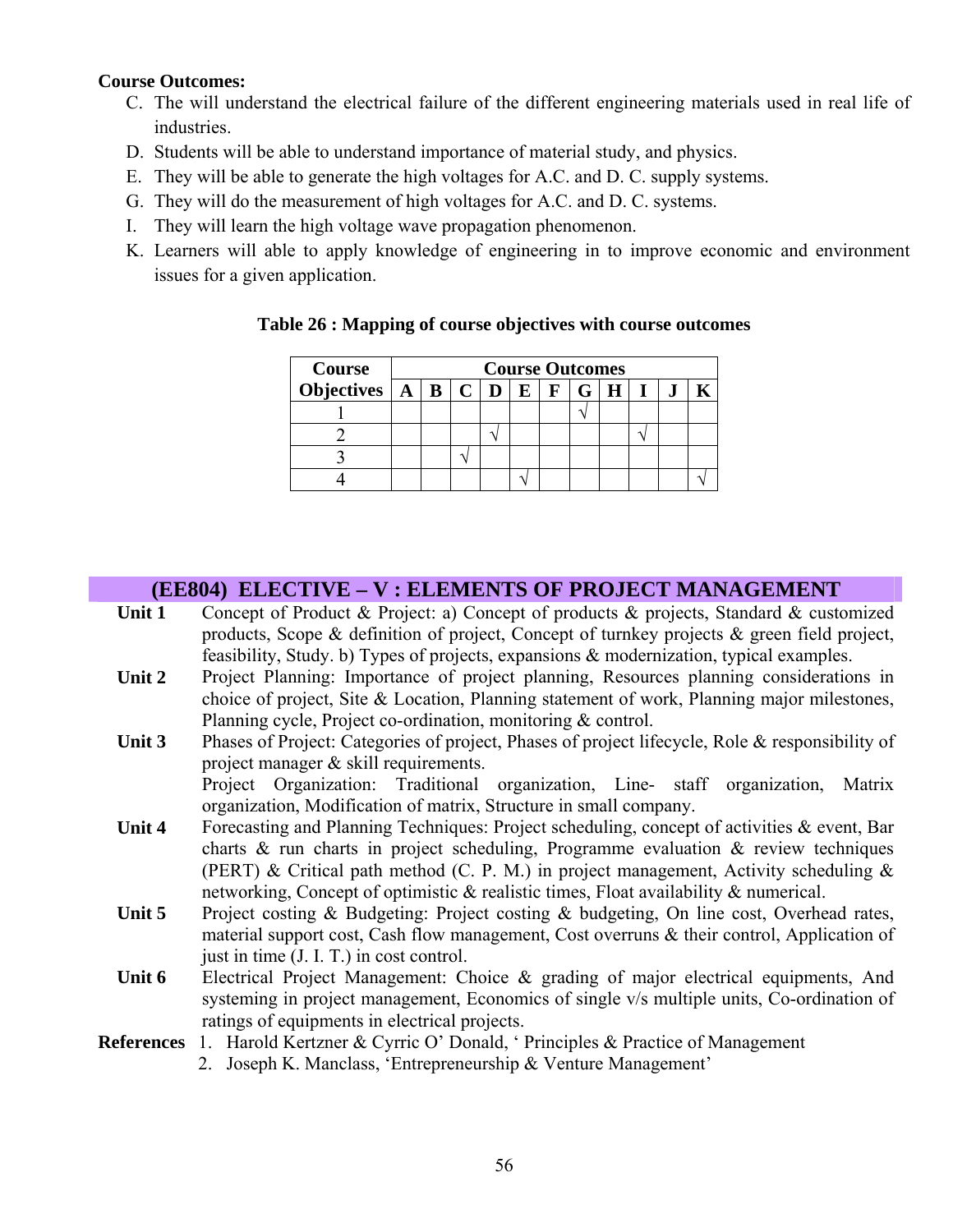#### **Course Outcomes:**

- C. The will understand the electrical failure of the different engineering materials used in real life of industries.
- D. Students will be able to understand importance of material study, and physics.
- E. They will be able to generate the high voltages for A.C. and D. C. supply systems.
- G. They will do the measurement of high voltages for A.C. and D. C. systems.
- I. They will learn the high voltage wave propagation phenomenon.
- K. Learners will able to apply knowledge of engineering in to improve economic and environment issues for a given application.

| <b>Course</b>                                                   | <b>Course Outcomes</b> |  |  |  |  |  |  |  |  |  |  |
|-----------------------------------------------------------------|------------------------|--|--|--|--|--|--|--|--|--|--|
| Objectives $A \mid B \mid C \mid D \mid E \mid F \mid G \mid H$ |                        |  |  |  |  |  |  |  |  |  |  |
|                                                                 |                        |  |  |  |  |  |  |  |  |  |  |
|                                                                 |                        |  |  |  |  |  |  |  |  |  |  |
|                                                                 |                        |  |  |  |  |  |  |  |  |  |  |
|                                                                 |                        |  |  |  |  |  |  |  |  |  |  |

#### **Table 26 : Mapping of course objectives with course outcomes**

#### **(EE804) ELECTIVE – V : ELEMENTS OF PROJECT MANAGEMENT**

- Unit 1 Concept of Product & Project: a) Concept of products & projects, Standard & customized products, Scope & definition of project, Concept of turnkey projects & green field project, feasibility, Study. b) Types of projects, expansions & modernization, typical examples.
- **Unit 2** Project Planning: Importance of project planning, Resources planning considerations in choice of project, Site & Location, Planning statement of work, Planning major milestones, Planning cycle, Project co-ordination, monitoring & control.
- **Unit 3** Phases of Project: Categories of project, Phases of project lifecycle, Role & responsibility of project manager & skill requirements.

Project Organization: Traditional organization, Line- staff organization, Matrix organization, Modification of matrix, Structure in small company.

- Unit 4 Forecasting and Planning Techniques: Project scheduling, concept of activities & event, Bar charts & run charts in project scheduling, Programme evaluation & review techniques (PERT) & Critical path method (C. P. M.) in project management, Activity scheduling  $\&$ networking, Concept of optimistic & realistic times, Float availability & numerical.
- **Unit 5** Project costing & Budgeting: Project costing & budgeting, On line cost, Overhead rates, material support cost, Cash flow management, Cost overruns & their control, Application of just in time (J. I. T.) in cost control.
- **Unit 6** Electrical Project Management: Choice & grading of major electrical equipments, And systeming in project management, Economics of single v/s multiple units, Co-ordination of ratings of equipments in electrical projects.
- **References** 1. Harold Kertzner & Cyrric O' Donald, ' Principles & Practice of Management
	- 2. Joseph K. Manclass, 'Entrepreneurship & Venture Management'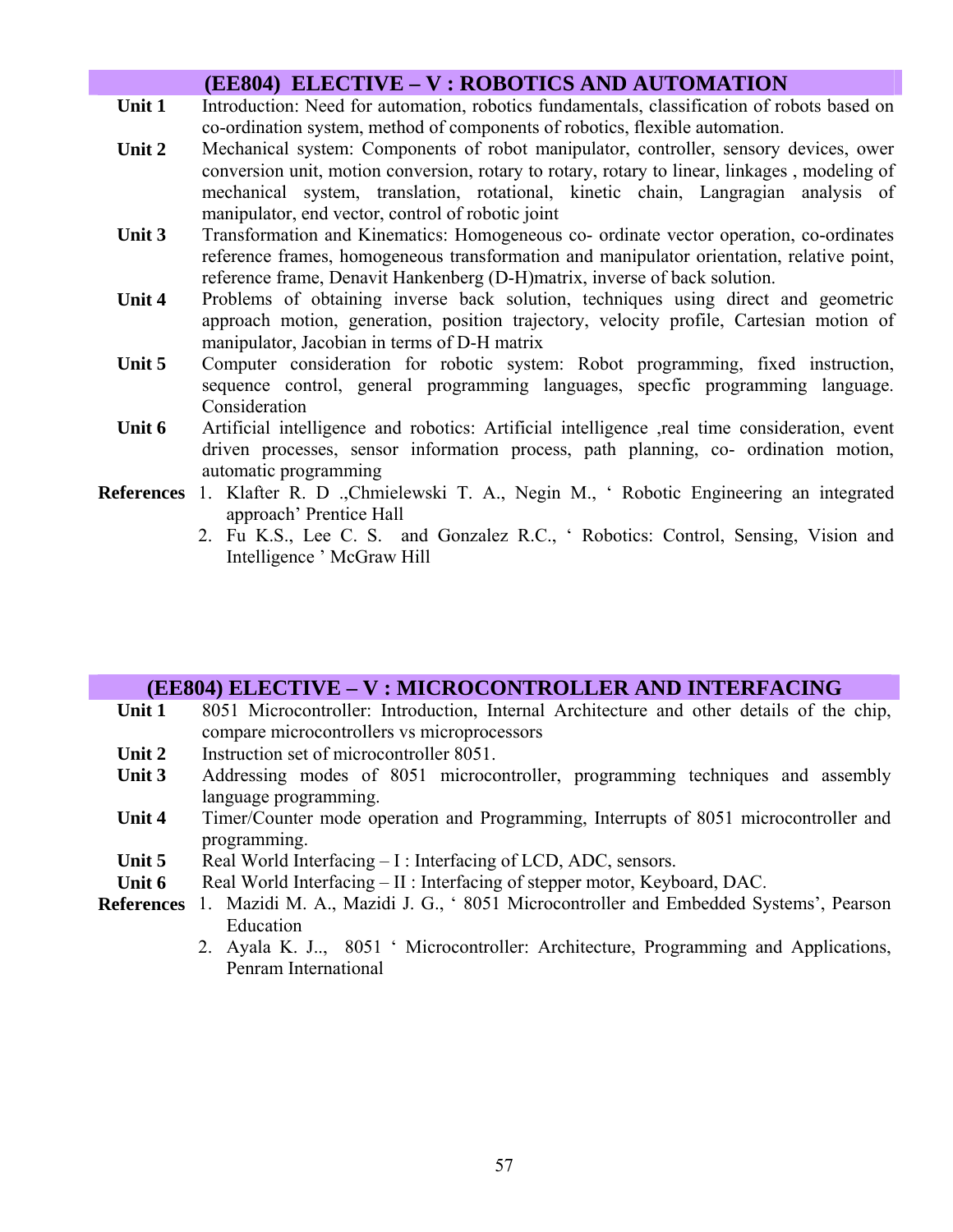|                   | (EE804) ELECTIVE – V : ROBOTICS AND AUTOMATION                                                                                                                                                                                                                                                                                   |
|-------------------|----------------------------------------------------------------------------------------------------------------------------------------------------------------------------------------------------------------------------------------------------------------------------------------------------------------------------------|
| Unit 1            | Introduction: Need for automation, robotics fundamentals, classification of robots based on<br>co-ordination system, method of components of robotics, flexible automation.                                                                                                                                                      |
| Unit 2            | Mechanical system: Components of robot manipulator, controller, sensory devices, ower<br>conversion unit, motion conversion, rotary to rotary, rotary to linear, linkages, modeling of<br>mechanical system, translation, rotational, kinetic chain, Langragian analysis of<br>manipulator, end vector, control of robotic joint |
| Unit 3            | Transformation and Kinematics: Homogeneous co- ordinate vector operation, co-ordinates<br>reference frames, homogeneous transformation and manipulator orientation, relative point,<br>reference frame, Denavit Hankenberg (D-H)matrix, inverse of back solution.                                                                |
| Unit 4            | Problems of obtaining inverse back solution, techniques using direct and geometric<br>approach motion, generation, position trajectory, velocity profile, Cartesian motion of<br>manipulator, Jacobian in terms of D-H matrix                                                                                                    |
| Unit 5            | Computer consideration for robotic system: Robot programming, fixed instruction,<br>sequence control, general programming languages, specfic programming language.<br>Consideration                                                                                                                                              |
| Unit 6            | Artificial intelligence and robotics: Artificial intelligence , real time consideration, event<br>driven processes, sensor information process, path planning, co- ordination motion,<br>automatic programming                                                                                                                   |
| <b>References</b> | 1. Klafter R. D., Chmielewski T. A., Negin M., ' Robotic Engineering an integrated<br>approach' Prentice Hall<br>2. Fu K.S., Lee C. S. and Gonzalez R.C., ' Robotics: Control, Sensing, Vision and<br>Intelligence 'McGraw Hill                                                                                                  |

#### **(EE804) ELECTIVE – V : MICROCONTROLLER AND INTERFACING**

- **Unit 1** 8051 Microcontroller: Introduction, Internal Architecture and other details of the chip, compare microcontrollers vs microprocessors
- Unit 2 Instruction set of microcontroller 8051.
- Unit 3 Addressing modes of 8051 microcontroller, programming techniques and assembly language programming.
- **Unit 4** Timer/Counter mode operation and Programming, Interrupts of 8051 microcontroller and programming.
- Unit 5 Real World Interfacing I : Interfacing of LCD, ADC, sensors.
- Unit 6 Real World Interfacing II : Interfacing of stepper motor, Keyboard, DAC.
- **References** 1. Mazidi M. A., Mazidi J. G., ' 8051 Microcontroller and Embedded Systems', Pearson Education
	- 2. Ayala K. J.., 8051 ' Microcontroller: Architecture, Programming and Applications, Penram International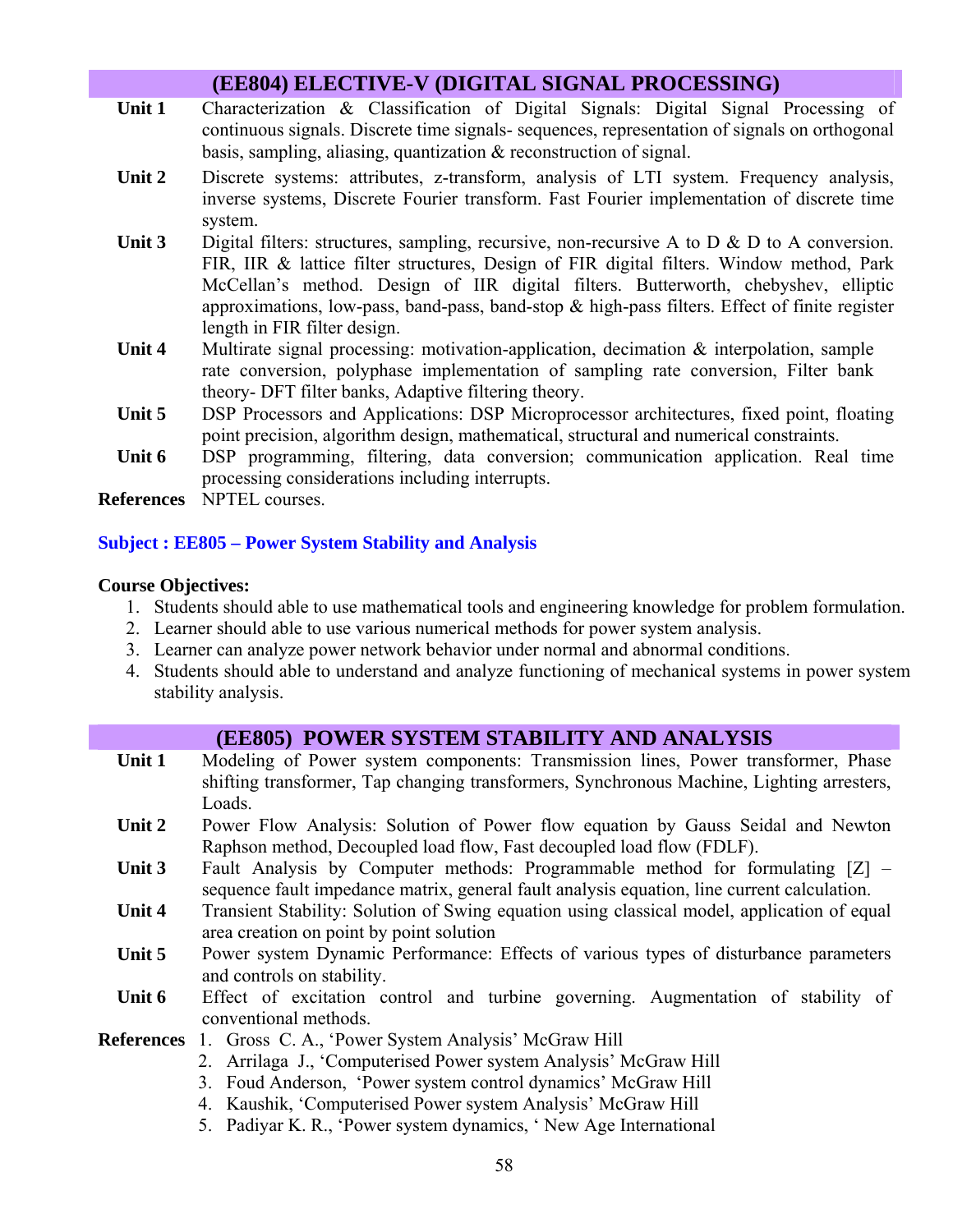|                   | (EE804) ELECTIVE-V (DIGITAL SIGNAL PROCESSING)                                                                                                                                                                                                                                                                                                                                                                    |
|-------------------|-------------------------------------------------------------------------------------------------------------------------------------------------------------------------------------------------------------------------------------------------------------------------------------------------------------------------------------------------------------------------------------------------------------------|
| Unit 1            | Characterization & Classification of Digital Signals: Digital Signal Processing of<br>continuous signals. Discrete time signals- sequences, representation of signals on orthogonal<br>basis, sampling, aliasing, quantization $\&$ reconstruction of signal.                                                                                                                                                     |
| Unit 2            | Discrete systems: attributes, z-transform, analysis of LTI system. Frequency analysis,<br>inverse systems, Discrete Fourier transform. Fast Fourier implementation of discrete time<br>system.                                                                                                                                                                                                                    |
| Unit 3            | Digital filters: structures, sampling, recursive, non-recursive A to D $\&$ D to A conversion.<br>FIR, IIR & lattice filter structures, Design of FIR digital filters. Window method, Park<br>McCellan's method. Design of IIR digital filters. Butterworth, chebyshev, elliptic<br>approximations, low-pass, band-pass, band-stop & high-pass filters. Effect of finite register<br>length in FIR filter design. |
| Unit 4            | Multirate signal processing: motivation-application, decimation $\&$ interpolation, sample<br>rate conversion, polyphase implementation of sampling rate conversion, Filter bank<br>theory- DFT filter banks, Adaptive filtering theory.                                                                                                                                                                          |
| Unit 5            | DSP Processors and Applications: DSP Microprocessor architectures, fixed point, floating<br>point precision, algorithm design, mathematical, structural and numerical constraints.                                                                                                                                                                                                                                |
| Unit 6            | DSP programming, filtering, data conversion; communication application. Real time<br>processing considerations including interrupts.                                                                                                                                                                                                                                                                              |
| <b>References</b> | NPTEL courses.                                                                                                                                                                                                                                                                                                                                                                                                    |

**Subject : EE805 – Power System Stability and Analysis** 

#### **Course Objectives:**

- 1. Students should able to use mathematical tools and engineering knowledge for problem formulation.
- 2. Learner should able to use various numerical methods for power system analysis.
- 3. Learner can analyze power network behavior under normal and abnormal conditions.
- 4. Students should able to understand and analyze functioning of mechanical systems in power system stability analysis.

|        | (EE805) POWER SYSTEM STABILITY AND ANALYSIS                                                                                                                                                                                                                                                                                                    |
|--------|------------------------------------------------------------------------------------------------------------------------------------------------------------------------------------------------------------------------------------------------------------------------------------------------------------------------------------------------|
| Unit 1 | Modeling of Power system components: Transmission lines, Power transformer, Phase<br>shifting transformer, Tap changing transformers, Synchronous Machine, Lighting arresters,<br>Loads.                                                                                                                                                       |
| Unit 2 | Power Flow Analysis: Solution of Power flow equation by Gauss Seidal and Newton<br>Raphson method, Decoupled load flow, Fast decoupled load flow (FDLF).                                                                                                                                                                                       |
| Unit 3 | Fault Analysis by Computer methods: Programmable method for formulating [Z] -<br>sequence fault impedance matrix, general fault analysis equation, line current calculation.                                                                                                                                                                   |
| Unit 4 | Transient Stability: Solution of Swing equation using classical model, application of equal<br>area creation on point by point solution                                                                                                                                                                                                        |
| Unit 5 | Power system Dynamic Performance: Effects of various types of disturbance parameters<br>and controls on stability.                                                                                                                                                                                                                             |
| Unit 6 | Effect of excitation control and turbine governing. Augmentation of stability of<br>conventional methods.                                                                                                                                                                                                                                      |
|        | <b>References</b> 1. Gross C. A., 'Power System Analysis' McGraw Hill<br>2. Arrilaga J., 'Computerised Power system Analysis' McGraw Hill<br>3. Foud Anderson, 'Power system control dynamics' McGraw Hill<br>4. Kaushik, 'Computerised Power system Analysis' McGraw Hill<br>5. Padiyar K. R., 'Power system dynamics, 'New Age International |
|        |                                                                                                                                                                                                                                                                                                                                                |